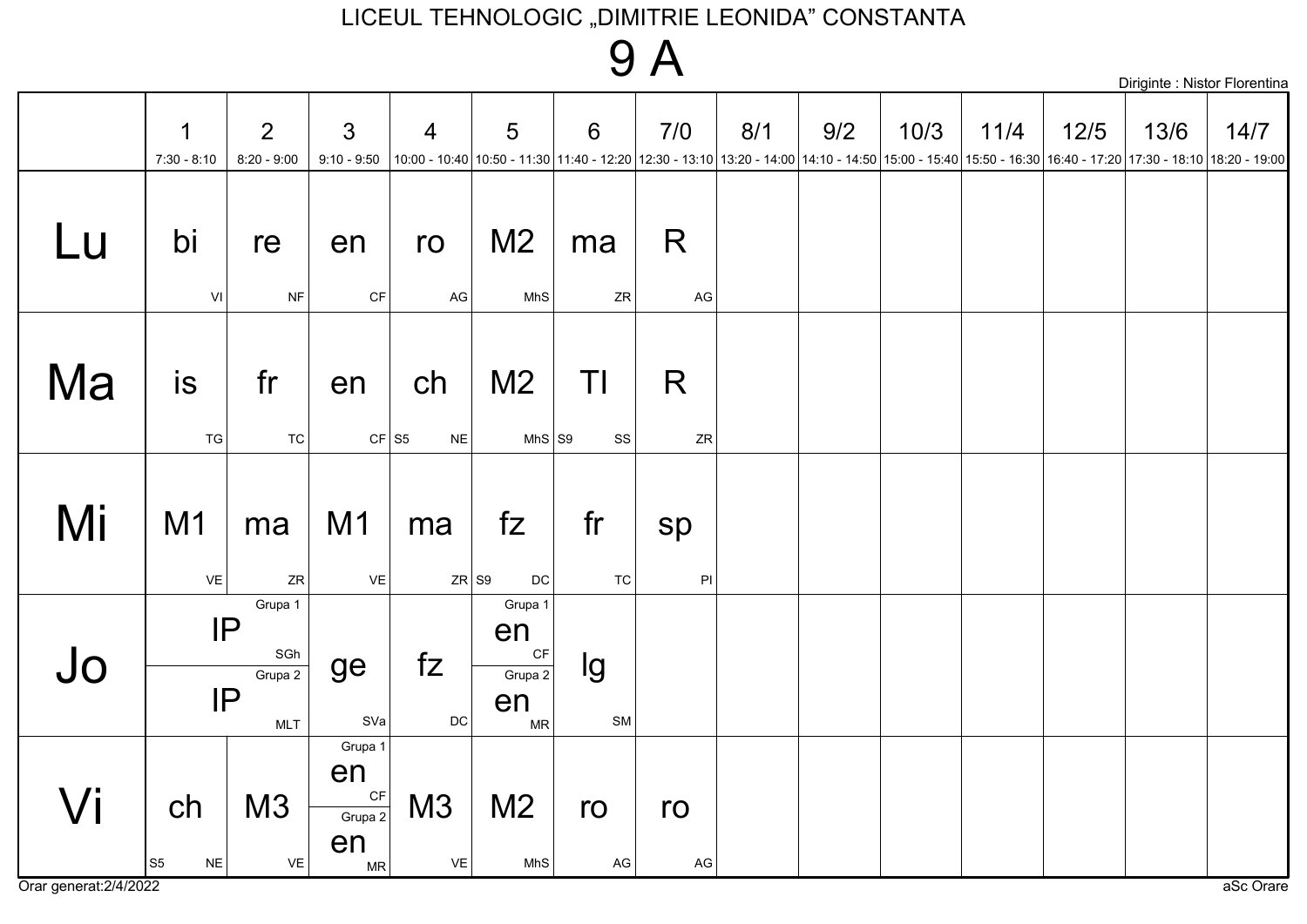# 9 A

|    |                         |                                                                                |                                            |                             |                                                   |                                                                                                                                                                              |                     |     |     |      |      |        | Diriginte : Nistor Florentin |      |
|----|-------------------------|--------------------------------------------------------------------------------|--------------------------------------------|-----------------------------|---------------------------------------------------|------------------------------------------------------------------------------------------------------------------------------------------------------------------------------|---------------------|-----|-----|------|------|--------|------------------------------|------|
|    | 1<br>$7:30 - 8:10$      | $\overline{2}$<br>$8:20 - 9:00$                                                | $\mathfrak{S}$<br>$9:10 - 9:50$            | $\overline{4}$              | 5                                                 | $6\phantom{1}6$<br>10:00 - 10:40 10:50 - 11:30 11:40 - 12:20 12:30 - 13:10 13:20 - 14:00 14:10 - 14:50 15:00 - 15:40 15:50 - 16:30 16:40 - 17:20 17:30 - 18:10 18:20 - 19:00 | 7/0                 | 8/1 | 9/2 | 10/3 | 11/4 | $12/5$ | 13/6                         | 14/7 |
| Lu | bi<br>VI                | re<br><b>NF</b>                                                                | en<br>$\mathsf{CF}$                        | ro<br>$\mathsf{AG}$         | M <sub>2</sub><br>MhS                             | ma<br>ZR                                                                                                                                                                     | R<br>AG             |     |     |      |      |        |                              |      |
| Ma | is<br>TG                | fr<br>TC                                                                       | en                                         | ch<br>$CF$ S5<br>${\sf NE}$ | M <sub>2</sub><br>$MhS$ S9                        | TI<br>$_{\rm SS}$                                                                                                                                                            | R<br>${\sf ZR}$     |     |     |      |      |        |                              |      |
| Mi | M1<br>VE                | ma<br>${\sf ZR}$                                                               | M1<br>VE                                   | ma                          | fZ<br>$ZR$ S9<br>DC                               | fr<br><b>TC</b>                                                                                                                                                              | sp<br>$\mathsf{Pl}$ |     |     |      |      |        |                              |      |
| Jo |                         | Grupa 1<br> P <br>$\operatorname{\mathsf{SGh}}$<br>Grupa 2<br>IP<br><b>MLT</b> | ge<br>SVa                                  | fZ<br>$\mathsf{DC}$         | Grupa 1<br>en<br>CF<br>Grupa 2<br>en<br><b>MR</b> | lg<br>${\sf SM}$                                                                                                                                                             |                     |     |     |      |      |        |                              |      |
| Vi | ch<br> S5 <br><b>NE</b> | M3<br>VE                                                                       | Grupa 1<br>en<br>CF<br>Grupa 2<br>en<br>MR | M3<br>VE                    | M <sub>2</sub><br>MhS                             | ro<br>$\mathsf{AG}$                                                                                                                                                          | ro<br>$\mathsf{AG}$ |     |     |      |      |        |                              |      |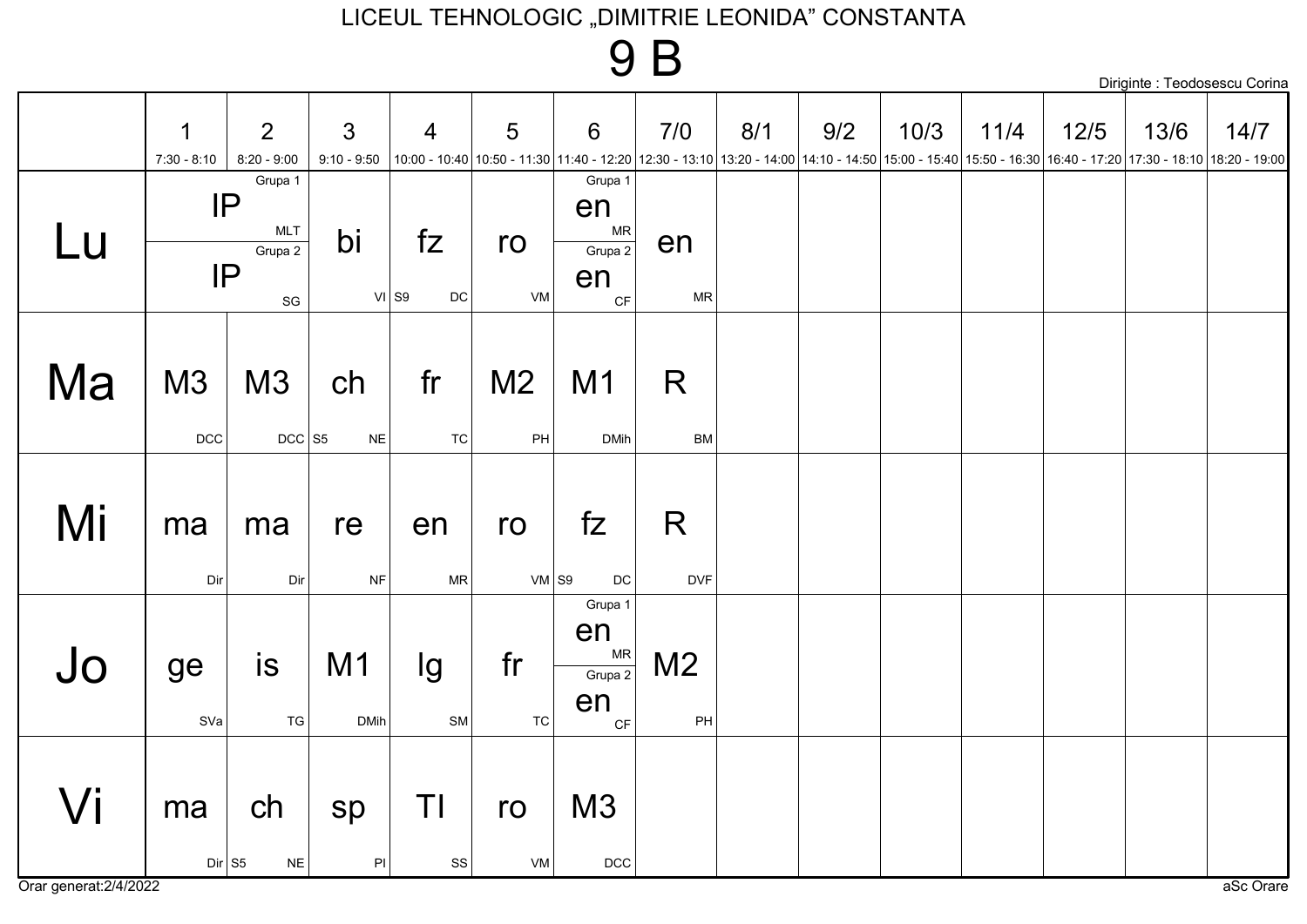### 9 B

|    |                              |                                                                  |                                 |                     |                                 |                                                    |                      |     |     |      |                                                                                                                                                                               |        |      | Diriginte : Teodosescu Corina |
|----|------------------------------|------------------------------------------------------------------|---------------------------------|---------------------|---------------------------------|----------------------------------------------------|----------------------|-----|-----|------|-------------------------------------------------------------------------------------------------------------------------------------------------------------------------------|--------|------|-------------------------------|
|    | $\mathbf 1$<br>$7:30 - 8:10$ | 2<br>$8:20 - 9:00$                                               | $\mathfrak{S}$<br>$9:10 - 9:50$ | $\overline{4}$      | 5                               | 6                                                  | 7/0                  | 8/1 | 9/2 | 10/3 | 11/4<br>10:00 - 17:20 17:30 - 18:10 18:20 17:30 - 19:00 18:20 12:30 - 13:10 13:20 - 14:00 14:10 - 14:50 15:00 - 15:40 15:50 - 16:30 16:40 - 17:20 17:30 - 18:10 18:20 - 19:00 | $12/5$ | 13/6 | 14/7                          |
| Lu | IP<br>IP                     | Grupa 1<br><b>MLT</b><br>Grupa 2<br>$\operatorname{\mathsf{SG}}$ | bi                              | fZ<br>$VI$ S9<br>DC | ro<br>VM                        | Grupa 1<br>en<br>${\sf MR}$<br>Grupa 2<br>en<br>CF | en<br><b>MR</b>      |     |     |      |                                                                                                                                                                               |        |      |                               |
| Ma | M3<br>DCC                    | M3<br>$DCC$ S5                                                   | ch<br>$N\mathsf{E}$             | fr<br>TC            | M <sub>2</sub><br>$\mathsf{PH}$ | M <sub>1</sub><br><b>DMih</b>                      | R<br>BM              |     |     |      |                                                                                                                                                                               |        |      |                               |
| Mi | ma<br>Dir                    | ma<br>Dir                                                        | re<br>$\sf{NF}$                 | en<br><b>MR</b>     | ro<br>$VM$ S9                   | fZ<br>$\mathsf{DC}$                                | R<br><b>DVF</b>      |     |     |      |                                                                                                                                                                               |        |      |                               |
| Jo | ge<br>SVa                    | is<br>${\tt TG}$                                                 | M1<br><b>DMih</b>               | lg<br>SM            | fr<br>${\tt TC}$                | Grupa 1<br>en<br>MR<br>Grupa 2<br>en<br>CF         | M <sub>2</sub><br>PH |     |     |      |                                                                                                                                                                               |        |      |                               |
| Vi | ma<br>$Dir$ S5               | ch<br>$N\mathsf{E}$                                              | sp<br>$\mathsf{PI}$             | TI<br>SS            | ro<br>VM                        | M3<br>$DCC$                                        |                      |     |     |      |                                                                                                                                                                               |        |      |                               |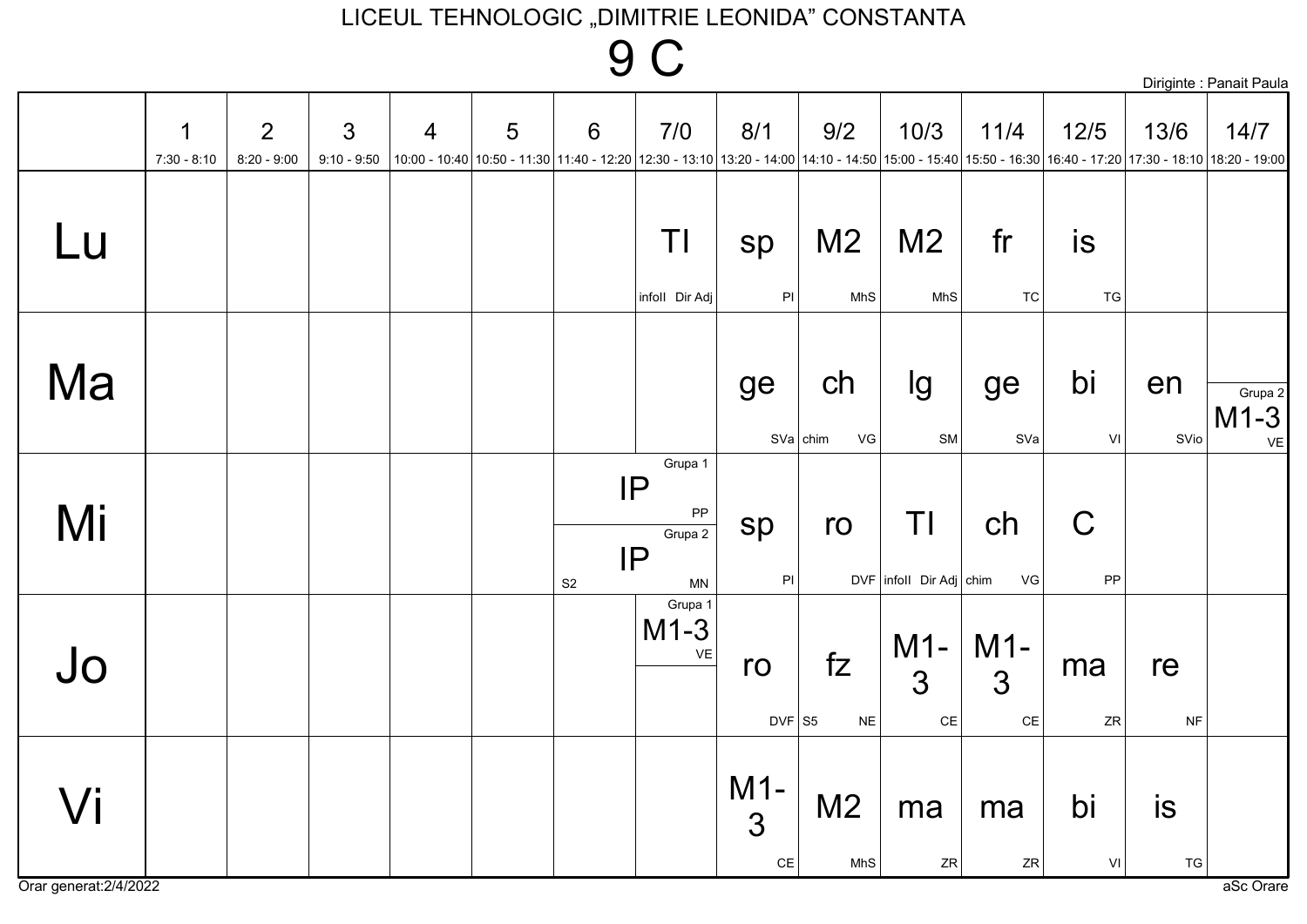## **9 C**

|    |                              |                                 |                                 |                |   |               |                                            |                             |                                                                                                                                                                                             |                                          |                             |                   |                  | Diriginte : Panait Paula |
|----|------------------------------|---------------------------------|---------------------------------|----------------|---|---------------|--------------------------------------------|-----------------------------|---------------------------------------------------------------------------------------------------------------------------------------------------------------------------------------------|------------------------------------------|-----------------------------|-------------------|------------------|--------------------------|
|    | $\mathbf 1$<br>$7:30 - 8:10$ | $\overline{2}$<br>$8:20 - 9:00$ | $\mathfrak{S}$<br>$9:10 - 9:50$ | $\overline{4}$ | 5 | 6             | 7/0                                        | 8/1                         | 9/2<br> 10:00 - 10:40  10:50 - 11:30  11:40 - 12:20  12:30 - 13:10  13:20 - 14:00  14:10 - 14:50  15:00 - 15:40  15:50 - 16:30  16:40 - 17:20  17:30 - 18:10  18:20 - 19:00   16:40 - 17:20 | 10/3                                     | 11/4                        | $12/5$            | 13/6             | 14/7                     |
| Lu |                              |                                 |                                 |                |   |               | ΤI<br>infoll Dir Adj                       | sp<br>$\mathsf{PI}$         | M <sub>2</sub><br>MhS                                                                                                                                                                       | M <sub>2</sub><br>MhS                    | fr<br><b>TC</b>             | is<br>TG          |                  |                          |
| Ma |                              |                                 |                                 |                |   |               |                                            | ge                          | ch<br>$SVa$ chim<br>VG                                                                                                                                                                      | Ig<br>SM                                 | ge<br>SVa                   | bi<br>VI          | en<br>SVio       | Grupa 2<br>$M1-3$<br>VE  |
| Mi |                              |                                 |                                 |                |   | $\mathsf{S}2$ | Grupa 1<br>IP<br>PP<br>Grupa 2<br>IP<br>MN | sp<br>$\mathsf{PI}$         | ro                                                                                                                                                                                          | TI<br>$DVF$ infoll Dir Adj chim          | ch<br>VG                    | $\mathsf C$<br>PP |                  |                          |
| Jo |                              |                                 |                                 |                |   |               | Grupa 1<br>$M1-3$<br>$\mathsf{VE}\xspace$  | ro<br>$DVF$ S5              | fZ<br>$N\mathsf{E}$                                                                                                                                                                         | $M1-$<br>$\overline{3}$<br>$\mathsf{CE}$ | $M1-$<br>3<br>$\mathsf{CE}$ | ma<br>ZR          | re<br><b>NF</b>  |                          |
| Vi |                              |                                 |                                 |                |   |               |                                            | $M1-$<br>3<br>$\mathsf{CE}$ | M <sub>2</sub><br>MhS                                                                                                                                                                       | ma<br>ZR                                 | ma<br>ZR                    | bi<br>VI          | is<br>${\tt TG}$ |                          |

Orar generat: 2/4/2022

aSc Orare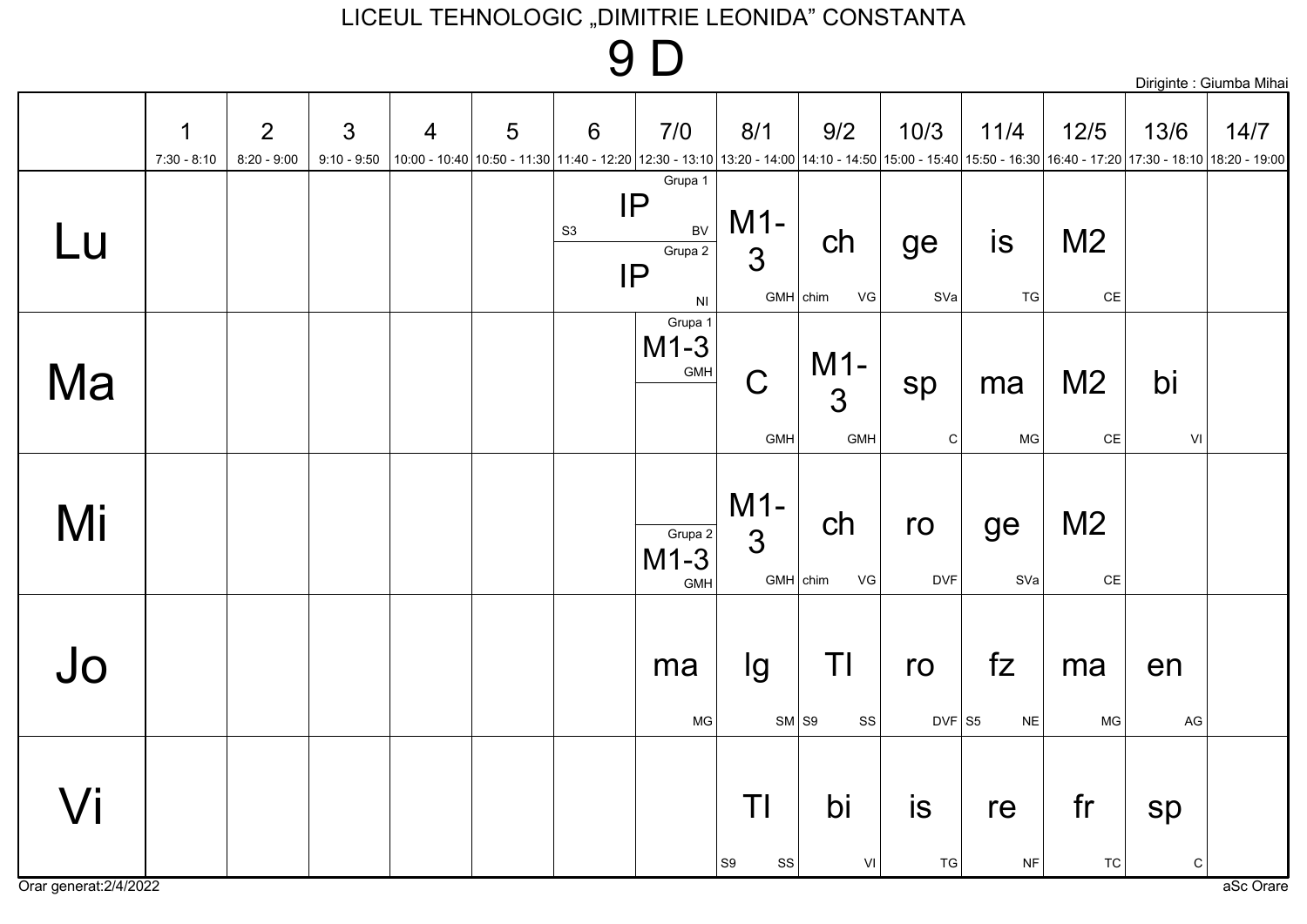## 9 D

|                     |                    |                                 |                                 |                |   |                |                                                                |                              |                              |                   |                     |                                                                                                                                                                             |                 | Diriginte : Giumba Mihai |
|---------------------|--------------------|---------------------------------|---------------------------------|----------------|---|----------------|----------------------------------------------------------------|------------------------------|------------------------------|-------------------|---------------------|-----------------------------------------------------------------------------------------------------------------------------------------------------------------------------|-----------------|--------------------------|
|                     | 1<br>$7:30 - 8:10$ | $\overline{2}$<br>$8:20 - 9:00$ | $\mathfrak{S}$<br>$9:10 - 9:50$ | $\overline{4}$ | 5 | 6              | 7/0                                                            | 8/1                          | 9/2                          | 10/3              | 11/4                | $12/5$<br>10:00 - 12:20 17:30 - 18:10 18:20 - 19:00 - 18:10 12:30 - 13:10 13:20 - 14:00 14:10 - 14:50 15:00 - 15:40 15:50 - 16:30 16:40 - 17:20 17:30 - 18:10 18:20 - 19:00 | 13/6            | 14/7                     |
| Lu                  |                    |                                 |                                 |                |   | S <sub>3</sub> | Grupa 1<br>IP<br>BV<br>Grupa 2<br>IP<br>$\mathsf{N}\mathsf{I}$ | $M1-$<br>3<br>$GMH$ chim     | ch<br>VG                     | ge<br>SVa         | is<br>${\tt TG}$    | M <sub>2</sub><br>$CE$                                                                                                                                                      |                 |                          |
| Ma                  |                    |                                 |                                 |                |   |                | Grupa 1<br>$M1-3$<br>GMH                                       | $\overline{C}$<br><b>GMH</b> | $M1-$<br>$\mathbf{3}$<br>GMH | sp<br>$\mathsf C$ | ma<br>MG            | M <sub>2</sub><br>$CE$                                                                                                                                                      | bi<br>VI        |                          |
| Mi                  |                    |                                 |                                 |                |   |                | Grupa 2<br>$M1-3$<br>GMH                                       | $M1-$<br>3<br>$GMH$ chim     | ch<br>VG                     | ro<br><b>DVF</b>  | ge<br>SVa           | M <sub>2</sub><br>$\mathsf{CE}$                                                                                                                                             |                 |                          |
| Jo                  |                    |                                 |                                 |                |   |                | ma<br>MG                                                       | lg<br>$SM$ S9                | TI<br>${\rm SS}$             | ro<br>$DVF$ S5    | fZ<br>$N\mathsf{E}$ | ma<br><b>MG</b>                                                                                                                                                             | en<br>AG        |                          |
| $\sqrt{\mathsf{i}}$ |                    |                                 |                                 |                |   |                |                                                                | Τl<br>$ $ S9<br>SS           | bi<br>VI                     | is<br>${\tt TG}$  | re<br><b>NF</b>     | fr<br>${\tt TC}$                                                                                                                                                            | sp<br>${\bf C}$ |                          |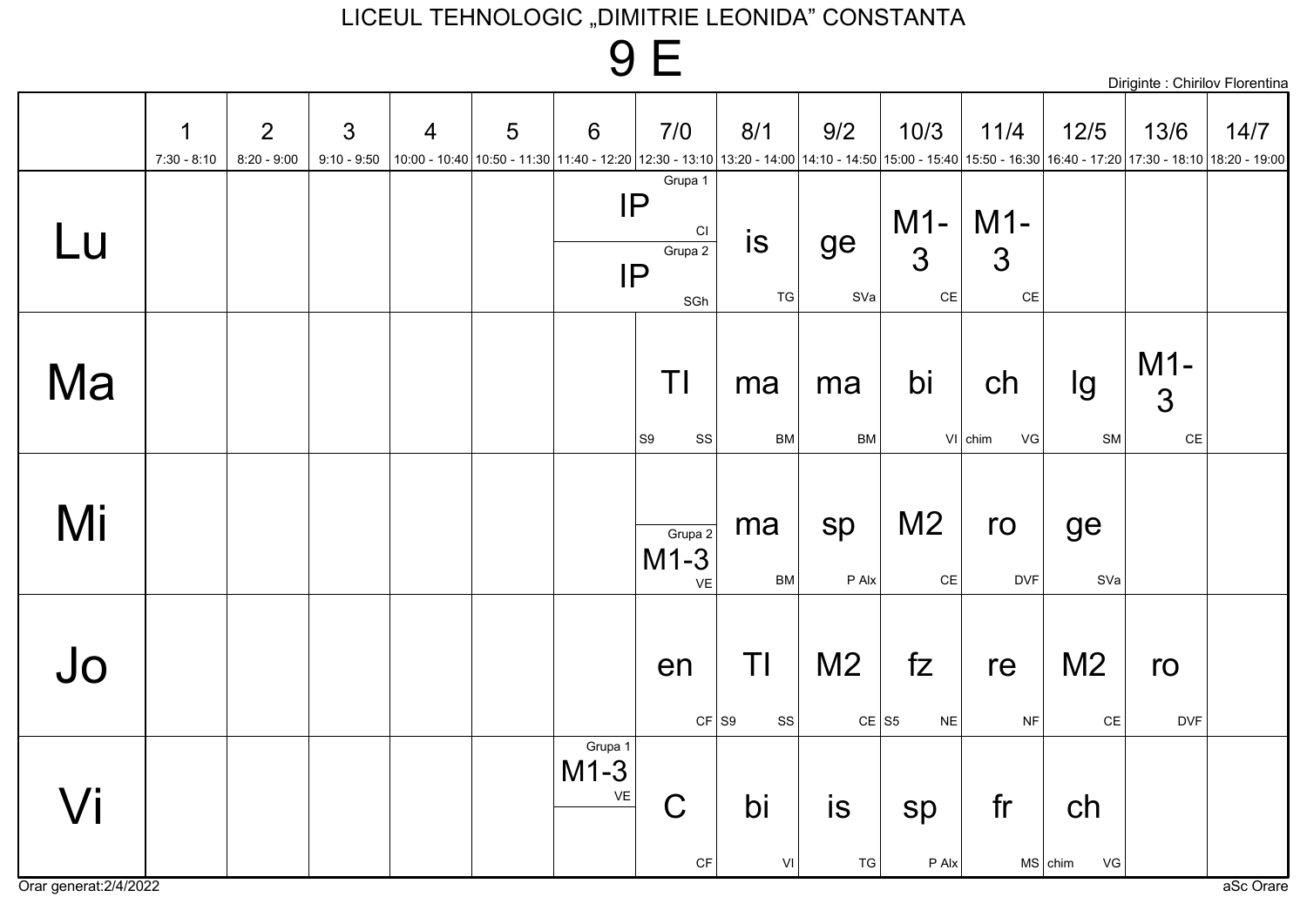|                  |                              |                    |                                 |                |   |                         | 9 E                                                                                                                                                              |                     |                           |                                     |                       |                                                 | Diriginte : Chirilov Florentina |      |
|------------------|------------------------------|--------------------|---------------------------------|----------------|---|-------------------------|------------------------------------------------------------------------------------------------------------------------------------------------------------------|---------------------|---------------------------|-------------------------------------|-----------------------|-------------------------------------------------|---------------------------------|------|
|                  | $\mathbf 1$<br>$7:30 - 8:10$ | 2<br>$8:20 - 9:00$ | $\mathfrak{S}$<br>$9:10 - 9:50$ | $\overline{4}$ | 5 | $6\phantom{1}6$         | 7/0<br>10:00 - 10:40 10:50 - 11:30 11:40 - 12:20 12:30 - 13:10 13:20 - 14:00 14:10 - 14:50 15:00 - 15:40 15:50 - 16:30 16:40 - 17:20 17:30 - 18:10 18:20 - 19:00 | 8/1                 | 9/2                       | 10/3                                | 11/4                  | $12/5$                                          | 13/6                            | 14/7 |
| Lu               |                              |                    |                                 |                |   |                         | Grupa 1<br>IP<br>C1<br>Grupa 2<br>IP<br>SGh                                                                                                                      | is<br><b>TG</b>     | ge<br>SVa                 | $M1 -   M1 -$<br>3<br>$\mathsf{CE}$ | 3<br>$\mathsf{CE}$    |                                                 |                                 |      |
| Ma               |                              |                    |                                 |                |   |                         | ΤI<br>S9<br>SS                                                                                                                                                   | ma<br><b>BM</b>     | ma<br>BM                  | bi                                  | ch<br>$V1$ chim<br>VG | lg<br><b>SM</b>                                 | $M1-$<br>3<br>$\mathsf{CE}$     |      |
| Mi               |                              |                    |                                 |                |   |                         | Grupa 2<br>$M1-3$<br><b>VE</b>                                                                                                                                   | ma<br><b>BM</b>     | sp<br>P Alx               | M <sub>2</sub><br>$\mathsf{CE}$     | ro<br><b>DVF</b>      | ge<br>SVa                                       |                                 |      |
| Jo               |                              |                    |                                 |                |   |                         | en<br>$CF$ S <sub>9</sub>                                                                                                                                        | TI<br>SS            | M <sub>2</sub><br>$CE$ S5 | fZ<br><b>NE</b>                     | re<br>$\sf{NF}$       | M <sub>2</sub><br>$\mathsf{CE}% _{\mathcal{A}}$ | ro<br><b>DVF</b>                |      |
| $\overline{J}$ i |                              |                    |                                 |                |   | Grupa 1<br>$M1-3$<br>VE | $\mathsf C$<br>CF                                                                                                                                                | bi<br>$\mathsf{VI}$ | is<br>${\tt TG}$          | sp<br>P Alx                         | fr                    | ch<br>$MS$ chim<br>VG                           |                                 |      |

Orar generat: 2/4/2022

aSc Orare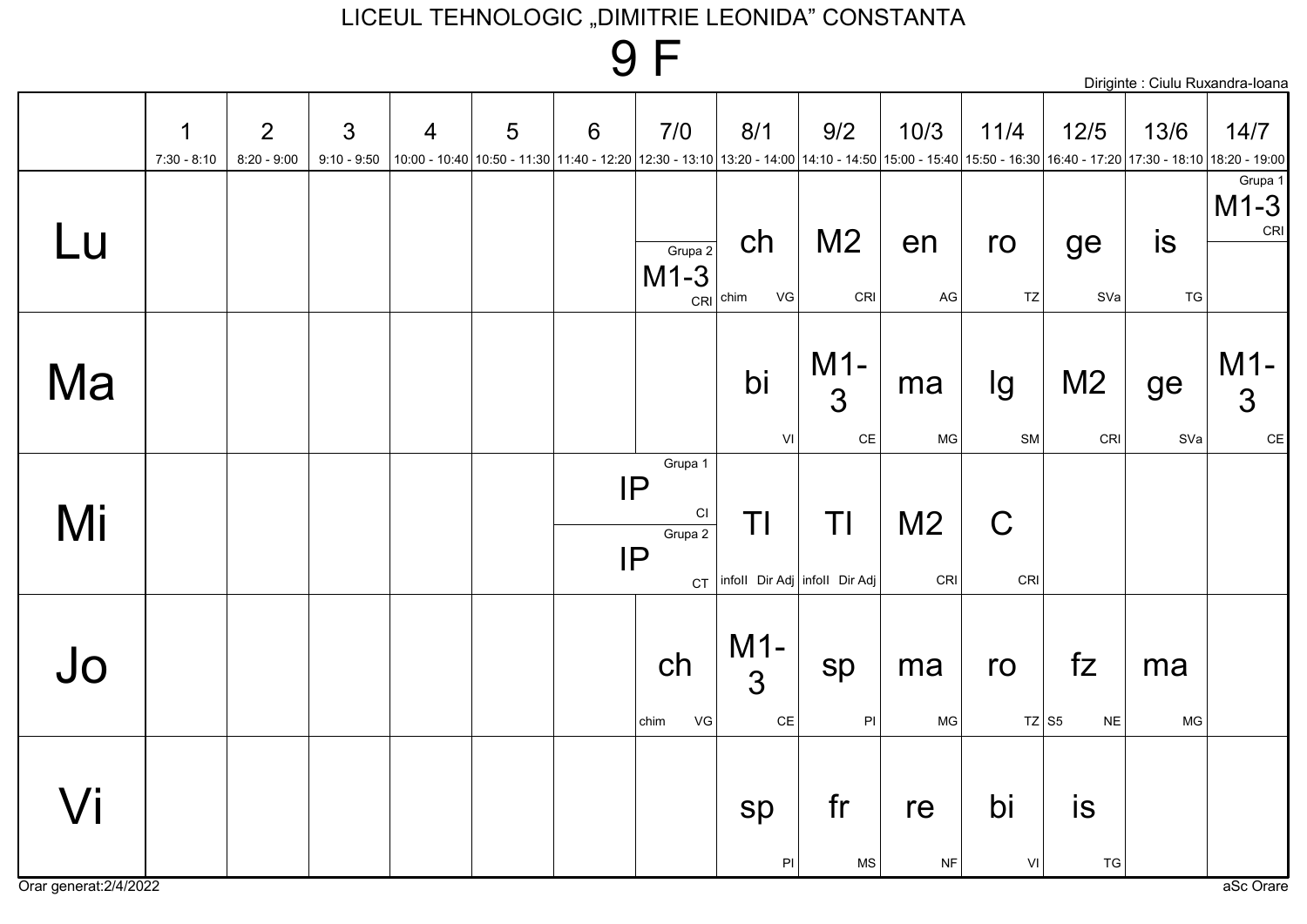|    |                    |                                 |                                 |   |   |                                                                                                                                                                              |                                                   |                                     |                             |                       |                    |                       |           | Diriginte : Ciulu Ruxandra-Ioana |
|----|--------------------|---------------------------------|---------------------------------|---|---|------------------------------------------------------------------------------------------------------------------------------------------------------------------------------|---------------------------------------------------|-------------------------------------|-----------------------------|-----------------------|--------------------|-----------------------|-----------|----------------------------------|
|    | 1<br>$7:30 - 8:10$ | $\overline{2}$<br>$8:20 - 9:00$ | $\mathfrak{S}$<br>$9:10 - 9:50$ | 4 | 5 | $6\phantom{1}6$<br>10:00 - 10:40 10:50 - 11:30 11:40 - 12:20 12:30 - 13:10 13:20 - 14:00 14:10 - 14:50 15:00 - 15:40 15:50 - 16:30 16:40 - 17:20 17:30 - 18:10 18:20 - 19:00 | 7/0                                               | 8/1                                 | 9/2                         | 10/3                  | 11/4               | $12/5$                | 13/6      | 14/7                             |
| Lu |                    |                                 |                                 |   |   |                                                                                                                                                                              | Grupa 2<br>$M1-3$                                 | ch<br>VG<br>$CRI$ chim              | M <sub>2</sub><br>CRI       | en<br>AG              | ro<br>TZ           | ge<br>SVa             | is<br>TG  | Grupa 1<br>$M1-3$<br>CRI         |
| Ma |                    |                                 |                                 |   |   |                                                                                                                                                                              |                                                   | bi<br>VI                            | $M1-$<br>3<br>$\mathsf{CE}$ | ma<br>MG              | lg<br>SM           | M <sub>2</sub><br>CRI | ge<br>SVa | $M1-$<br>3<br>$\mathsf{CE}$      |
| Mi |                    |                                 |                                 |   |   |                                                                                                                                                                              | Grupa 1<br>IP<br>CI<br>Grupa 2<br>IP<br><b>CT</b> | ΤI<br>infoll Dir Adj infoll Dir Adj | Τl                          | M <sub>2</sub><br>CRI | $\mathsf C$<br>CRI |                       |           |                                  |
| Jo |                    |                                 |                                 |   |   |                                                                                                                                                                              | ch<br>VG<br>chim                                  | $M1-$<br>3<br>$\mathsf{CE}$         | sp<br>PI                    | ma<br><b>MG</b>       | ro<br>$TZ$ S5      | fZ<br><b>NE</b>       | ma<br>MG  |                                  |
| Vi |                    |                                 |                                 |   |   |                                                                                                                                                                              |                                                   | sp<br>$\mathsf{PI}$                 | fr<br><b>MS</b>             | re<br><b>NF</b>       | bi<br>VI           | is<br>TG              |           |                                  |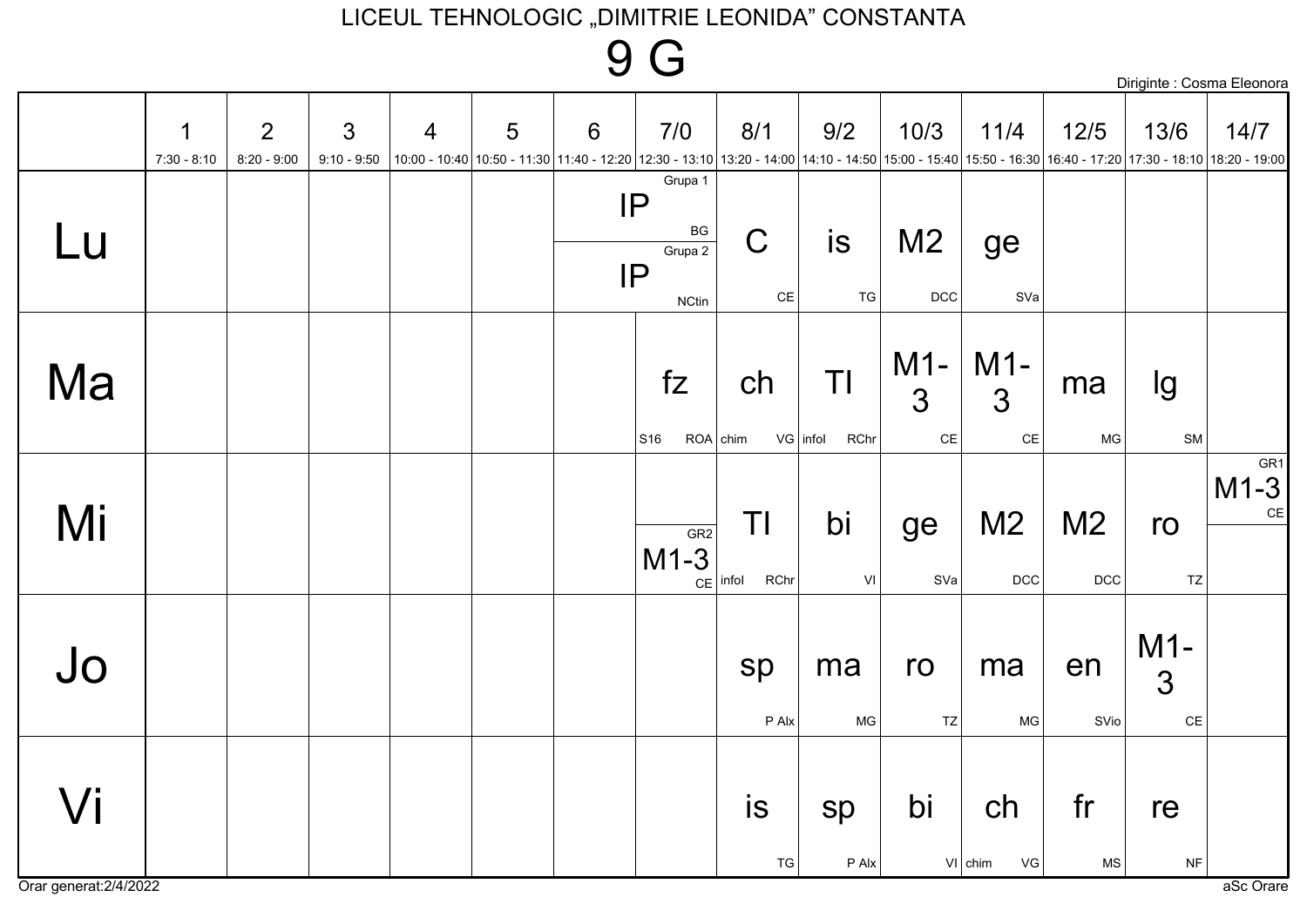### **9 G**

|                     |                              |                    |                                 |                |   |                 |                                                                                                                                                                                                                                       |                                              |                                 |                       |                             |                       |                                          | Diriginte : Cosma Eleonora |
|---------------------|------------------------------|--------------------|---------------------------------|----------------|---|-----------------|---------------------------------------------------------------------------------------------------------------------------------------------------------------------------------------------------------------------------------------|----------------------------------------------|---------------------------------|-----------------------|-----------------------------|-----------------------|------------------------------------------|----------------------------|
|                     | $\mathbf 1$<br>$7:30 - 8:10$ | 2<br>$8:20 - 9:00$ | $\mathfrak{Z}$<br>$9:10 - 9:50$ | $\overline{4}$ | 5 | $6\phantom{1}6$ | 7/0<br> 10:00 - 10:40  10:50 - 11:30  11:40 - 12:20  12:30 - 13:10  13:20 - 14:00  14:10 - 14:50  15:00 - 15:40  15:50 - 16:30  16:40 - 17:20  17:30 - 18:10  18:20 - 19:00   19:00 - 15:40   17:30 - 18:10   18:20 - 19:00   19:00 - | 8/1                                          | 9/2                             | 10/3                  | 11/4                        | $12/5$                | 13/6                                     | 14/7                       |
| Lu                  |                              |                    |                                 |                |   |                 | Grupa 1<br> P <br>$\mathsf{B}\mathsf{G}$<br>Grupa 2<br>IP<br><b>NCtin</b>                                                                                                                                                             | $\mathsf C$<br>$\mathsf{CE}% _{\mathcal{A}}$ | is<br>TG                        | M <sub>2</sub><br>DCC | ge<br>SVa                   |                       |                                          |                            |
| Ma                  |                              |                    |                                 |                |   |                 | fZ<br>S16                                                                                                                                                                                                                             | ch<br>$ROA  $ chim                           | ΤI<br>$VG$ infol<br><b>RChr</b> | $M1-$<br>3<br>$CE$    | $M1-$<br>3<br>$\mathsf{CE}$ | ma<br><b>MG</b>       | Ig<br>${\sf SM}$                         |                            |
| Mi                  |                              |                    |                                 |                |   |                 | GR2<br>$M1-3$                                                                                                                                                                                                                         | ΤI<br>$CE$ infol<br><b>RChr</b>              | bi<br>VI                        | ge<br>SVa             | M <sub>2</sub><br>DCC       | M <sub>2</sub><br>DCC | ro<br>TZ                                 | GR1<br>$M1-3$<br>$CE$      |
| Jo                  |                              |                    |                                 |                |   |                 |                                                                                                                                                                                                                                       | sp<br>P Alx                                  | ma<br>MG                        | ro<br>TZ              | ma<br>MG                    | en<br>SVio            | $M1-$<br>$\overline{3}$<br>$\mathsf{CE}$ |                            |
| $\sqrt{\mathsf{i}}$ |                              |                    |                                 |                |   |                 |                                                                                                                                                                                                                                       | is<br>${\tt TG}$                             | sp<br>P Alx                     | bi                    | ch<br>$V1$ chim<br>VG       | fr<br>MS              | re<br>$\sf{NF}$                          |                            |

Orar generat: 2/4/2022

 $\sim$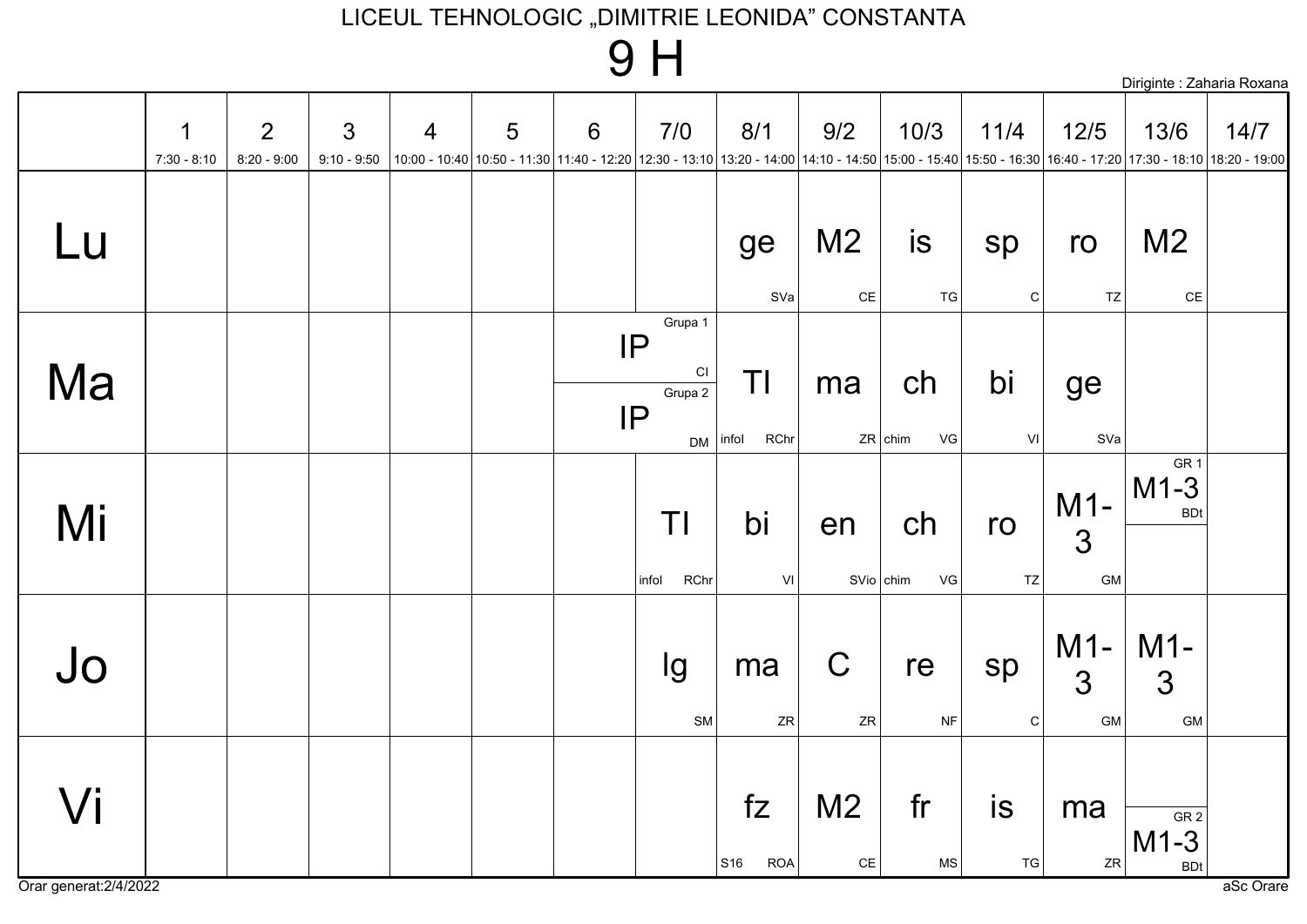### 9H

|                     |                              |                    |                                 |                |   |   |                                                   |                                                                                                                                                                                             |                                 |                        |                   |                              | Diriginte : Zaharia Roxana              |      |
|---------------------|------------------------------|--------------------|---------------------------------|----------------|---|---|---------------------------------------------------|---------------------------------------------------------------------------------------------------------------------------------------------------------------------------------------------|---------------------------------|------------------------|-------------------|------------------------------|-----------------------------------------|------|
|                     | $\mathbf 1$<br>$7:30 - 8:10$ | 2<br>$8:20 - 9:00$ | $\mathfrak{S}$<br>$9:10 - 9:50$ | $\overline{4}$ | 5 | 6 | 7/0                                               | 8/1<br> 10:00 - 10:40  10:50 - 11:30  11:40 - 12:20  12:30 - 13:10  13:20 - 14:00  14:10 - 14:50  15:00 - 15:40  15:50 - 16:30  16:40 - 17:20  17:30 - 18:10  18:20 - 19:00   16:40 - 17:20 | 9/2                             | 10/3                   | 11/4              | $12/5$                       | 13/6                                    | 14/7 |
| Lu                  |                              |                    |                                 |                |   |   |                                                   | ge<br>SVa                                                                                                                                                                                   | M <sub>2</sub><br>$\mathsf{CE}$ | is<br><b>TG</b>        | sp<br>C           | ro<br>$\mathsf{T}\mathsf{Z}$ | M <sub>2</sub><br>$\mathsf{CE}\,$       |      |
| Ma                  |                              |                    |                                 |                |   |   | Grupa 1<br>IP<br>C1<br>Grupa 2<br>IP<br><b>DM</b> | ΤI<br>RChr<br>infol                                                                                                                                                                         | ma                              | ch<br>VG<br>$ZR $ chim | bi<br>VI          | ge<br>SVa                    |                                         |      |
| Mi                  |                              |                    |                                 |                |   |   | ΤI<br><b>RChr</b><br>infol                        | bi<br>VI                                                                                                                                                                                    | en<br>$S$ Vio chim              | ch<br>VG               | ro<br>TZ          | $M1-$<br>3<br>GM             | GR <sub>1</sub><br>$M1-3$<br><b>BDt</b> |      |
| Jo                  |                              |                    |                                 |                |   |   | Ig<br>${\sf SM}$                                  | ma<br>${\sf ZR}$                                                                                                                                                                            | $\mathsf C$<br>${\sf ZR}$       | re<br>$\sf{NF}$        | sp<br>$\mathsf C$ | $M1-$<br>3<br>GM             | $M1-$<br>3<br>GM                        |      |
| $\sqrt{\mathsf{i}}$ |                              |                    |                                 |                |   |   |                                                   | fZ<br>S16<br><b>ROA</b>                                                                                                                                                                     | M <sub>2</sub><br>$\mathsf{CE}$ | fr<br>MS               | $i$ s<br>TG       | ma<br>${\sf ZR}$             | GR <sub>2</sub><br>$M1-3$<br><b>BDt</b> |      |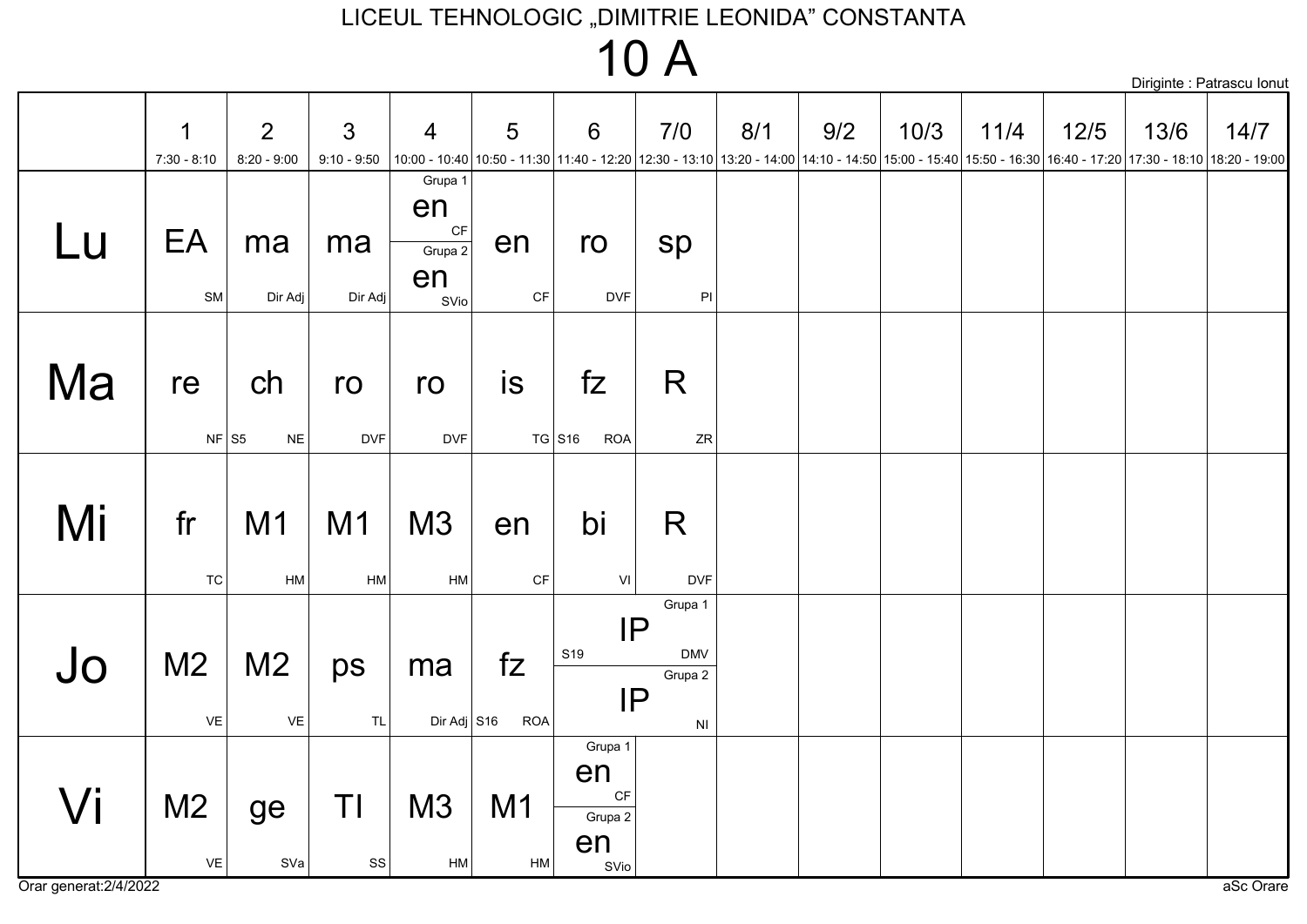### **10 A**

|    |                                        |                                                                        |                                 |                                                                  |                              |                                              |                                                                        |     |                                                                                                                                                                                |      |      |        |      | Diriginte : Patrascu Ionut |
|----|----------------------------------------|------------------------------------------------------------------------|---------------------------------|------------------------------------------------------------------|------------------------------|----------------------------------------------|------------------------------------------------------------------------|-----|--------------------------------------------------------------------------------------------------------------------------------------------------------------------------------|------|------|--------|------|----------------------------|
|    | $\mathbf 1$<br>$7:30 - 8:10$           | $\overline{2}$<br>$8:20 - 9:00$                                        | $\mathfrak{S}$<br>$9:10 - 9:50$ | $\overline{4}$                                                   | 5                            | 6                                            | 7/0                                                                    | 8/1 | 9/2<br>10:00 - 12:20 17:30 - 18:10 13:20 - 14:30 11:40 - 12:20 12:30 - 13:10 13:20 - 14:00 14:10 - 14:50 15:00 - 15:40 15:50 - 16:30 16:40 - 17:20 17:30 - 18:10 18:20 - 19:00 | 10/3 | 11/4 | $12/5$ | 13/6 | 14/7                       |
| Lu | EA<br>SM                               | ma<br>Dir Adj                                                          | ma<br>Dir Adj                   | Grupa 1<br>en<br>$\mathsf{C}\mathsf{F}$<br>Grupa 2<br>en<br>SVio | en<br>$\mathsf{C}\mathsf{F}$ | ro<br><b>DVF</b>                             | sp<br>$\mathsf{Pl}$                                                    |     |                                                                                                                                                                                |      |      |        |      |                            |
| Ma | re<br>$NF$ S5                          | ch<br>$\sf NE$                                                         | ro<br><b>DVF</b>                | ro<br><b>DVF</b>                                                 | is                           | fZ<br>$TG$ S <sub>16</sub><br><b>ROA</b>     | R<br>ZR                                                                |     |                                                                                                                                                                                |      |      |        |      |                            |
| Mi | fr<br><b>TC</b>                        | M <sub>1</sub><br>HM                                                   | M <sub>1</sub><br>HM            | M <sub>3</sub><br><b>HM</b>                                      | en<br>$\mathsf{C}\mathsf{F}$ | bi<br>VI                                     | R<br><b>DVF</b>                                                        |     |                                                                                                                                                                                |      |      |        |      |                            |
| Jo | M <sub>2</sub><br>$\mathsf{VE}\xspace$ | M <sub>2</sub><br>$\mathsf{VE}% _{\mathsf{H}}\left( \mathsf{V}\right)$ | ps<br>$\mathsf{TL}$             | ma<br>Dir Adj $\big $ S16                                        | fZ<br><b>ROA</b>             | S <sub>19</sub>                              | Grupa 1<br>IP<br><b>DMV</b><br>Grupa 2<br>IP<br>$\mathsf{N}\mathsf{I}$ |     |                                                                                                                                                                                |      |      |        |      |                            |
| Vi | M <sub>2</sub><br>$\mathsf{VE}\xspace$ | ge<br>SVa                                                              | ΤI<br>$\texttt{SS}$             | M3<br>HM                                                         | M <sub>1</sub><br>HM         | Grupa 1<br>en<br>CF<br>Grupa 2<br>en<br>SVio |                                                                        |     |                                                                                                                                                                                |      |      |        |      |                            |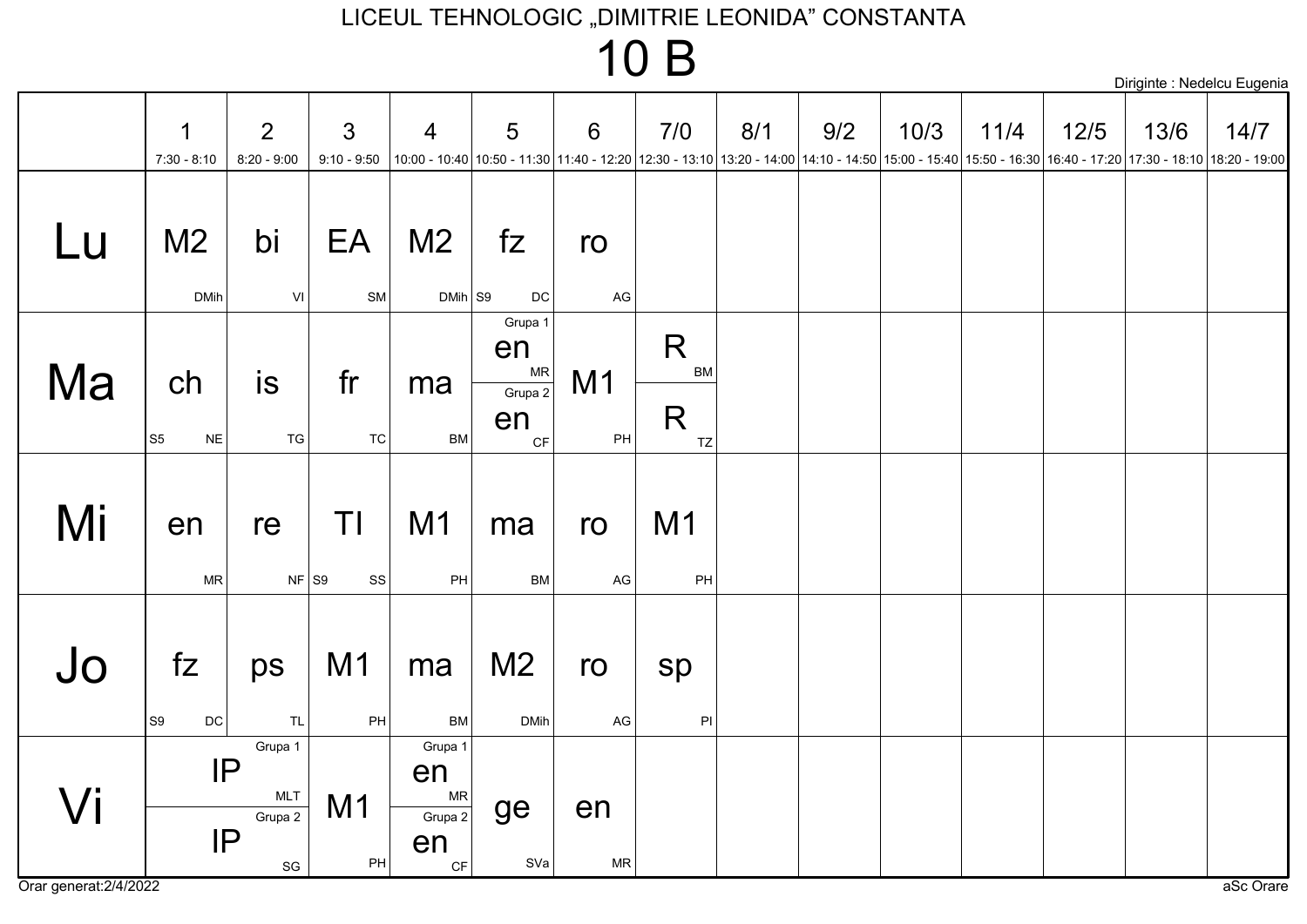### 10 B

|    |                                       |                                                                              |                                 |                                                                       |                                                                                                                                                                                |                      |                      |     |     |      |      |        | Diriginte : Nedelcu Eugenia |      |
|----|---------------------------------------|------------------------------------------------------------------------------|---------------------------------|-----------------------------------------------------------------------|--------------------------------------------------------------------------------------------------------------------------------------------------------------------------------|----------------------|----------------------|-----|-----|------|------|--------|-----------------------------|------|
|    | $\mathbf 1$<br>$7:30 - 8:10$          | $\overline{2}$<br>$8:20 - 9:00$                                              | $\mathbf{3}$<br>$9:10 - 9:50$   | $\overline{4}$                                                        | 5<br>10:00 - 17:20 17:30 - 18:10 18:20 17:30 - 19:00 - 17:30 2 17:30 - 13:10 13:20 - 14:00 14:10 - 14:50 15:00 - 15:40 15:50 - 16:30 16:40 - 17:20 17:30 - 18:10 18:20 - 19:00 | $6\phantom{1}$       | 7/0                  | 8/1 | 9/2 | 10/3 | 11/4 | $12/5$ | 13/6                        | 14/7 |
| Lu | M <sub>2</sub><br><b>DMih</b>         | bi<br>$\mathsf{VI}$                                                          | EA<br>${\sf SM}$                | M <sub>2</sub><br>$DMih$ S9                                           | fZ<br>DC                                                                                                                                                                       | ro<br>AG             |                      |     |     |      |      |        |                             |      |
| Ma | ch<br>S <sub>5</sub><br>$\sf NE$      | is<br>${\tt TG}$                                                             | fr<br>TC                        | ma<br>BM                                                              | Grupa 1<br>en<br><b>MR</b><br>Grupa 2<br>en<br>CF                                                                                                                              | M <sub>1</sub><br>PH | R<br>BM<br>R<br>TZ   |     |     |      |      |        |                             |      |
| Mi | en<br><b>MR</b>                       | re<br>$NF$ S9                                                                | ΤI<br>$_{\rm SS}$               | M <sub>1</sub><br>PH                                                  | ma<br><b>BM</b>                                                                                                                                                                | ro<br>AG             | M <sub>1</sub><br>PH |     |     |      |      |        |                             |      |
| Jo | fZ<br>S <sub>9</sub><br>$\mathsf{DC}$ | ps<br>TL                                                                     | M <sub>1</sub><br>$\mathsf{PH}$ | ma<br><b>BM</b>                                                       | M <sub>2</sub><br><b>DMih</b>                                                                                                                                                  | ro<br>$\mathsf{AG}$  | sp<br>$\mathsf{PI}$  |     |     |      |      |        |                             |      |
| Vi |                                       | Grupa 1<br>IP<br><b>MLT</b><br>Grupa 2<br>IP<br>$\operatorname{\mathsf{SG}}$ | M <sub>1</sub><br>PH            | Grupa 1<br>en<br><b>MR</b><br>Grupa 2<br>en<br>$\mathsf{C}\mathsf{F}$ | ge<br>SVa                                                                                                                                                                      | en<br>${\sf MR}$     |                      |     |     |      |      |        |                             |      |

Orar generat: 2/4/2022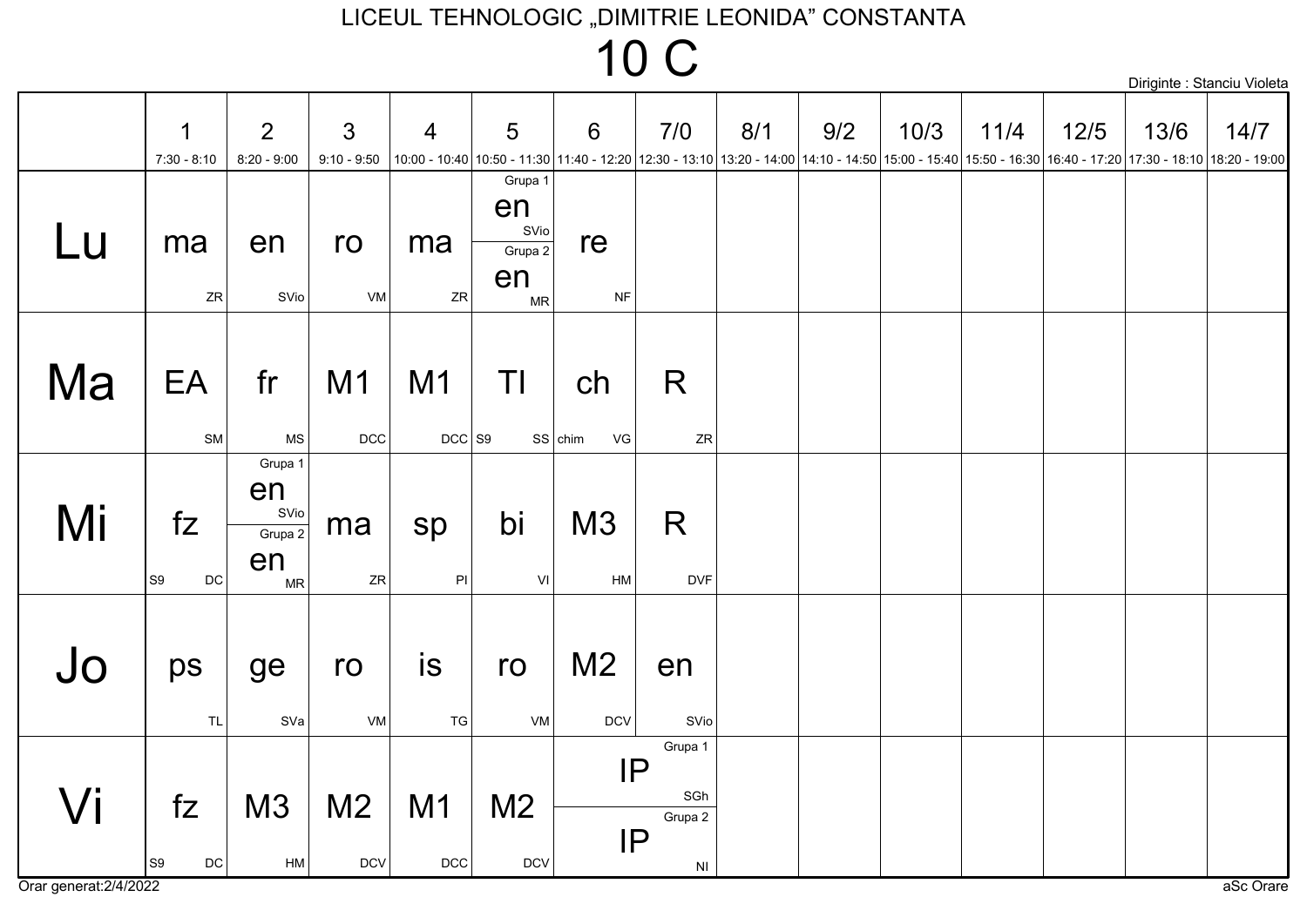|    |                                       |                                                     |                                 |                            |                                                      |                              |                                             |     |     |      |                                                                                                                                                                    |        |      | Diriginte : Stanciu Violeta |
|----|---------------------------------------|-----------------------------------------------------|---------------------------------|----------------------------|------------------------------------------------------|------------------------------|---------------------------------------------|-----|-----|------|--------------------------------------------------------------------------------------------------------------------------------------------------------------------|--------|------|-----------------------------|
|    | 1<br>$7:30 - 8:10$                    | 2<br>$8:20 - 9:00$                                  | $\mathfrak{S}$<br>$9:10 - 9:50$ | $\overline{4}$             | 5                                                    | 6                            | 7/0                                         | 8/1 | 9/2 | 10/3 | 11/4<br> 10:00 - 10:40 10:50 - 11:30 11:40 - 12:20 12:30 - 13:10 13:20 - 14:00 14:10 - 14:50 15:00 - 15:40 15:50 - 16:30 16:40 - 17:20 17:30 - 18:10 18:20 - 19:00 | $12/5$ | 13/6 | 14/7                        |
| Lu | ma<br>ZR                              | en<br>SVio                                          | ro<br>VM                        | ma<br>ZR                   | Grupa 1<br>en<br>SVio<br>Grupa 2<br>en<br>${\sf MR}$ | re<br><b>NF</b>              |                                             |     |     |      |                                                                                                                                                                    |        |      |                             |
| Ma | EA<br>SM                              | fr<br>$\mathsf{MS}\xspace$                          | M1<br>DCC                       | M <sub>1</sub><br>$DCC$ S9 | ΤI                                                   | ch<br>$SS$ chim<br>VG        | R<br>${\sf ZR}$                             |     |     |      |                                                                                                                                                                    |        |      |                             |
| Mi | fZ<br>$\mathsf{DC}$<br>S9             | Grupa 1<br>en<br>SVio<br>Grupa 2<br>en<br><b>MR</b> | ma<br>ZR                        | sp<br>$\mathsf{PI}$        | bi<br>VI                                             | M3<br>HM                     | R<br><b>DVF</b>                             |     |     |      |                                                                                                                                                                    |        |      |                             |
| Jo | ps<br><b>TL</b>                       | ge<br>SVa                                           | ro<br>VM                        | is<br>TG                   | ro<br>VM                                             | M <sub>2</sub><br><b>DCV</b> | en<br>SVio                                  |     |     |      |                                                                                                                                                                    |        |      |                             |
| Vi | fZ<br>S <sub>9</sub><br>$\mathsf{DC}$ | M3<br>HM                                            | M <sub>2</sub><br><b>DCV</b>    | M1<br>$DCC$                | M <sub>2</sub><br>$DCV$                              | IP<br>IP                     | Grupa 1<br>SGh<br>Grupa 2<br>N <sub>l</sub> |     |     |      |                                                                                                                                                                    |        |      |                             |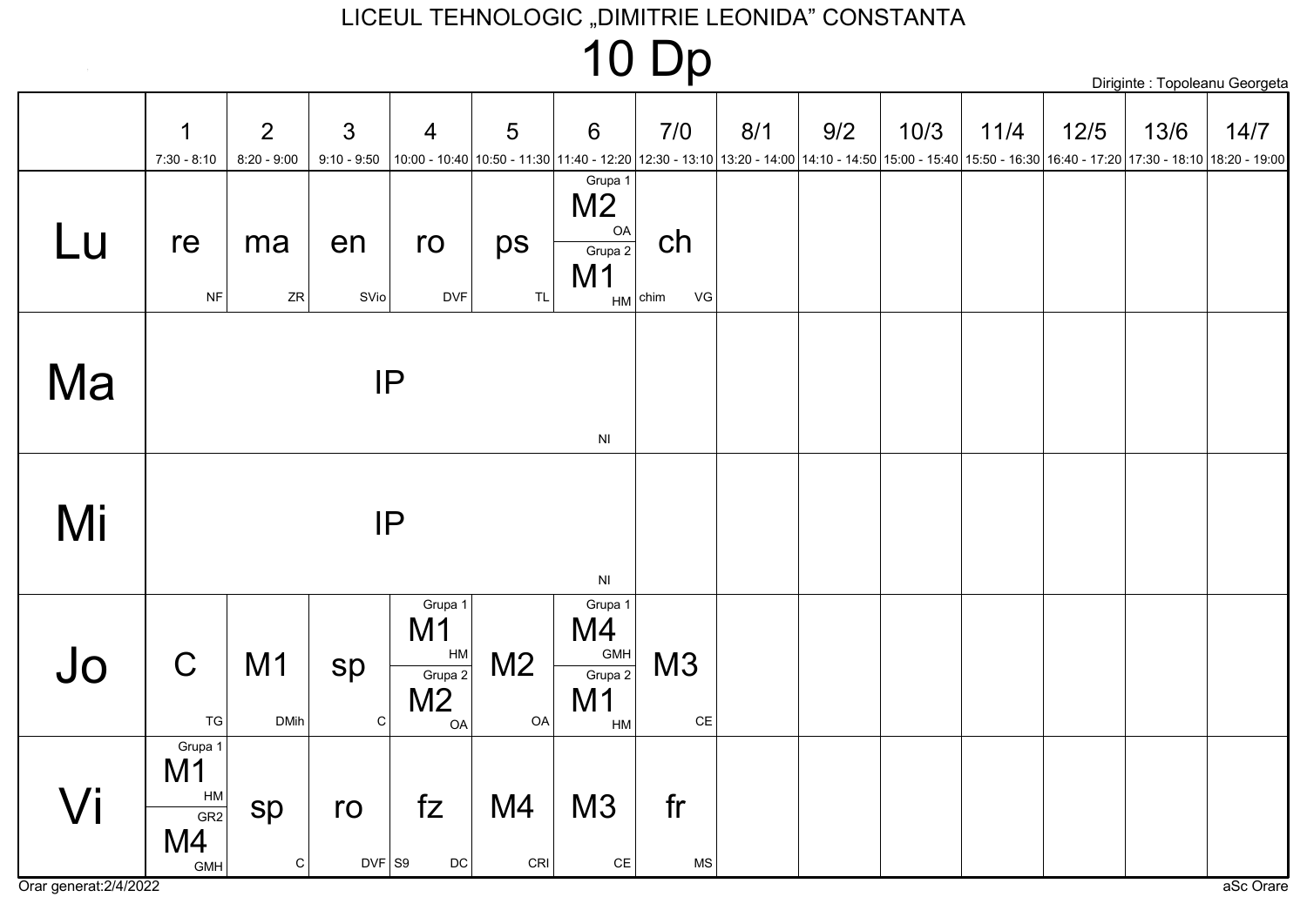### **10 Dp**

|    |                                                |                    |                    |                                                               |                      |                                                     |                       |     |     |      |                                                                                                                                                                     |        |      | Diriginte : Topoleanu Georgeta |
|----|------------------------------------------------|--------------------|--------------------|---------------------------------------------------------------|----------------------|-----------------------------------------------------|-----------------------|-----|-----|------|---------------------------------------------------------------------------------------------------------------------------------------------------------------------|--------|------|--------------------------------|
|    | 1<br>$7:30 - 8:10$                             | 2<br>$8:20 - 9:00$ | 3<br>$9:10 - 9:50$ | $\overline{4}$                                                | 5                    | $6\phantom{1}6$                                     | 7/0                   | 8/1 | 9/2 | 10/3 | $11/4$<br>10:00 - 10:40 10:50 - 11:30 11:40 - 12:20 12:30 - 13:10 13:20 - 14:00 14:10 - 14:50 15:00 - 15:40 15:50 - 16:30 16:40 - 17:20 17:30 - 18:10 18:20 - 19:00 | $12/5$ | 13/6 | 14/7                           |
| Lu | re<br><b>NF</b>                                | ma<br>${\sf ZR}$   | en<br>SVio         | ro<br><b>DVF</b>                                              | ps<br><b>TL</b>      | Grupa 1<br>M <sub>2</sub><br>OA<br>Grupa 2<br>M1    | ch<br>VG<br>$HM$ chim |     |     |      |                                                                                                                                                                     |        |      |                                |
| Ma |                                                |                    |                    | IP                                                            |                      | $\mathsf{N}\mathsf{I}$                              |                       |     |     |      |                                                                                                                                                                     |        |      |                                |
| Mi |                                                |                    |                    | IP                                                            |                      | $\mathsf{N}\mathsf{I}$                              |                       |     |     |      |                                                                                                                                                                     |        |      |                                |
| Jo | $\mathsf C$<br><b>TG</b>                       | M1<br><b>DMih</b>  | sp<br>${\bf C}$    | Grupa 1<br>M1<br>HM<br>Grupa 2<br>M <sub>2</sub><br><b>OA</b> | M <sub>2</sub><br>OA | Grupa 1<br>M4<br>GMH<br>Grupa 2<br>M1<br>${\sf HM}$ | M3<br>$\mathsf{CE}$   |     |     |      |                                                                                                                                                                     |        |      |                                |
| Vi | Grupa 1<br>M1<br>HM<br>GR2<br>M4<br><b>GMH</b> | sp<br>${\bf C}$    | ro<br>$DYF$ S9     | fZ<br>$\mathsf{DC}$                                           | M4<br>CRI            | M3<br>$\mathsf{CE}$                                 | fr<br>MS              |     |     |      |                                                                                                                                                                     |        |      |                                |

Orar generat: 2/4/2022

 $\sim 10^{-1}$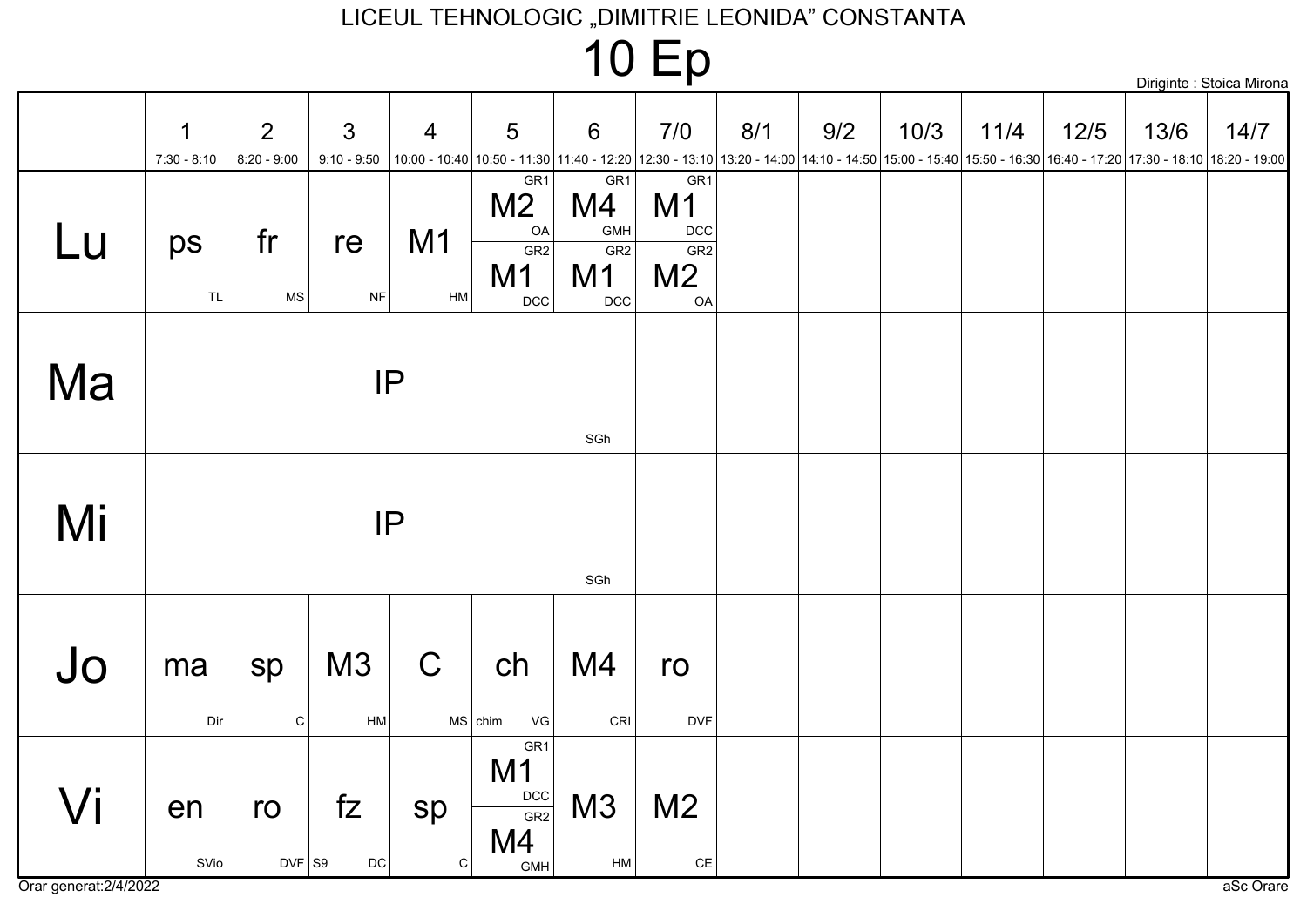# 10 Ep

|    | 1             | $\overline{2}$    | $\mathfrak{S}$       | $\overline{4}$       | 5                                                        | $6\phantom{1}6$                                              | 7/0                                                                                   | 8/1 | 9/2                                                                                                                                                       | 10/3 | 11/4 | $12/5$ | 13/6 | 14/7 |
|----|---------------|-------------------|----------------------|----------------------|----------------------------------------------------------|--------------------------------------------------------------|---------------------------------------------------------------------------------------|-----|-----------------------------------------------------------------------------------------------------------------------------------------------------------|------|------|--------|------|------|
|    | $7:30 - 8:10$ | $8:20 - 9:00$     | $9:10 - 9:50$        |                      |                                                          |                                                              |                                                                                       |     | 10:00 - 10:40 10:50 - 11:30 11:40 - 12:20 12:30 - 13:10 13:20 - 14:00 14:10 - 14:50 15:00 - 15:40 15:50 - 16:30 16:40 - 17:20 17:30 - 18:10 18:20 - 19:00 |      |      |        |      |      |
| Lu | ps<br>TL      | fr<br>$\sf MS$    | re<br>NF             | M <sub>1</sub><br>HM | GR1<br>M <sub>2</sub><br>OA<br>GR2<br>M1<br>$_{\rm DCC}$ | GR <sub>1</sub><br>M4<br>GMH<br>GR <sub>2</sub><br>M1<br>DCC | GR <sub>1</sub><br>M <sub>1</sub><br>$DCC$<br>GR <sub>2</sub><br>M <sub>2</sub><br>OA |     |                                                                                                                                                           |      |      |        |      |      |
| Ma |               |                   |                      | IP                   |                                                          | SGh                                                          |                                                                                       |     |                                                                                                                                                           |      |      |        |      |      |
| Mi |               |                   | IP                   |                      |                                                          | SGh                                                          |                                                                                       |     |                                                                                                                                                           |      |      |        |      |      |
| Jo | ma<br>Dir     | sp<br>$\mathbf C$ | M <sub>3</sub><br>HM | $\mathsf C$          | ch<br>$MS$ chim<br>VG                                    | M4<br>CRI                                                    | ro<br><b>DVF</b>                                                                      |     |                                                                                                                                                           |      |      |        |      |      |
| Vi | en<br>SVio    | ro<br>$DVF$ S9    | fZ<br>$\mathsf{DC}$  | sp<br>$\mathsf C$    | GR1<br>M <sub>1</sub><br>DCC<br>GR2<br>M4<br>GMH         | M3<br>${\sf HM}$                                             | M <sub>2</sub><br>$\mathsf{CE}% _{\mathcal{A}}\left( \mathcal{A},\mathcal{A}\right)$  |     |                                                                                                                                                           |      |      |        |      |      |

Orar generat: 2/4/2022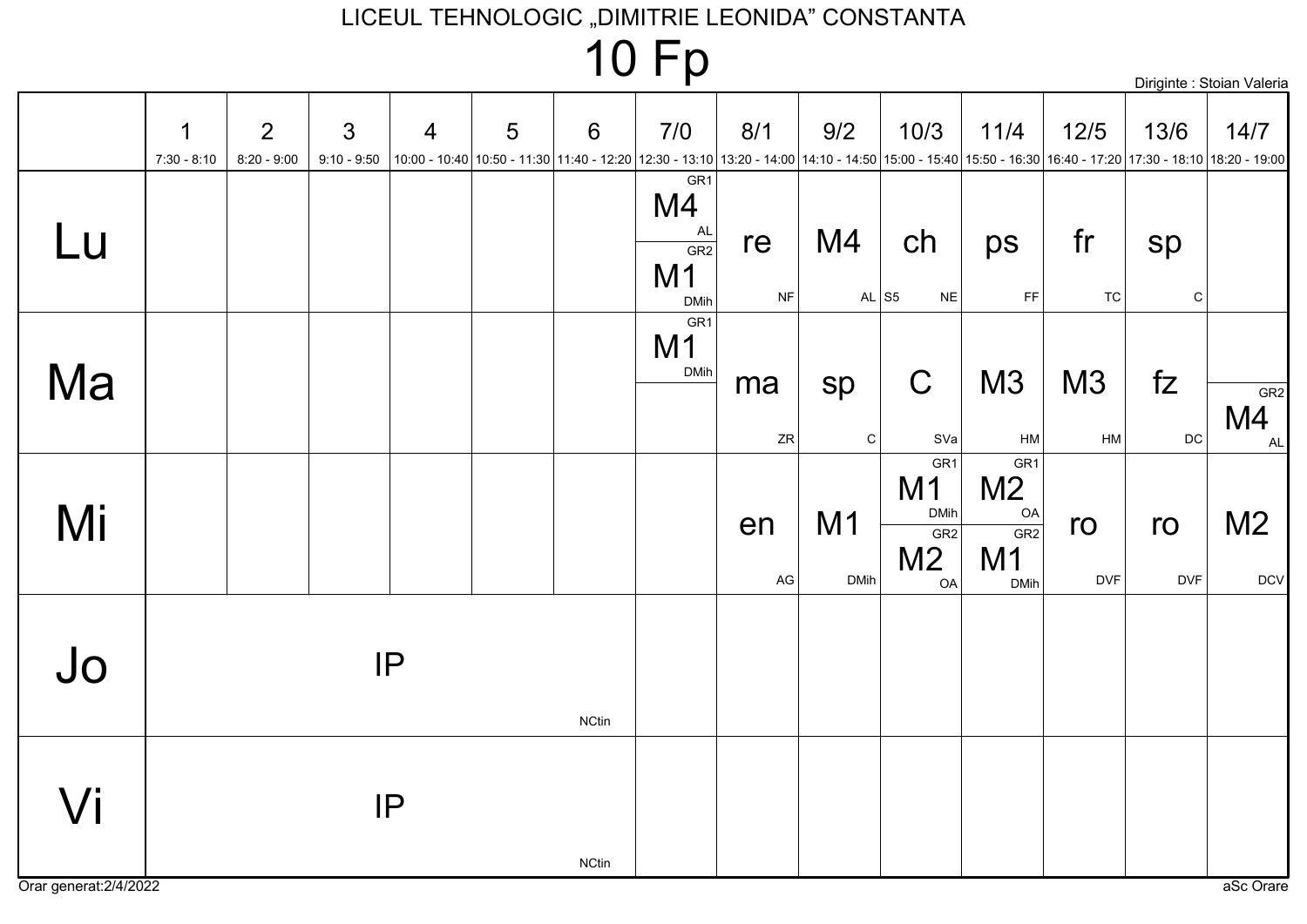# **10 Fp**

| Diriginte : Stoian Valeria |  |  |
|----------------------------|--|--|
|                            |  |  |

|    | $\mathbf 1$<br>$7:30 - 8:10$ | $\overline{2}$<br>$8:20 - 9:00$ | $\mathfrak{S}$ | $\overline{4}$ | 5 | $6\phantom{1}6$ | 7/0                                                                 | 8/1      | 9/2                           | 10/3                                                                            | 11/4                                                                                   | $12/5$           | 13/6<br>10:00 - 10:40 10:50 - 11:30 11:40 - 12:20 12:30 - 13:10 13:20 - 14:00 14:10 - 14:50 15:00 - 15:40 15:50 - 16:30 16:40 - 17:20 17:30 - 18:10 18:20 - 19:00 | 14/7                         |
|----|------------------------------|---------------------------------|----------------|----------------|---|-----------------|---------------------------------------------------------------------|----------|-------------------------------|---------------------------------------------------------------------------------|----------------------------------------------------------------------------------------|------------------|-------------------------------------------------------------------------------------------------------------------------------------------------------------------|------------------------------|
| Lu |                              |                                 | $9:10 - 9:50$  |                |   |                 | GR <sub>1</sub><br>M4<br>AL<br>GR2<br>M <sub>1</sub><br><b>DMih</b> | re<br>NF | M4<br>AL $ S5$                | ch<br><b>NE</b>                                                                 | ps<br>$\mathsf{FF}% _{0}$                                                              | fr<br>TC         | sp<br>$\mathbf C$                                                                                                                                                 |                              |
| Ma |                              |                                 |                |                |   |                 | GR <sub>1</sub><br>M <sub>1</sub><br><b>DMih</b>                    | ma<br>ZR | sp<br>C                       | $\mathsf C$<br>SVa                                                              | M3<br>HM                                                                               | M3<br>HM         | fZ<br>$\mathsf{DC}$                                                                                                                                               | GR2<br>M4<br>AL              |
| Mi |                              |                                 |                |                |   |                 |                                                                     | en<br>AG | M <sub>1</sub><br><b>DMih</b> | GR <sub>1</sub><br>M <sub>1</sub><br><b>DMih</b><br>GR2<br>M <sub>2</sub><br>OA | GR <sub>1</sub><br>M <sub>2</sub><br><b>OA</b><br>GR2<br>M <sub>1</sub><br><b>DMih</b> | ro<br><b>DVF</b> | ro<br><b>DVF</b>                                                                                                                                                  | M <sub>2</sub><br><b>DCV</b> |
| Jo |                              |                                 |                | IP             |   | <b>NCtin</b>    |                                                                     |          |                               |                                                                                 |                                                                                        |                  |                                                                                                                                                                   |                              |
| Vi |                              |                                 |                | IP             |   | <b>NCtin</b>    |                                                                     |          |                               |                                                                                 |                                                                                        |                  |                                                                                                                                                                   |                              |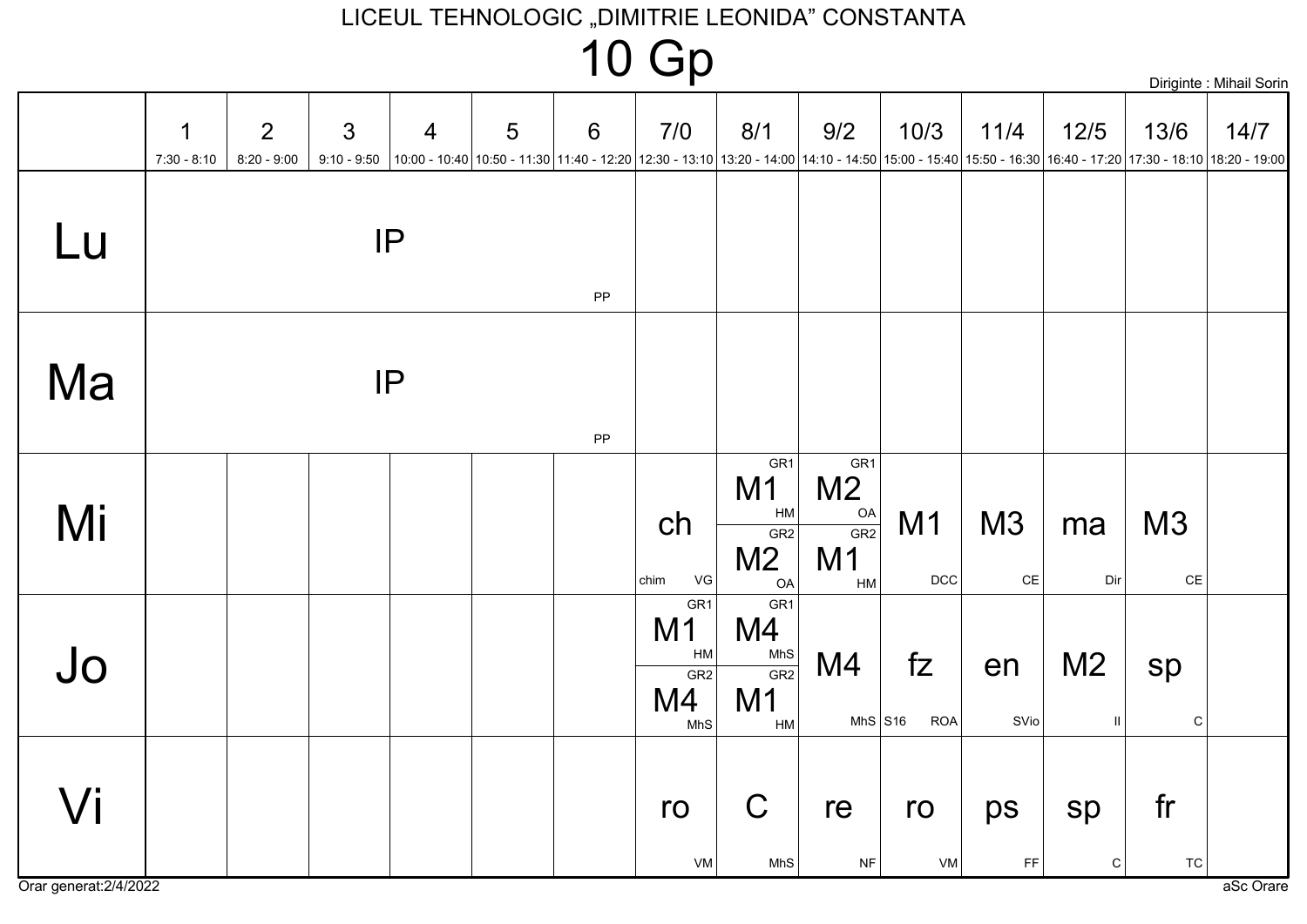# **10 Gp**

Diriginte: Mihail Sorin

|                     | 1<br>$7:30 - 8:10$ | $\overline{2}$<br>$8:20 - 9:00$ | $\mathfrak{S}$ | 4<br>9:10 - 9:50  10:00 - 10:40  10:50 - 11:30  11:40 - 12:20  12:30 - 13:10  13:20 - 14:00  14:10 - 14:50  15:00 - 15:40  15:50 - 16:30  16:40 - 17:20  17:30 - 18:10  18:20 - 19:00 | $\overline{5}$ | $6\,$      | 7/0                                                                     | 8/1                                                                    | 9/2                                                                            | 10/3               | 11/4                | 12/5                      | 13/6                | 14/7 |
|---------------------|--------------------|---------------------------------|----------------|---------------------------------------------------------------------------------------------------------------------------------------------------------------------------------------|----------------|------------|-------------------------------------------------------------------------|------------------------------------------------------------------------|--------------------------------------------------------------------------------|--------------------|---------------------|---------------------------|---------------------|------|
| Lu                  |                    |                                 |                | IP                                                                                                                                                                                    |                | ${\sf PP}$ |                                                                         |                                                                        |                                                                                |                    |                     |                           |                     |      |
| Ma                  |                    |                                 |                | IP                                                                                                                                                                                    |                | PP         |                                                                         |                                                                        |                                                                                |                    |                     |                           |                     |      |
| Mi                  |                    |                                 |                |                                                                                                                                                                                       |                |            | ch<br>VG<br>chim                                                        | GR <sub>1</sub><br>M <sub>1</sub><br>HM<br>GR2<br>M <sub>2</sub><br>OA | GR <sub>1</sub><br>M <sub>2</sub><br>OA<br>GR2<br>M <sub>1</sub><br>${\sf HM}$ | M1<br>$_{\rm DCC}$ | M3<br>$\mathsf{CE}$ | ma<br>Dir                 | M3<br>$\mathsf{CE}$ |      |
| Jo                  |                    |                                 |                |                                                                                                                                                                                       |                |            | GR <sub>1</sub><br>M <sub>1</sub><br>HM<br>GR <sub>2</sub><br>M4<br>MhS | GR <sub>1</sub><br>M4<br>MhS<br>GR2<br>M <sub>1</sub><br>HM            | M4<br>MhS $S16$                                                                | fZ<br><b>ROA</b>   | en<br>SVio          | M <sub>2</sub><br>$\,$ II | sp<br>$\mathsf C$   |      |
| $\sqrt{\mathsf{i}}$ |                    |                                 |                |                                                                                                                                                                                       |                |            | ro<br>VM                                                                | $\mathsf C$<br>MhS                                                     | re<br><b>NF</b>                                                                | ro<br>VM           | ps<br>FF            | sp<br>${\bf C}$           | fr<br>TC            |      |

Orar generat: 2/4/2022

aSc Orare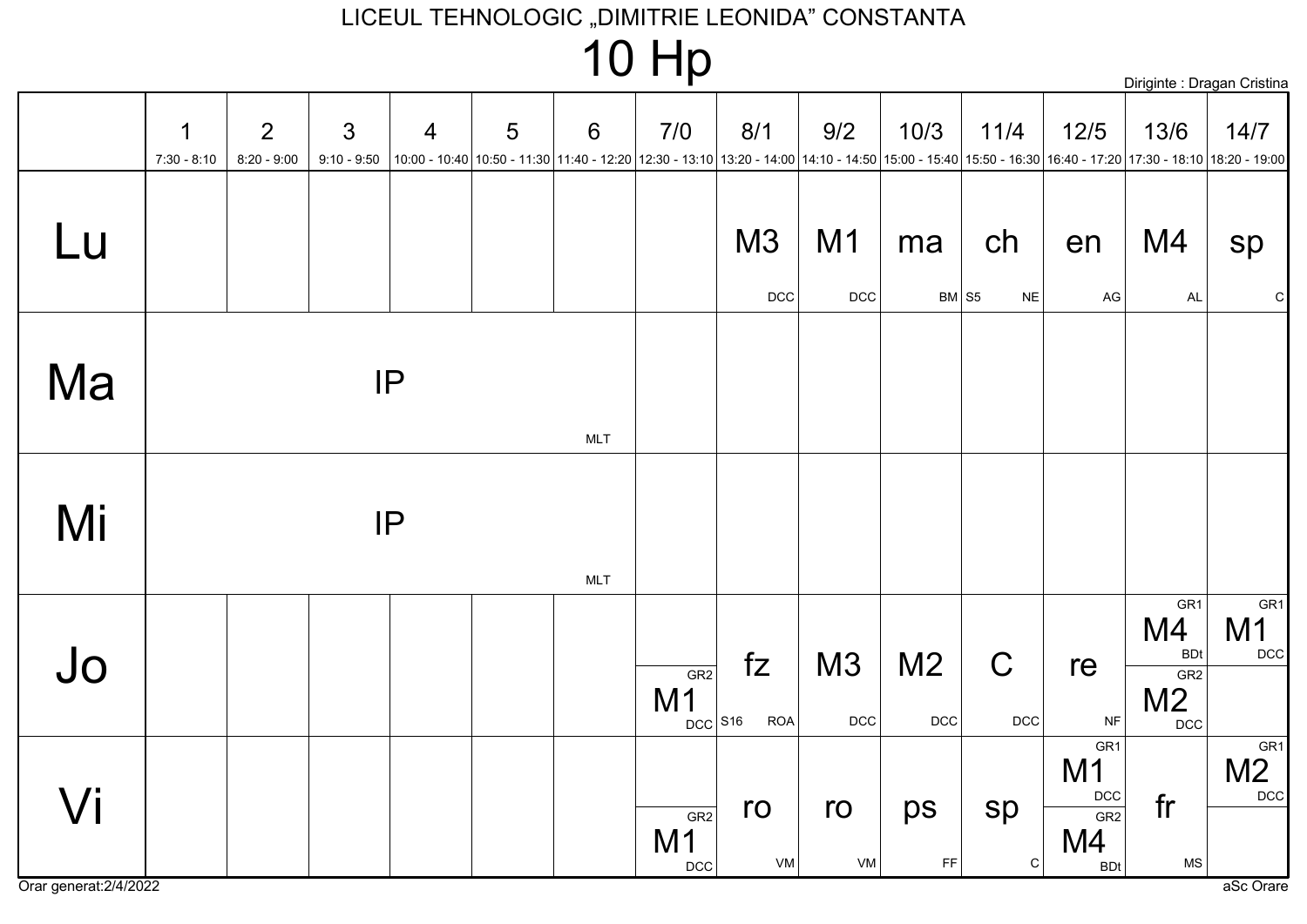### 10 Hp

|                    |                                 |                                 |                |                                                                                                                                                                | $\overline{\phantom{0}}$ | $\sim$<br>E IT                     |                  |             |                              |                    |                                           | Diriginte : Dragan Cristina                                                |                                            |
|--------------------|---------------------------------|---------------------------------|----------------|----------------------------------------------------------------------------------------------------------------------------------------------------------------|--------------------------|------------------------------------|------------------|-------------|------------------------------|--------------------|-------------------------------------------|----------------------------------------------------------------------------|--------------------------------------------|
| 1<br>$7:30 - 8:10$ | $\overline{2}$<br>$8:20 - 9:00$ | $\mathfrak{S}$<br>$9:10 - 9:50$ | $\overline{4}$ | 5<br>10:00 - 10:40 10:50 - 11:30 11:40 - 12:20 12:30 - 13:10 13:20 - 14:00 14:10 - 14:50 15:00 - 15:40 15:50 - 16:30 16:40 - 17:20 17:30 - 18:10 18:20 - 19:00 | $6\phantom{1}6$          | 7/0                                | 8/1              | 9/2         | 10/3                         | 11/4               | $12/5$                                    | 13/6                                                                       | 14/7                                       |
|                    |                                 |                                 |                |                                                                                                                                                                |                          |                                    | M3               | M1          | ma                           | ch                 | en                                        | M4                                                                         | sp                                         |
|                    |                                 |                                 |                |                                                                                                                                                                |                          |                                    | <b>DCC</b>       | DCC         | $BM$ S5                      | <b>NE</b>          | AG                                        | <b>AL</b>                                                                  | ${\rm C}$                                  |
|                    |                                 |                                 | IP             |                                                                                                                                                                | <b>MLT</b>               |                                    |                  |             |                              |                    |                                           |                                                                            |                                            |
|                    |                                 |                                 | IP             |                                                                                                                                                                | <b>MLT</b>               |                                    |                  |             |                              |                    |                                           |                                                                            |                                            |
|                    |                                 |                                 |                |                                                                                                                                                                |                          | GR2<br>M1<br>$DCC$ S <sub>16</sub> | fZ<br><b>ROA</b> | M3<br>$DCC$ | M <sub>2</sub><br><b>DCC</b> | $\mathsf C$<br>DCC | re<br><b>NF</b>                           | GR <sub>1</sub><br>M4<br><b>BDt</b><br>GR2<br>M <sub>2</sub><br><b>DCC</b> | GR <sub>1</sub><br>M <sub>1</sub><br>$DCC$ |
|                    |                                 |                                 |                |                                                                                                                                                                |                          | GR2<br>M <sub>1</sub>              | ro               | ro          | ps                           | sp                 | GR <sub>1</sub><br>M1<br>DCC<br>GR2<br>M4 | fr                                                                         | GR <sub>1</sub><br>M <sub>2</sub><br>DCC   |

VM

**DCC** 

VM

 $FF$ 

 $|c|$ 

**BDt** 

Orar generat: 2/4/2022

Vi

Lu

Ma

Mi

Jo

**MS**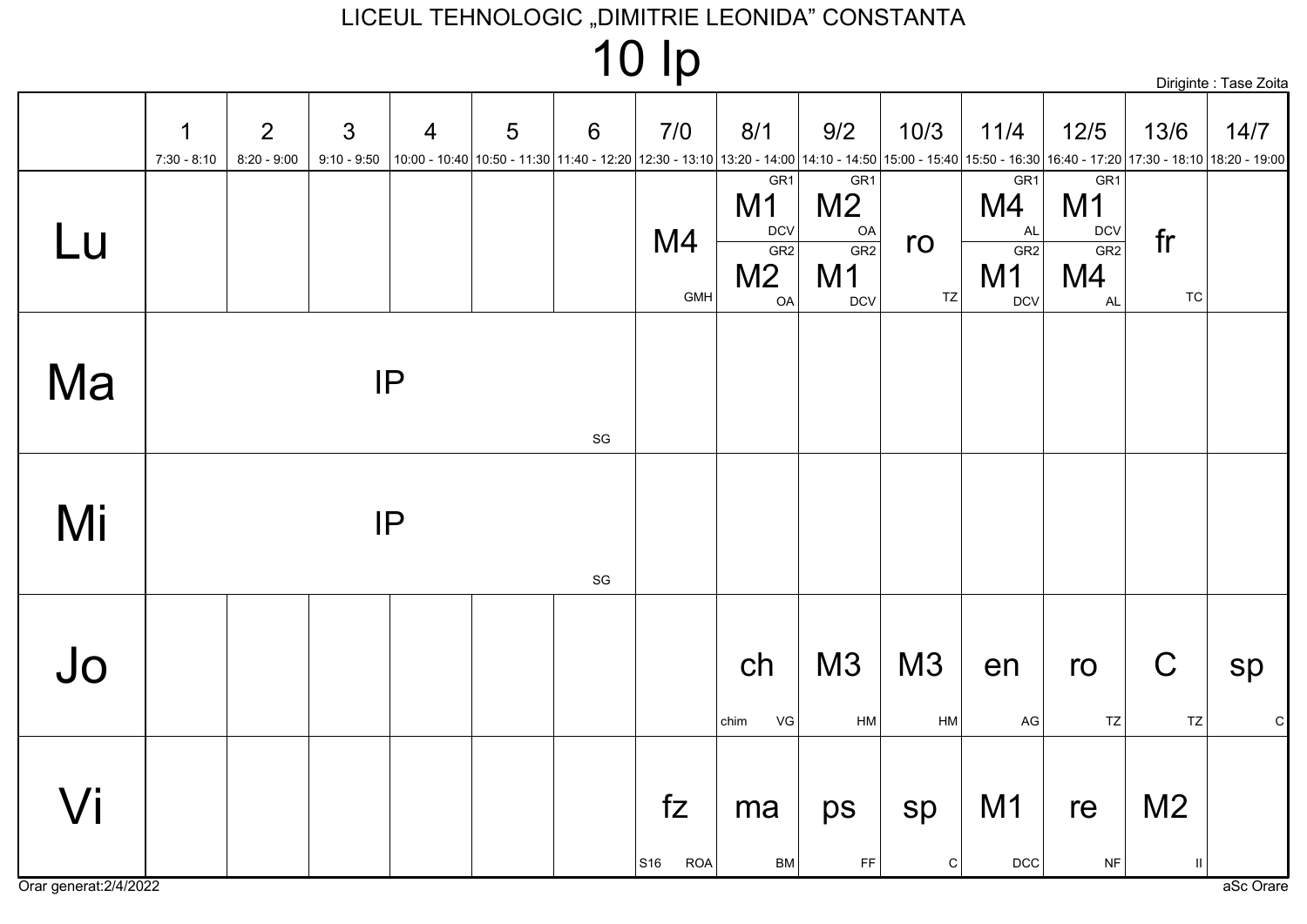| $10$ $lp$ |  |
|-----------|--|
|-----------|--|



|                     | $\mathbf 1$<br>$7:30 - 8:10$ | $\overline{2}$<br>$8:20 - 9:00$ | $\mathfrak{S}$<br>$9:10 - 9:50$ | $\overline{4}$<br>10:00 - 10:40 10:50 - 11:30 11:40 - 12:20 12:30 - 13:10 13:20 - 14:00 14:10 - 14:50 15:00 - 15:40 15:50 - 16:30 16:40 - 17:20 17:30 - 18:10 18:20 - 19:00 | 5 | $6\,$                        | 7/0                     | 8/1                                                                            | 9/2                                                                       | 10/3              | 11/4                                                                      | $12/5$                                                                    | 13/6                | 14/7          |
|---------------------|------------------------------|---------------------------------|---------------------------------|-----------------------------------------------------------------------------------------------------------------------------------------------------------------------------|---|------------------------------|-------------------------|--------------------------------------------------------------------------------|---------------------------------------------------------------------------|-------------------|---------------------------------------------------------------------------|---------------------------------------------------------------------------|---------------------|---------------|
| Lu                  |                              |                                 |                                 |                                                                                                                                                                             |   |                              | M4<br>GMH               | GR1<br>M <sub>1</sub><br><b>DCV</b><br>GR <sub>2</sub><br>M <sub>2</sub><br>OA | GR <sub>1</sub><br>M <sub>2</sub><br>OA<br>GR2<br>M <sub>1</sub><br>$DCV$ | ro<br>TZ          | GR <sub>1</sub><br>M4<br><b>AL</b><br>GR2<br>M <sub>1</sub><br><b>DCV</b> | GR <sub>1</sub><br>M <sub>1</sub><br><b>DCV</b><br>GR2<br>M4<br><b>AL</b> | fr<br>TC            |               |
| Ma                  |                              |                                 | IP                              |                                                                                                                                                                             |   | $\operatorname{\mathsf{SG}}$ |                         |                                                                                |                                                                           |                   |                                                                           |                                                                           |                     |               |
| Mi                  |                              |                                 | IP                              |                                                                                                                                                                             |   | $\operatorname{\mathsf{SG}}$ |                         |                                                                                |                                                                           |                   |                                                                           |                                                                           |                     |               |
| Jo                  |                              |                                 |                                 |                                                                                                                                                                             |   |                              |                         | ch<br>VG<br>chim                                                               | M3<br>HM                                                                  | M3<br>HM          | en<br>$\mathsf{AG}$                                                       | ro<br>$\mathsf{T}\mathsf{Z}$                                              | $\mathsf C$<br>TZ   | sp<br>$\circ$ |
| $\sqrt{\mathsf{i}}$ |                              |                                 |                                 |                                                                                                                                                                             |   |                              | fZ<br><b>ROA</b><br>S16 | ma<br>BM                                                                       | ps<br>$\mathsf{FF}% _{0}$                                                 | sp<br>$\mathbf C$ | M1<br>DCC                                                                 | re<br>NF                                                                  | M <sub>2</sub><br>Ш |               |

Orar generat: 2/4/2022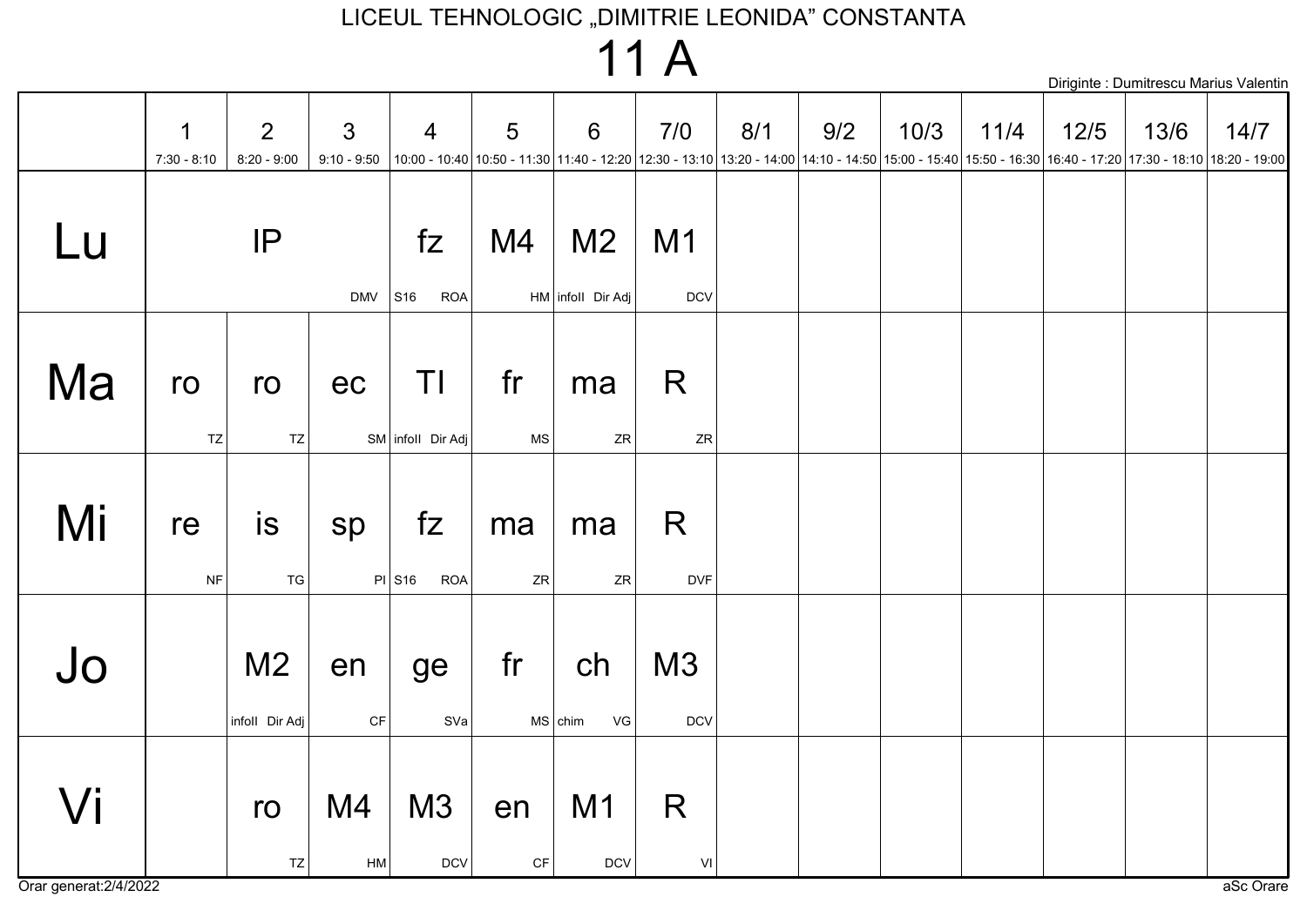### 11 A

|                        |                    |                                  |                                 |                                          |                              |                                     |                  |     |     |      |                                                                                                                                                                   |      |      | Diriginte : Dumitrescu Marius Valentin |
|------------------------|--------------------|----------------------------------|---------------------------------|------------------------------------------|------------------------------|-------------------------------------|------------------|-----|-----|------|-------------------------------------------------------------------------------------------------------------------------------------------------------------------|------|------|----------------------------------------|
|                        | 1<br>$7:30 - 8:10$ | $\overline{2}$<br>$8:20 - 9:00$  | $\mathfrak{S}$<br>$9:10 - 9:50$ | $\overline{4}$                           | 5                            | 6                                   | 7/0              | 8/1 | 9/2 | 10/3 | 11/4<br>10:00 - 10:40 10:50 - 11:30 11:40 - 12:20 12:30 - 13:10 13:20 - 14:00 14:10 - 14:50 15:00 - 15:40 15:50 - 16:30 16:40 - 17:20 17:30 - 18:10 18:20 - 19:00 | 12/5 | 13/6 | 14/7                                   |
| Lu                     |                    | IP                               | $DMV$ S16                       | fZ<br><b>ROA</b>                         | M4                           | M <sub>2</sub><br>HM infoll Dir Adj | M1<br><b>DCV</b> |     |     |      |                                                                                                                                                                   |      |      |                                        |
| Ma                     | ro<br>TZ           | ro<br>TZ                         | ec                              | ΤI<br>SM infoll Dir Adj                  | fr<br><b>MS</b>              | ma<br>${\sf ZR}$                    | R<br>ZR          |     |     |      |                                                                                                                                                                   |      |      |                                        |
| Mi                     | re<br>$\sf{NF}$    | is<br>TG                         | sp                              | fZ<br>$PI$ S <sub>16</sub><br><b>ROA</b> | ma<br>ZR                     | ma<br>${\sf ZR}$                    | R<br><b>DVF</b>  |     |     |      |                                                                                                                                                                   |      |      |                                        |
| Jo                     |                    | M <sub>2</sub><br>infoll Dir Adj | en<br>CF                        | ge<br>SVa                                | fr                           | ch<br>VG<br>$MS$ chim               | M3<br>$DCV$      |     |     |      |                                                                                                                                                                   |      |      |                                        |
| Orar generat: 2/4/2022 |                    | ro<br>TZ                         | M4<br>${\sf HM}$                | M3<br>DCV                                | en<br>$\mathsf{C}\mathsf{F}$ | M1<br>$DCV$                         | R<br>VI          |     |     |      |                                                                                                                                                                   |      |      | aSc Orare                              |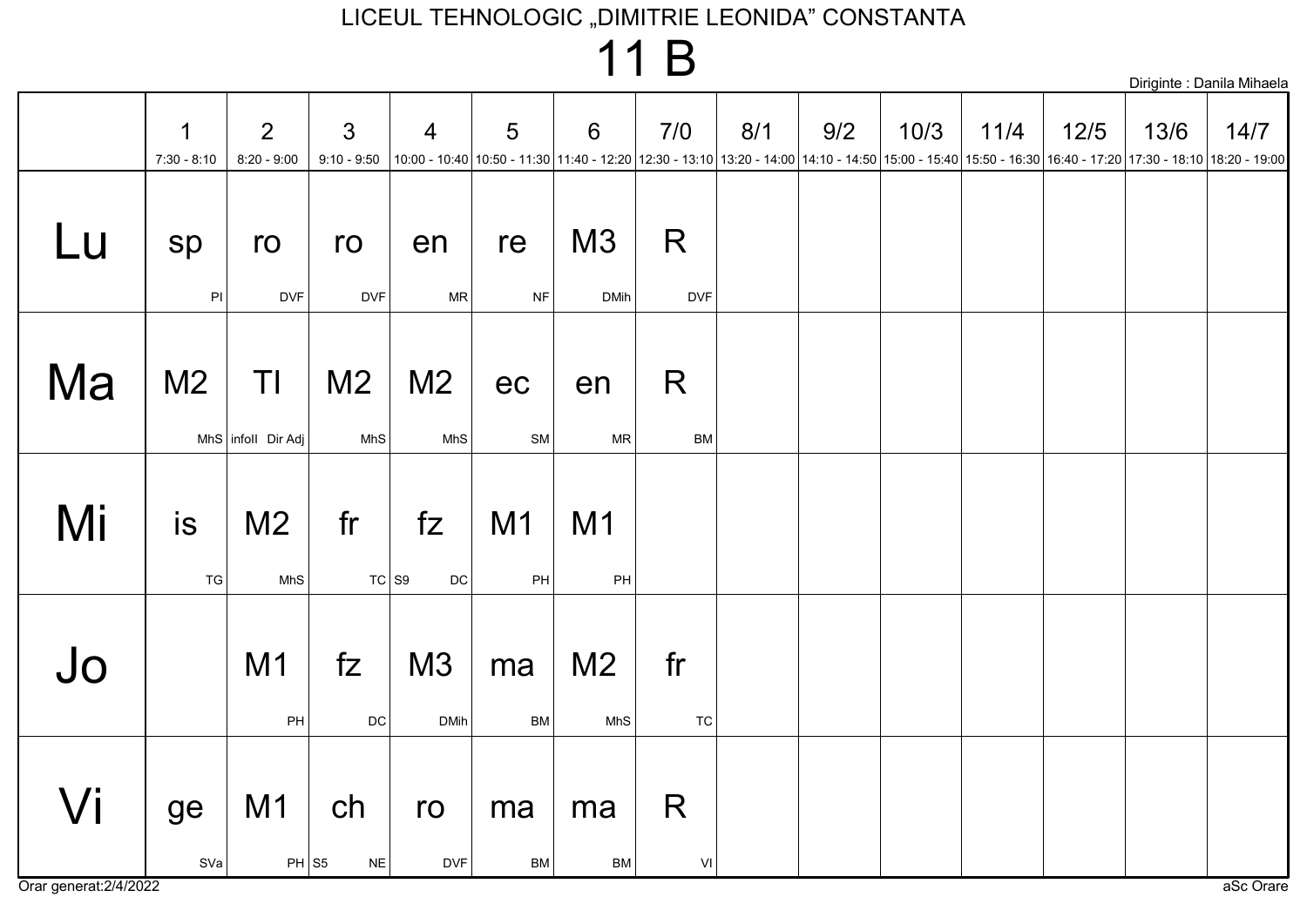$11B$ 

|    |                     |                           |                                 |                       |                                                                                                                                                                           |                       |                           |     |     |      |      |        |      | Diriginte : Danila Mihaela |
|----|---------------------|---------------------------|---------------------------------|-----------------------|---------------------------------------------------------------------------------------------------------------------------------------------------------------------------|-----------------------|---------------------------|-----|-----|------|------|--------|------|----------------------------|
|    | 1<br>$7:30 - 8:10$  | 2<br>$8:20 - 9:00$        | $\mathfrak{S}$<br>$9:10 - 9:50$ | $\overline{4}$        | 5<br> 10:00 - 10:40  10:50 - 11:30  11:40 - 12:20  12:30 - 13:10  13:20 - 14:00  14:10 - 14:50  15:00 - 15:40  15:50 - 16:30  16:40 - 17:20  17:30 - 18:10  18:20 - 19:00 | 6                     | 7/0                       | 8/1 | 9/2 | 10/3 | 11/4 | $12/5$ | 13/6 | 14/7                       |
| Lu | sp<br>$\mathsf{PI}$ | ro<br><b>DVF</b>          | ro<br><b>DVF</b>                | en<br>${\sf MR}$      | re<br>$\sf{NF}$                                                                                                                                                           | M3<br><b>DMih</b>     | R<br><b>DVF</b>           |     |     |      |      |        |      |                            |
| Ma | M <sub>2</sub>      | TI<br>MhS infoll Dir Adj  | M <sub>2</sub><br>MhS           | M <sub>2</sub><br>MhS | ec<br>SM                                                                                                                                                                  | en<br>MR              | $\mathsf{R}$<br><b>BM</b> |     |     |      |      |        |      |                            |
| Mi | is<br>TG            | M <sub>2</sub><br>MhS     | fr<br>$TC$ S <sub>9</sub>       | fZ<br>$\mathsf{DC}$   | M1<br>PH                                                                                                                                                                  | M <sub>1</sub><br>PH  |                           |     |     |      |      |        |      |                            |
| Jo |                     | M1<br>PH                  | fZ<br>$\mathsf{DC}$             | M3<br><b>DMih</b>     | ma<br><b>BM</b>                                                                                                                                                           | M <sub>2</sub><br>MhS | fr<br>TC                  |     |     |      |      |        |      |                            |
| Vi | ge<br>SVa           | M <sub>1</sub><br>$PH$ S5 | ch<br>${\sf NE}$                | ro<br><b>DVF</b>      | ma<br>BM                                                                                                                                                                  | ma<br><b>BM</b>       | R<br>$\mathsf{VI}$        |     |     |      |      |        |      |                            |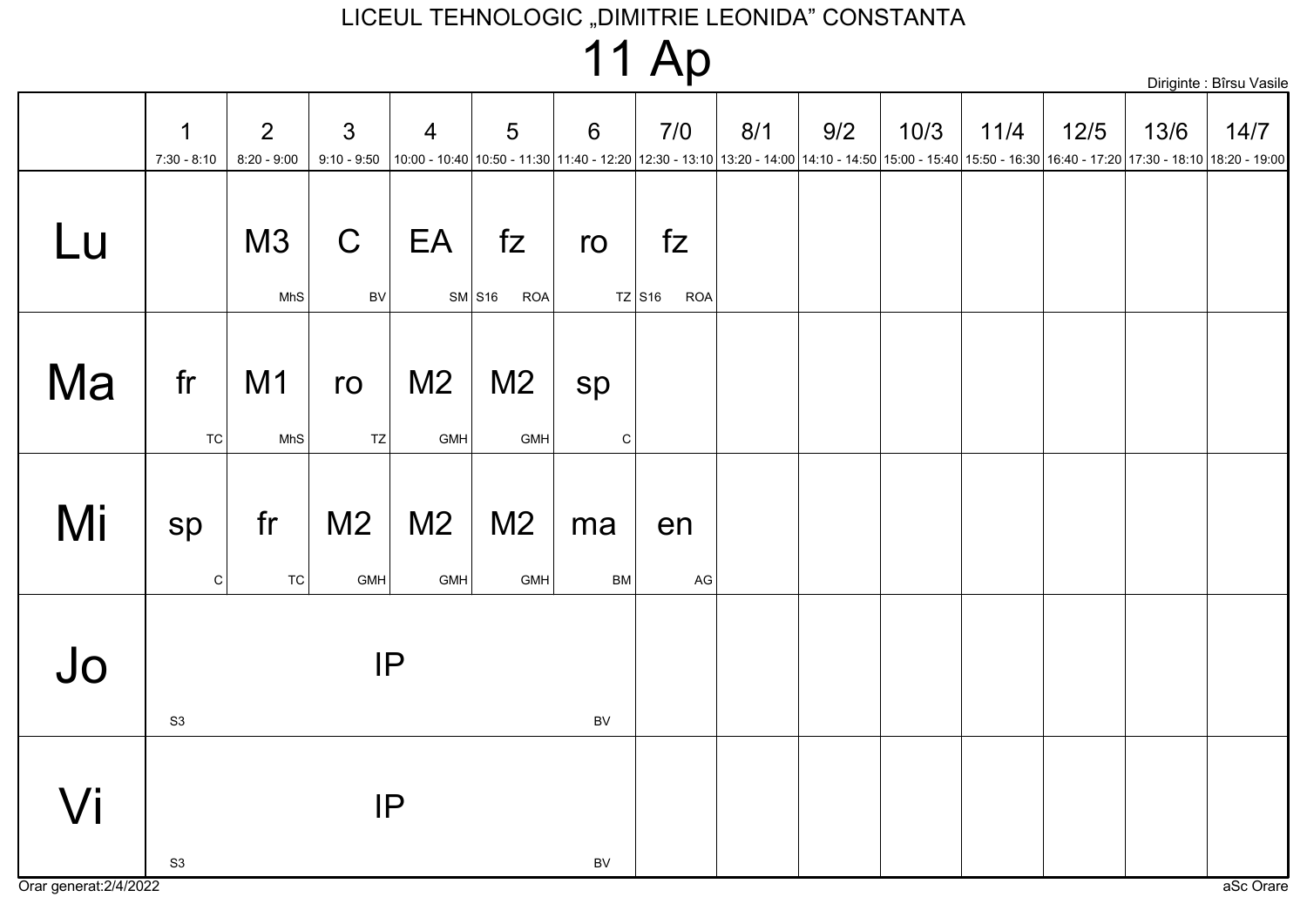|  |  | <b>11 Ap</b> |
|--|--|--------------|
|--|--|--------------|

|                                               |                    |                                 |                                 |                       |                              |                    | ш                                        |     |     |      |                                                                                                                                                                                                                                        |        |      | Diriginte : Bîrsu Vasile |
|-----------------------------------------------|--------------------|---------------------------------|---------------------------------|-----------------------|------------------------------|--------------------|------------------------------------------|-----|-----|------|----------------------------------------------------------------------------------------------------------------------------------------------------------------------------------------------------------------------------------------|--------|------|--------------------------|
|                                               | 1<br>$7:30 - 8:10$ | $\overline{2}$<br>$8:20 - 9:00$ | $\mathfrak{S}$<br>$9:10 - 9:50$ | $\overline{4}$        | 5                            | 6                  | 7/0                                      | 8/1 | 9/2 | 10/3 | 11/4<br> 10:00 - 10:40  10:50 - 11:30  11:40 - 12:20  12:30 - 13:10  13:20 - 14:00  14:10 - 14:50  15:00 - 15:40  15:50 - 16:30  16:40 - 17:20  17:30 - 18:10  18:20 - 19:00   19:00 - 15:40   15:50 - 16:30   16:40 - 17:20   17:30 - | $12/5$ | 13/6 | 14/7                     |
| $\sqcup$                                      |                    | M3<br>MhS                       | $\mathsf C$<br>BV               | EA                    | fZ<br>$SM$ S16<br><b>ROA</b> | ro                 | fz<br>$TZ$ S <sub>16</sub><br><b>ROA</b> |     |     |      |                                                                                                                                                                                                                                        |        |      |                          |
| Ma                                            | fr<br>TC           | M1<br>MhS                       | ro<br>TZ                        | M <sub>2</sub><br>GMH | M <sub>2</sub><br>GMH        | sp<br>$\mathtt{C}$ |                                          |     |     |      |                                                                                                                                                                                                                                        |        |      |                          |
| Mi                                            | sp<br>$\vert$ C    | fr<br><b>TC</b>                 | M <sub>2</sub><br>GMH           | M <sub>2</sub><br>GMH | M <sub>2</sub><br>GMH        | ma<br><b>BM</b>    | en<br>$\mathsf{AG}$                      |     |     |      |                                                                                                                                                                                                                                        |        |      |                          |
| $J_{\rm O}$                                   | S3                 |                                 |                                 | IP                    |                              | $\mathsf{BV}$      |                                          |     |     |      |                                                                                                                                                                                                                                        |        |      |                          |
| $\sqrt{\mathsf{i}}$<br>Orar generat: 2/4/2022 | S <sub>3</sub>     |                                 |                                 | IP                    |                              | $\mathsf{BV}$      |                                          |     |     |      |                                                                                                                                                                                                                                        |        |      | aSc Orare                |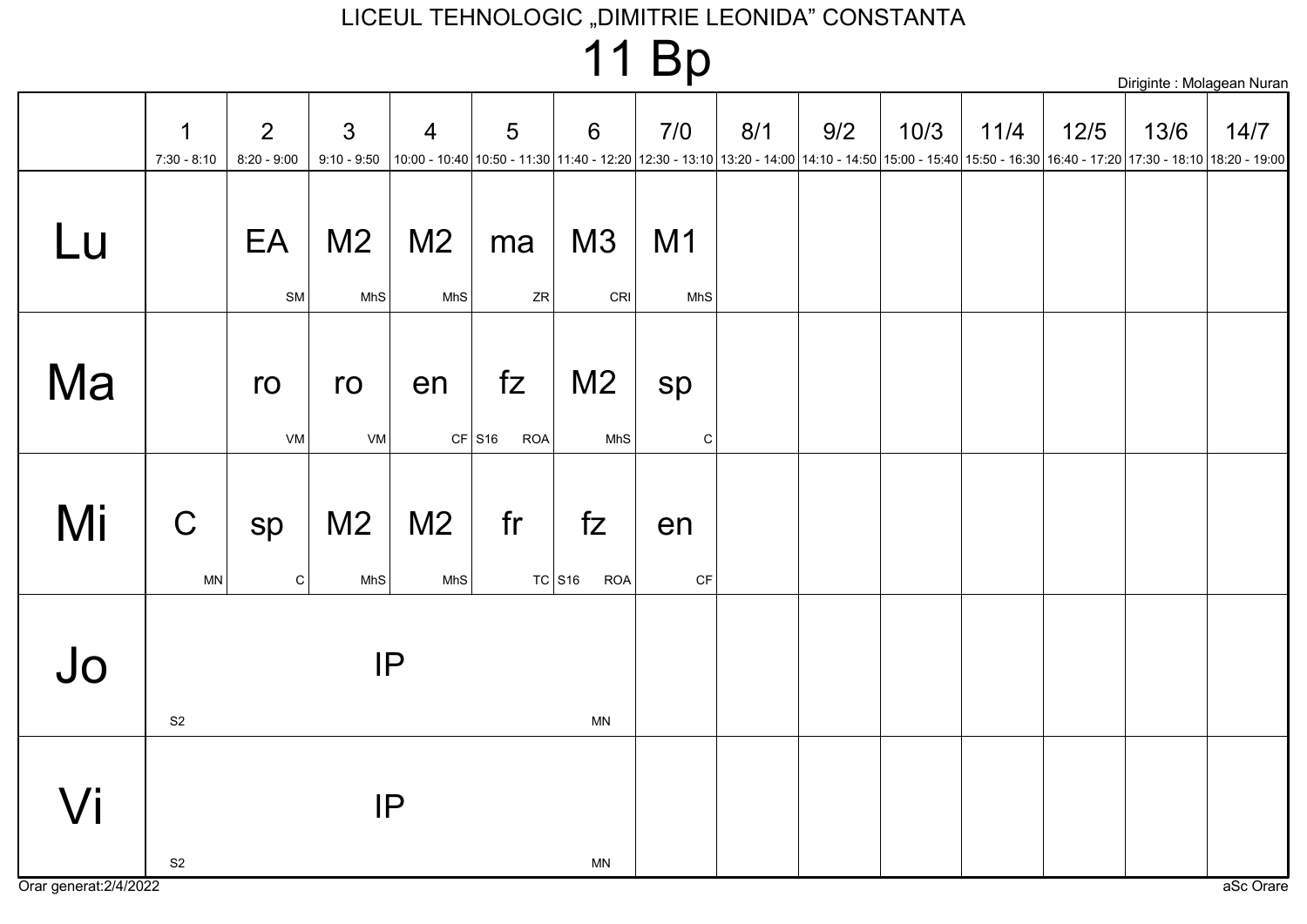|                              |                                 |                       |                       |                                     |                      | $\cdot$ $\cdot$ $\sim$ $\sim$ $\sim$ |     |     |      |      |        |      | Diriginte : Molagean Nuran                                                                                                                                |
|------------------------------|---------------------------------|-----------------------|-----------------------|-------------------------------------|----------------------|--------------------------------------|-----|-----|------|------|--------|------|-----------------------------------------------------------------------------------------------------------------------------------------------------------|
| 1<br>$7:30 - 8:10$           | $\overline{2}$<br>$8:20 - 9:00$ | 3<br>$9:10 - 9:50$    | $\overline{4}$        | 5                                   | $6\phantom{1}6$      | 7/0                                  | 8/1 | 9/2 | 10/3 | 11/4 | $12/5$ | 13/6 | 14/7                                                                                                                                                      |
|                              | EA                              | M <sub>2</sub>        | M <sub>2</sub>        | ma<br>${\sf ZR}$                    | M3                   | M1<br>MhS                            |     |     |      |      |        |      |                                                                                                                                                           |
|                              | ro<br>VM                        | ro                    | en                    | fZ<br><b>ROA</b>                    | M <sub>2</sub>       | sp<br>${\bf C}$                      |     |     |      |      |        |      |                                                                                                                                                           |
| $\mathbf C$<br>$\mathsf{MN}$ | sp                              | M <sub>2</sub><br>MhS | M <sub>2</sub><br>MhS | fr                                  | fZ<br><b>ROA</b>     | en<br>$\mathsf{C}\mathsf{F}$         |     |     |      |      |        |      |                                                                                                                                                           |
| S <sub>2</sub>               |                                 |                       |                       |                                     | MN                   |                                      |     |     |      |      |        |      |                                                                                                                                                           |
| $\mathsf{S}2$                |                                 |                       |                       |                                     | <b>MN</b>            |                                      |     |     |      |      |        |      | aSc Orare                                                                                                                                                 |
|                              | Orar generat: 2/4/2022          |                       | SM<br>$\mathtt{C}$    | MhS<br><b>MhS</b><br>VM<br>IP<br>IP | $CF$ S <sub>16</sub> | CRI<br>MhS<br>$TC$ S <sub>16</sub>   |     |     |      |      |        |      | 10:00 - 10:40 10:50 - 11:30 11:40 - 12:20 12:30 - 13:10 13:20 - 14:00 14:10 - 14:50 15:00 - 15:40 15:50 - 16:30 16:40 - 17:20 17:30 - 18:10 18:20 - 19:00 |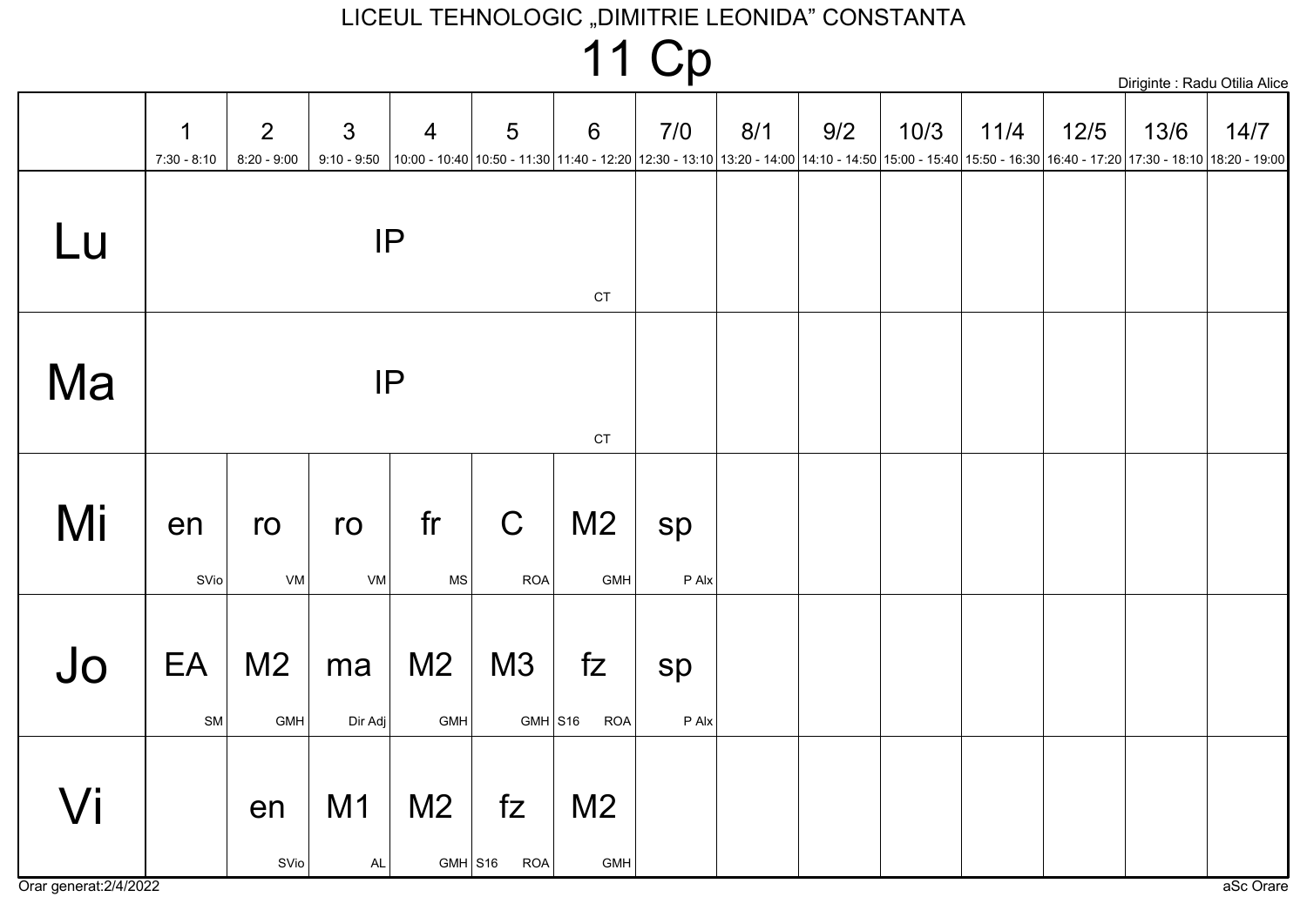|                              |                  |                                 |                |                                         |                           |                                                                                                                                                                                             | 11 Cp         |     |     |      |      |        |      | Diriginte : Radu Otilia Alice |
|------------------------------|------------------|---------------------------------|----------------|-----------------------------------------|---------------------------|---------------------------------------------------------------------------------------------------------------------------------------------------------------------------------------------|---------------|-----|-----|------|------|--------|------|-------------------------------|
|                              | 1<br>7:30 - 8:10 | $\overline{2}$<br>$8:20 - 9:00$ | $\mathfrak{S}$ | $\overline{4}$                          | 5                         | $\,6\,$<br>9:10 - 9:50  10:00 - 10:40  10:50 - 11:30  11:40 - 12:20  12:30 - 13:10  13:20 - 14:00  14:10 - 14:50  15:00 - 15:40  15:50 - 16:30  16:40 - 17:20  17:30 - 18:10  18:20 - 19:00 | 7/0           | 8/1 | 9/2 | 10/3 | 11/4 | $12/5$ | 13/6 | 14/7                          |
| Lu                           |                  |                                 | IP             |                                         |                           | $\mathsf{C}\mathsf{T}$                                                                                                                                                                      |               |     |     |      |      |        |      |                               |
| Ma                           |                  |                                 | IP             |                                         |                           | $\mathsf{C}\mathsf{T}$                                                                                                                                                                      |               |     |     |      |      |        |      |                               |
| Mi                           | en<br>SVio       | ro<br>VM                        | ro<br>VM       | fr<br><b>MS</b>                         | $\mathsf C$<br><b>ROA</b> | M <sub>2</sub><br>GMH                                                                                                                                                                       | sp<br>P Alx   |     |     |      |      |        |      |                               |
| Jo                           | EA<br>SM         | M <sub>2</sub><br>GMH           | ma<br>Dir Adj  | M <sub>2</sub><br>GMH                   | M3<br>$GMH$ S16           | fZ<br><b>ROA</b>                                                                                                                                                                            | sp<br>$P$ Alx |     |     |      |      |        |      |                               |
| Vi<br>Orar generat: 2/4/2022 |                  | en<br>SVio                      | M1<br>AL       | M <sub>2</sub><br>$GMH$ S <sub>16</sub> | fZ<br><b>ROA</b>          | M <sub>2</sub><br>GMH                                                                                                                                                                       |               |     |     |      |      |        |      | aSc Orare                     |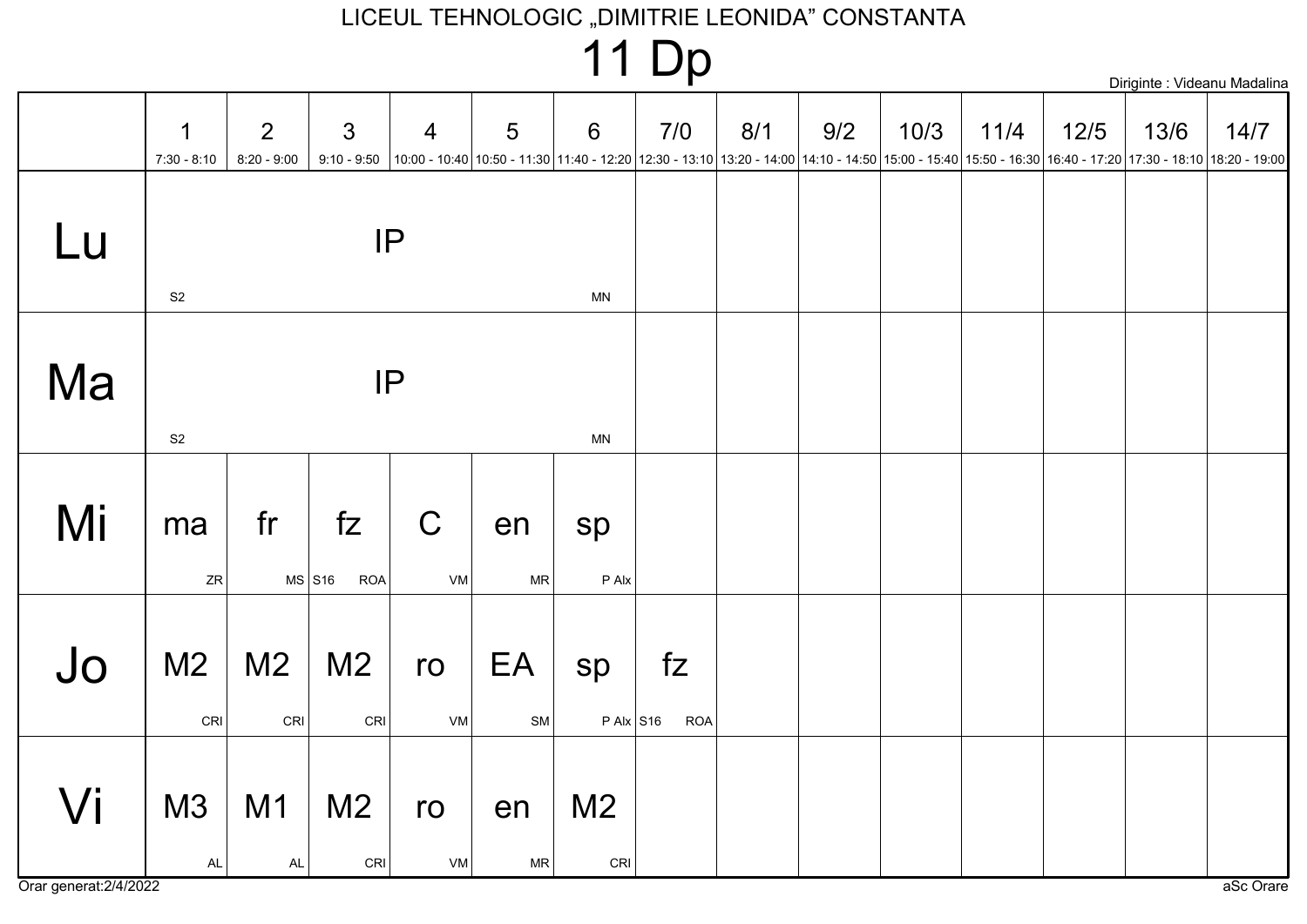|  |  | $\blacktriangleleft$<br>m | $\sim$<br><b>II DP</b> |  |  | Diriginte : Videanu Madalina |  |
|--|--|---------------------------|------------------------|--|--|------------------------------|--|
|  |  |                           |                        |  |  |                              |  |

|                              | 1<br>$7:30 - 8:10$                                 | $\overline{2}$<br>$8:20 - 9:00$ | $\mathfrak{S}$                           | $\overline{4}$<br>9:10 - 9:50 $ 10:00 - 10:40 10:50 - 11:30 11:40 - 12:20 12:30 - 13:10 13:20 - 14:00 14:10 - 14:50 15:00 - 15:40 15:50 - 16:30 16:40 - 17:20 17:30 - 18:10 18:20 - 19:00$ | 5                | $6\phantom{1}$                                     | 7/0              | 8/1 | 9/2 | 10/3 | 11/4 | $12/5$ | 13/6 | 14/7      |
|------------------------------|----------------------------------------------------|---------------------------------|------------------------------------------|--------------------------------------------------------------------------------------------------------------------------------------------------------------------------------------------|------------------|----------------------------------------------------|------------------|-----|-----|------|------|--------|------|-----------|
| Lu                           | $\mathsf{S}2$                                      |                                 |                                          | IP                                                                                                                                                                                         |                  | <b>MN</b>                                          |                  |     |     |      |      |        |      |           |
| Ma                           | S <sub>2</sub>                                     |                                 |                                          | IP                                                                                                                                                                                         |                  | <b>MN</b>                                          |                  |     |     |      |      |        |      |           |
| Mi                           | ma<br>ZR                                           | fr                              | fZ<br>$MS$ S <sub>16</sub><br><b>ROA</b> | $\mathsf C$<br>VM                                                                                                                                                                          | en<br>${\sf MR}$ | sp<br>$P$ Alx                                      |                  |     |     |      |      |        |      |           |
| Jo                           | M <sub>2</sub><br>$\mathsf{C}\mathsf{R}\mathsf{I}$ | M <sub>2</sub><br>CRI           | M <sub>2</sub><br>CRI                    | ro<br>VM                                                                                                                                                                                   | EA<br>SM         | sp<br>$P$ Alx S16                                  | fZ<br><b>ROA</b> |     |     |      |      |        |      |           |
| Vi<br>Orar generat: 2/4/2022 | M3<br>$\mathsf{AL}$                                | M1<br>AL                        | M <sub>2</sub><br>CRI                    | ro<br>VM                                                                                                                                                                                   | en<br><b>MR</b>  | M <sub>2</sub><br>$\mathsf{C}\mathsf{R}\mathsf{I}$ |                  |     |     |      |      |        |      | aSc Orare |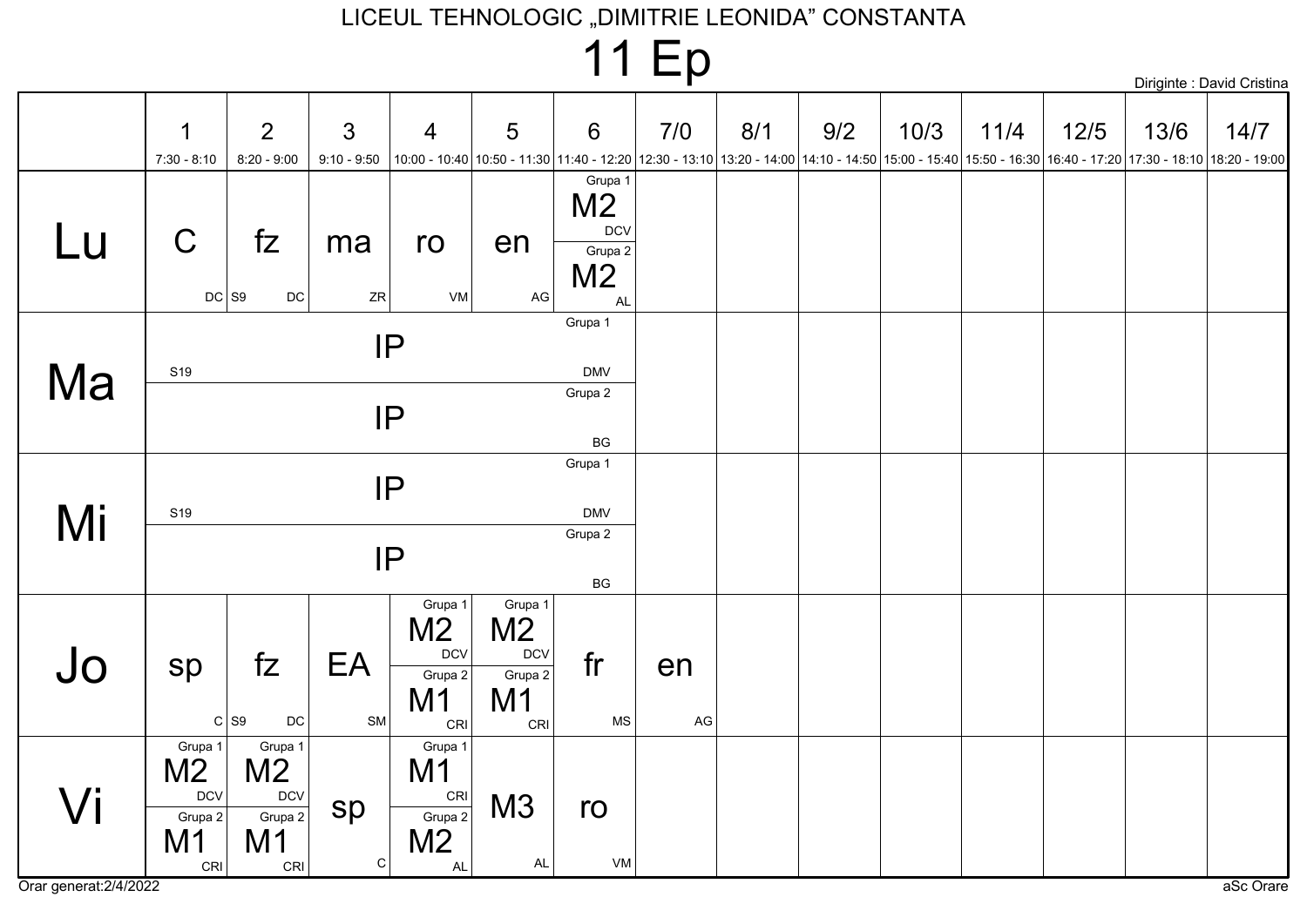|                              |                                                                   |                                                                             |                                 |                                                                             |                                                                 |                                                                              | <b>11 Ep</b> |     |                                                                                                                                                                  |      |      |        |      | Diriginte : David Cristina |
|------------------------------|-------------------------------------------------------------------|-----------------------------------------------------------------------------|---------------------------------|-----------------------------------------------------------------------------|-----------------------------------------------------------------|------------------------------------------------------------------------------|--------------|-----|------------------------------------------------------------------------------------------------------------------------------------------------------------------|------|------|--------|------|----------------------------|
|                              | 1<br>$7:30 - 8:10$                                                | 2<br>$8:20 - 9:00$                                                          | $\mathfrak{S}$<br>$9:10 - 9:50$ | $\overline{4}$                                                              | 5                                                               | $6\phantom{1}6$                                                              | 7/0          | 8/1 | 9/2<br>10:00 - 10:40 10:50 - 11:30 11:40 - 12:20 12:30 - 13:10 13:20 - 14:00 14:10 - 14:50 15:00 - 15:40 15:50 - 16:30 16:40 - 17:20 17:30 - 18:10 18:20 - 19:00 | 10/3 | 11/4 | $12/5$ | 13/6 | 14/7                       |
| Lu                           | $\mathsf C$                                                       | fZ<br>$DC$ S9<br>$\mathsf{DC}$                                              | ma<br>ZR                        | ro<br>VM                                                                    | en<br>AG                                                        | Grupa 1<br>M <sub>2</sub><br>$DCV$<br>Grupa 2<br>M <sub>2</sub><br><b>AL</b> |              |     |                                                                                                                                                                  |      |      |        |      |                            |
| Ma                           | S <sub>19</sub>                                                   |                                                                             | IP<br>IP                        |                                                                             |                                                                 | Grupa 1<br><b>DMV</b><br>Grupa 2<br>$\mathsf{B}\mathsf{G}$                   |              |     |                                                                                                                                                                  |      |      |        |      |                            |
| Mi                           | S <sub>19</sub>                                                   |                                                                             | IP<br>IP                        |                                                                             |                                                                 | Grupa 1<br><b>DMV</b><br>Grupa 2<br>$\mathsf{B}\mathsf{G}$                   |              |     |                                                                                                                                                                  |      |      |        |      |                            |
| Jo                           | sp                                                                | fZ<br>$C$ S <sub>9</sub><br>$\mathsf{DC}$                                   | EA<br>SM                        | Grupa 1<br>M <sub>2</sub><br><b>DCV</b><br>Grupa 2<br>M <sub>1</sub><br>CRI | Grupa 1<br>M <sub>2</sub><br><b>DCV</b><br>Grupa 2<br>M1<br>CRI | fr<br>MS                                                                     | en<br>AG     |     |                                                                                                                                                                  |      |      |        |      |                            |
| Vi<br>Orar generat: 2/4/2022 | Grupa 1<br>M <sub>2</sub><br><b>DCV</b><br>Grupa $2$<br>M1<br>CRI | Grupa 1<br>M <sub>2</sub><br><b>DCV</b><br>Grupa 2<br>M <sub>1</sub><br>CRI | sp<br>$\mathsf C$               | Grupa 1<br>M <sub>1</sub><br>CRI<br>Grupa 2<br>M <sub>2</sub><br><b>AL</b>  | M3<br>AL                                                        | ro<br>VM                                                                     |              |     |                                                                                                                                                                  |      |      |        |      | aSc Orare                  |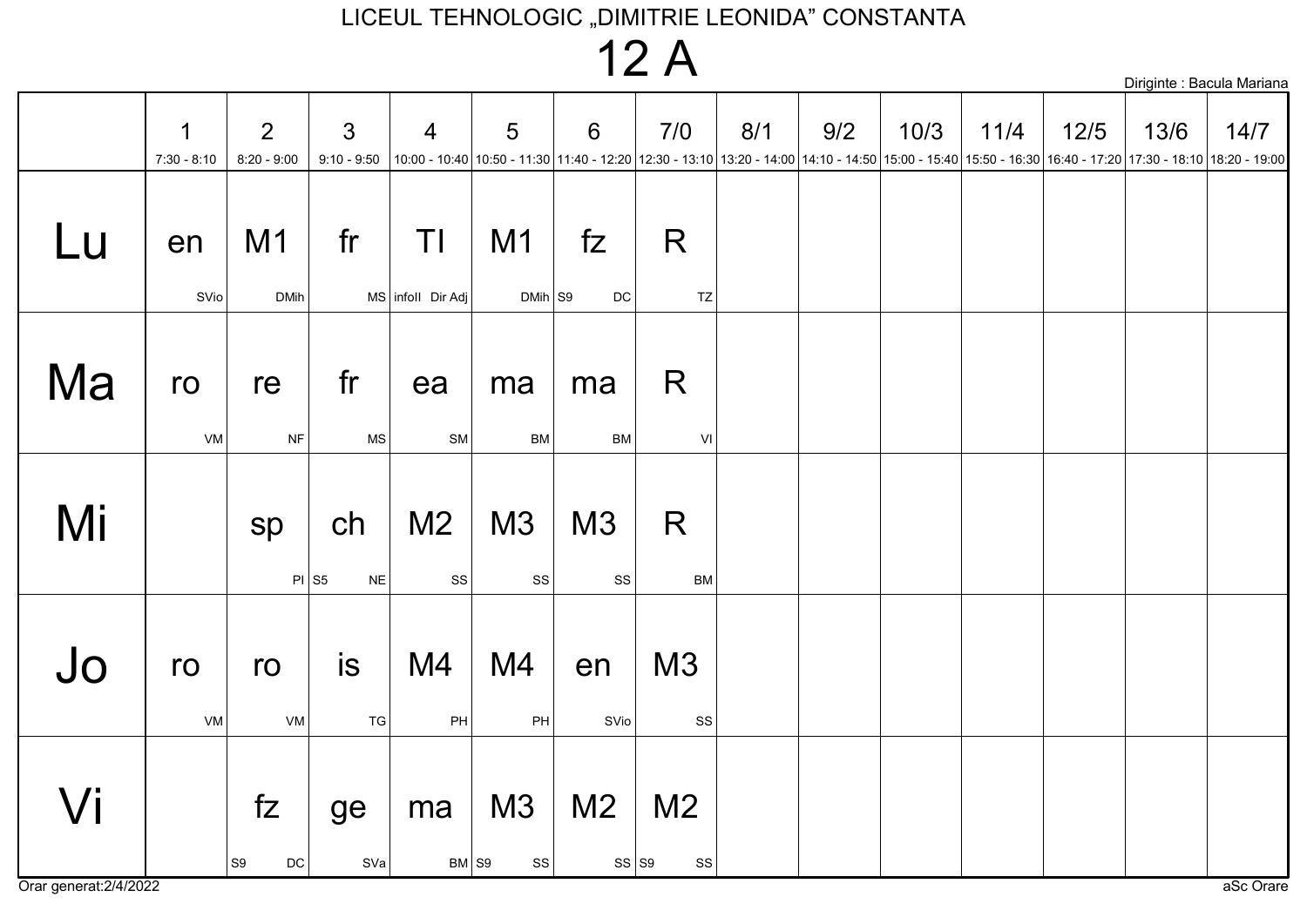### $12A$

|    |                    |                               |                                 |                             |                             |                     |                                 |     |                                                                                                                                                                  |      |      |        |      | Diriginte : Bacula Mariana |
|----|--------------------|-------------------------------|---------------------------------|-----------------------------|-----------------------------|---------------------|---------------------------------|-----|------------------------------------------------------------------------------------------------------------------------------------------------------------------|------|------|--------|------|----------------------------|
|    | 1<br>$7:30 - 8:10$ | 2<br>$8:20 - 9:00$            | $\mathfrak{Z}$<br>$9:10 - 9:50$ | $\overline{4}$              | 5                           | 6                   | 7/0                             | 8/1 | 9/2<br>10:00 - 10:40 10:50 - 11:30 11:40 - 12:20 12:30 - 13:10 13:20 - 14:00 14:10 - 14:50 15:00 - 15:40 15:50 - 16:30 16:40 - 17:20 17:30 - 18:10 18:20 - 19:00 | 10/3 | 11/4 | $12/5$ | 13/6 | 14/7                       |
| Lu | en<br>SVio         | M <sub>1</sub><br><b>DMih</b> | fr                              | ΤI<br>MS   infoll Dir Adj   | M <sub>1</sub><br>$DMih$ S9 | fZ<br>$\mathsf{DC}$ | R<br>TZ                         |     |                                                                                                                                                                  |      |      |        |      |                            |
| Ma | ro<br>VM           | re<br>$\sf{NF}$               | fr<br>$\mathsf{MS}\xspace$      | ea<br>SM                    | ma<br><b>BM</b>             | ma<br><b>BM</b>     | R<br>VI                         |     |                                                                                                                                                                  |      |      |        |      |                            |
| Mi |                    | sp                            | ch<br>$PI$ S5<br>$N\mathsf{E}$  | M <sub>2</sub><br><b>SS</b> | M3<br>SS                    | M3<br>${\rm SS}$    | R<br>BM                         |     |                                                                                                                                                                  |      |      |        |      |                            |
| Jo | ro<br>VM           | ro<br>${\sf VM}$              | is<br>TG                        | M4<br>PH                    | M4<br>PH                    | en<br>SVio          | M3<br>SS                        |     |                                                                                                                                                                  |      |      |        |      |                            |
| Vi |                    | fZ<br>S9 <br>$\mathsf{DC}$    | ge<br>SVa                       | ma<br>$BM \space{1pt}$ S9   | M3<br>SS                    | M <sub>2</sub>      | M <sub>2</sub><br>$SS$ S9<br>SS |     |                                                                                                                                                                  |      |      |        |      |                            |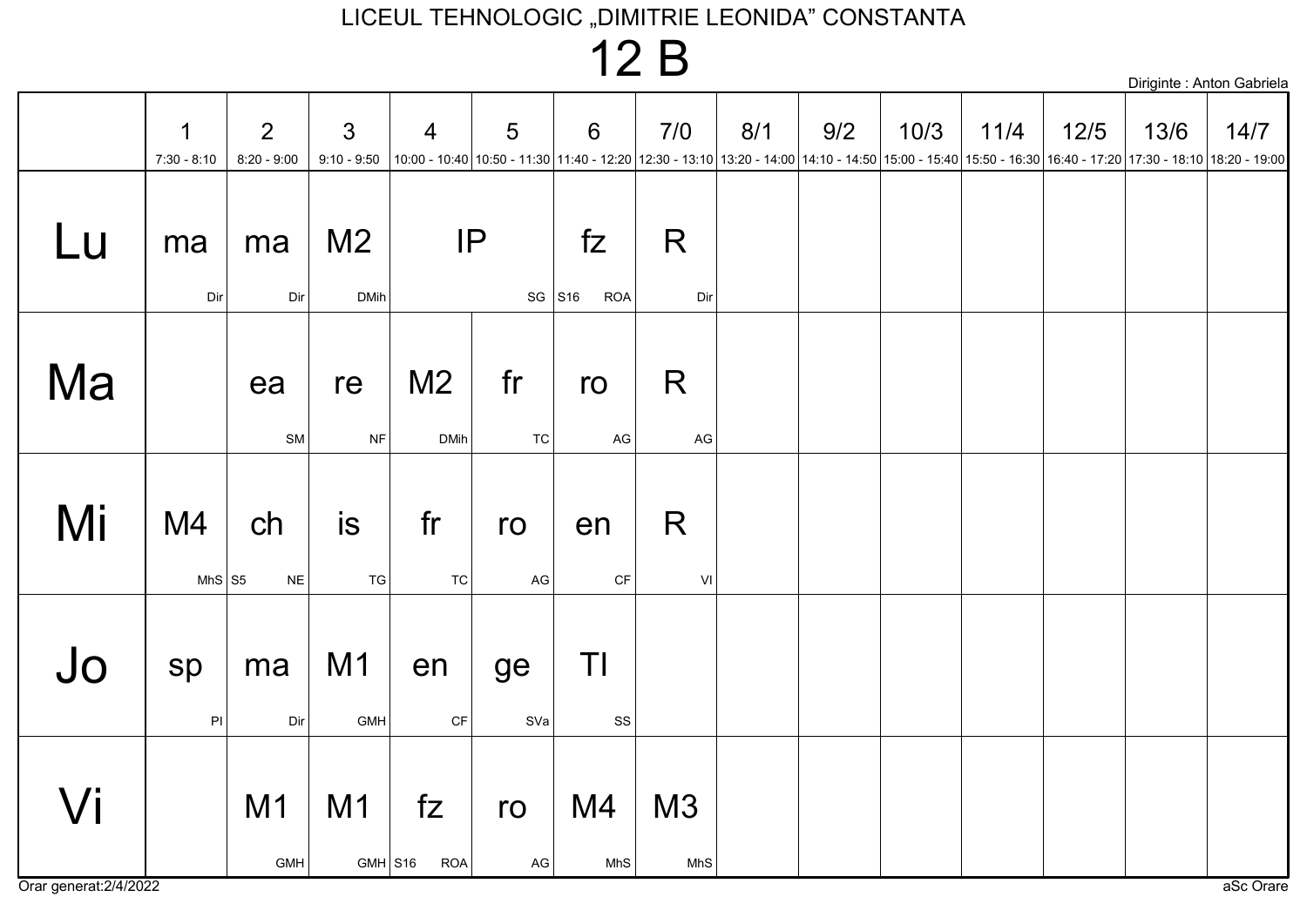### $12B$

|    | 1                   | $\overline{2}$      | $\mathfrak{S}$                | $\overline{4}$                | 5                    | $6\phantom{1}6$     | 7/0                                                                                                                                                                             | 8/1 | 9/2 | 10/3 | 11/4 | 12/5 | 13/6 | 14/7 |
|----|---------------------|---------------------|-------------------------------|-------------------------------|----------------------|---------------------|---------------------------------------------------------------------------------------------------------------------------------------------------------------------------------|-----|-----|------|------|------|------|------|
|    | $7:30 - 8:10$       | $8:20 - 9:00$       | $9:10 - 9:50$                 |                               |                      |                     | 10:00 - 17:20 17:30 - 18:10 18:20 - 17:30 - 17:30 11:40 - 12:20 12:30 - 13:10 13:20 - 14:00 14:10 - 14:50 15:00 - 15:40 15:50 - 16:30 16:40 - 17:20 17:30 - 18:10 18:20 - 19:00 |     |     |      |      |      |      |      |
| Lu | ma<br>Dir           | ma<br>Dir           | M <sub>2</sub><br><b>DMih</b> | IP                            | $SG$ S <sub>16</sub> | fZ<br><b>ROA</b>    | R<br>Dir                                                                                                                                                                        |     |     |      |      |      |      |      |
| Ma |                     | ea<br>SM            | re<br><b>NF</b>               | M <sub>2</sub><br><b>DMih</b> | fr<br><b>TC</b>      | ro<br>AG            | R<br>AG                                                                                                                                                                         |     |     |      |      |      |      |      |
| Mi | M4<br>MhS $ S5 $    | ch<br>$N\mathsf{E}$ | <b>is</b><br>${\tt TG}$       | fr<br>TC                      | ro<br>AG             | en<br>$\mathsf{CF}$ | R<br>$\mathsf{VI}$                                                                                                                                                              |     |     |      |      |      |      |      |
| Jo | sp<br>$\mathsf{Pl}$ | ma<br>Dir           | M1<br><b>GMH</b>              | en<br>$\mathsf{C}\mathsf{F}$  | ge<br>SVa            | ΤI<br>$_{\rm SS}$   |                                                                                                                                                                                 |     |     |      |      |      |      |      |
| Vi |                     | M1<br>GML           | M <sub>1</sub>                | fZ<br>$GML$ $S16$ $ROL$       | ro<br>ا ⊃∆           | M4<br>MhS           | M3<br>MhS                                                                                                                                                                       |     |     |      |      |      |      |      |

Diriginte : Anton Gabriela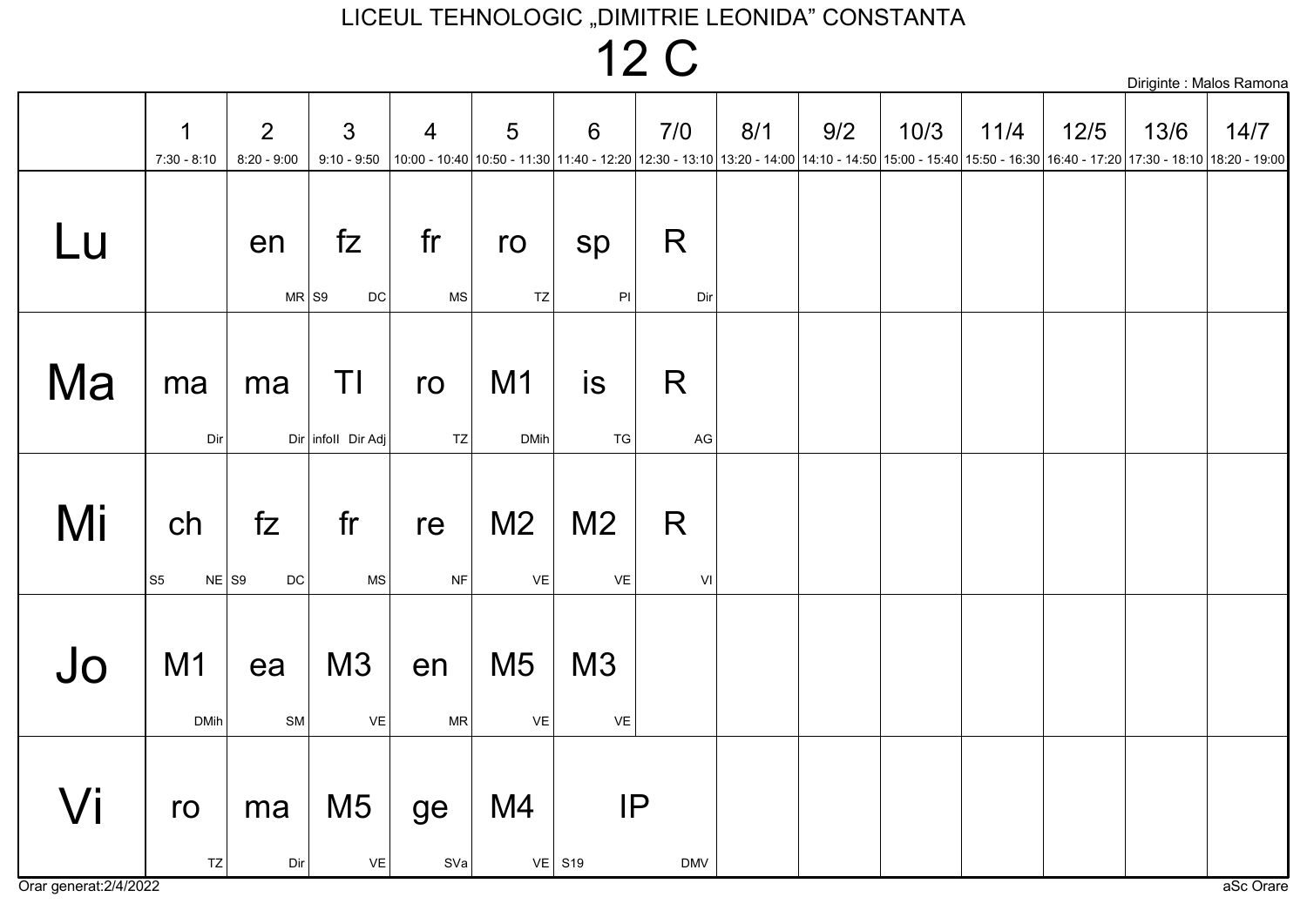12 C

|    |                                 |                                 |                                 |                  |                                        |                                                                                                                                                                   |                    |     |     |      |      |        |      | Diriginte : Malos Ramona |
|----|---------------------------------|---------------------------------|---------------------------------|------------------|----------------------------------------|-------------------------------------------------------------------------------------------------------------------------------------------------------------------|--------------------|-----|-----|------|------|--------|------|--------------------------|
|    | 1<br>$7:30 - 8:10$              | $\overline{2}$<br>$8:20 - 9:00$ | $\mathfrak{S}$<br>$9:10 - 9:50$ | $\overline{4}$   | $5\phantom{.}$                         | 6<br>$ 10:00 - 10:40 10:50 - 11:30 11:40 - 12:20 12:30 - 13:10 13:20 - 14:00 14:10 - 14:50 15:00 - 15:40 15:50 - 16:30 16:40 - 17:20 17:30 - 18:10 18:20 - 19:00$ | 7/0                | 8/1 | 9/2 | 10/3 | 11/4 | $12/5$ | 13/6 | 14/7                     |
| Lu |                                 | en<br>$MR$ S9                   | fZ<br><b>DC</b>                 | fr<br><b>MS</b>  | ro<br>TZ                               | sp<br>PI                                                                                                                                                          | R<br>Dir           |     |     |      |      |        |      |                          |
| Ma | ma<br>Dir                       | ma                              | TI<br>Dir infoll Dir Adj        | ro<br>TZ         | M1<br><b>DMih</b>                      | is<br>${\tt TG}$                                                                                                                                                  | R<br>AG            |     |     |      |      |        |      |                          |
| Mi | ch<br>$NE$ S9<br>S <sub>5</sub> | fZ<br>$\mathsf{DC}$             | fr<br><b>MS</b>                 | re<br><b>NF</b>  | M <sub>2</sub><br>$\mathsf{VE}\xspace$ | M <sub>2</sub><br>VE                                                                                                                                              | R<br>$\mathsf{VI}$ |     |     |      |      |        |      |                          |
| Jo | M <sub>1</sub><br><b>DMih</b>   | ea<br>SM                        | M3<br>VE                        | en<br>${\sf MR}$ | M <sub>5</sub><br>VE                   | M3<br>VE                                                                                                                                                          |                    |     |     |      |      |        |      |                          |
| Vi | ro<br>TZ                        | ma<br>Dir                       | M <sub>5</sub><br>VE            | ge<br>SVa        | M4                                     | IP<br>$VE$ S <sub>19</sub>                                                                                                                                        | <b>DMV</b>         |     |     |      |      |        |      |                          |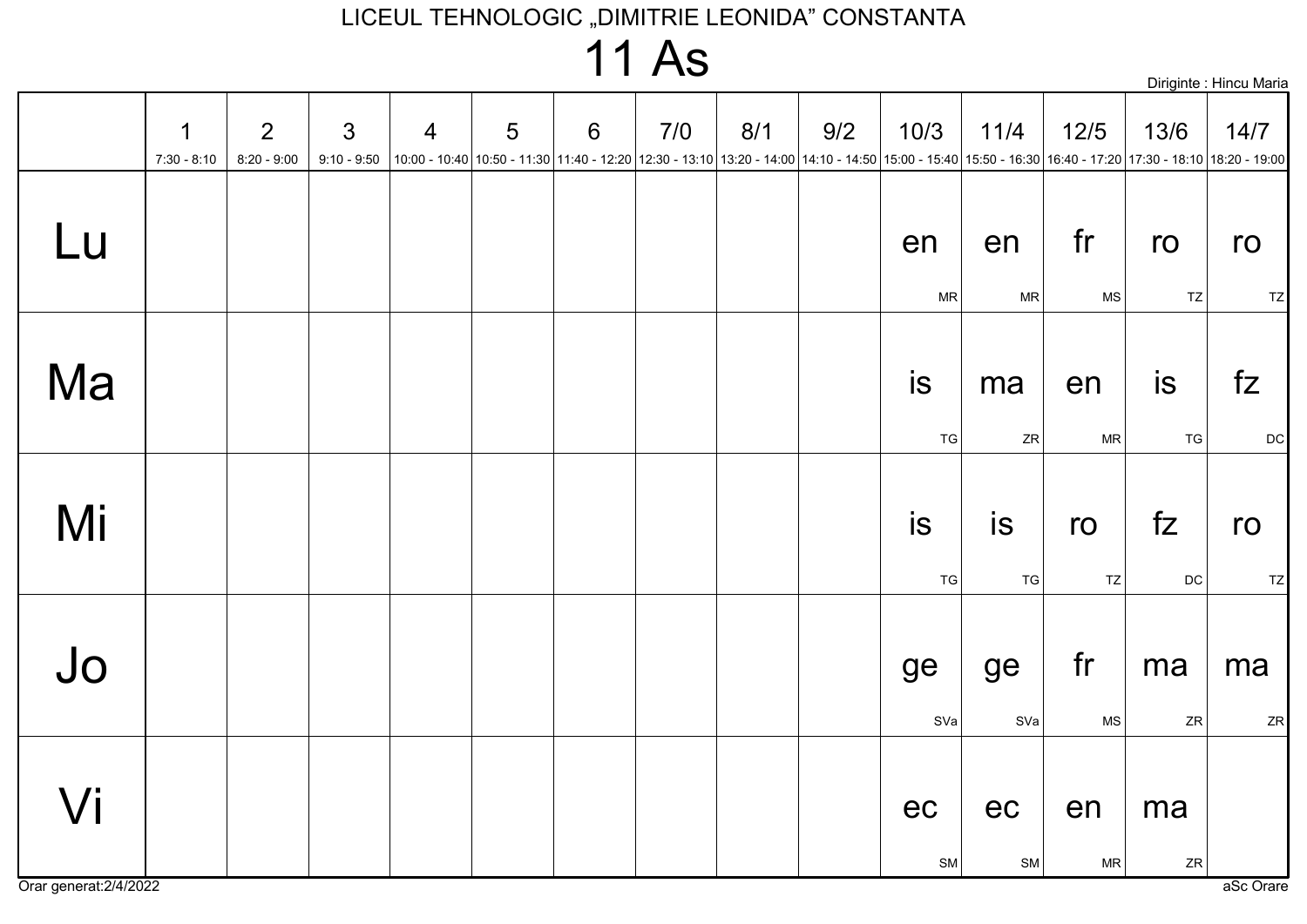## **11 As**

|    |                              |                                 |                    |                |   |                |     |     |     |                  |                                                                                                                                                                    |                            |                     | Diriginte : Hincu Maria |
|----|------------------------------|---------------------------------|--------------------|----------------|---|----------------|-----|-----|-----|------------------|--------------------------------------------------------------------------------------------------------------------------------------------------------------------|----------------------------|---------------------|-------------------------|
|    | $\mathbf 1$<br>$7:30 - 8:10$ | $\overline{2}$<br>$8:20 - 9:00$ | 3<br>$9:10 - 9:50$ | $\overline{4}$ | 5 | $6\phantom{1}$ | 7/0 | 8/1 | 9/2 | 10/3             | 11/4<br> 10:00 - 10:40 10:50 - 11:30 11:40 - 12:20 12:30 - 13:10 13:20 - 14:00 14:10 - 14:50 15:00 - 15:40 15:50 - 16:30 16:40 - 17:20 17:30 - 18:10 18:20 - 19:00 | 12/5                       | 13/6                | 14/7                    |
| Lu |                              |                                 |                    |                |   |                |     |     |     | en<br><b>MR</b>  | en<br>MR                                                                                                                                                           | fr<br>$\mathsf{MS}\xspace$ | ro<br>TZ            | ro<br>TZ                |
| Ma |                              |                                 |                    |                |   |                |     |     |     | is<br>${\tt TG}$ | ma<br>${\sf ZR}$                                                                                                                                                   | en<br>${\sf MR}$           | is<br>${\tt TG}$    | fZ<br>DC                |
| Mi |                              |                                 |                    |                |   |                |     |     |     | is<br>${\tt TG}$ | is<br>${\tt TG}$                                                                                                                                                   | ro<br>TZ                   | fZ<br>$\mathsf{DC}$ | ro<br>TZ                |
| Jo |                              |                                 |                    |                |   |                |     |     |     | ge<br>SVa        | ge<br>SVa                                                                                                                                                          | fr<br>$\mathsf{MS}\xspace$ | ma<br>${\sf ZR}$    | ma<br>ZR                |
| Vi |                              |                                 |                    |                |   |                |     |     |     | ec<br>SM         | ec<br>SM                                                                                                                                                           | en<br>${\sf MR}$           | ma<br>${\sf ZR}$    |                         |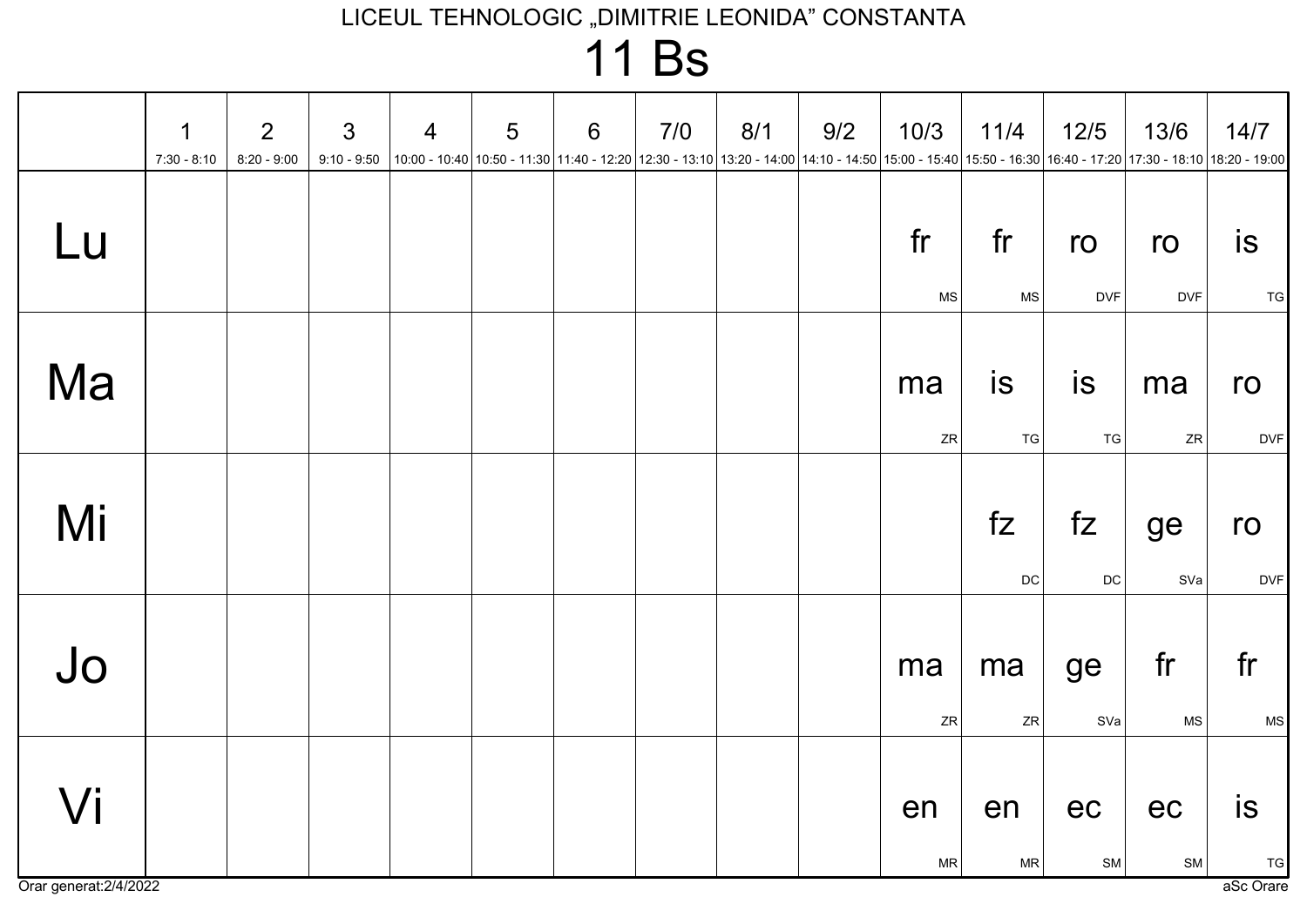**11 Bs** 

|    | $\mathbf 1$<br>$7:30 - 8:10$ | 2<br>$8:20 - 9:00$ | $\mathfrak{S}$ | $\overline{4}$ | 5 | 6 | 7/0<br>9:10 - 9:50  10:00 - 10:40  10:50 - 11:30  11:40 - 12:20  12:30 - 13:10  13:20 - 14:00  14:10 - 14:50  15:00 - 15:40  15:50 - 16:30  16:40 - 17:20  17:30 - 18:10  18:20 - 19:00   16:40   17:30 - 18:10   18:20 - 19:00 | 8/1 | 9/2 | 10/3     | 11/4                   | 12/5                | 13/6             | 14/7                                    |
|----|------------------------------|--------------------|----------------|----------------|---|---|---------------------------------------------------------------------------------------------------------------------------------------------------------------------------------------------------------------------------------|-----|-----|----------|------------------------|---------------------|------------------|-----------------------------------------|
| Lu |                              |                    |                |                |   |   |                                                                                                                                                                                                                                 |     |     | fr<br>MS | fr<br><b>MS</b>        | ro<br><b>DVF</b>    | ro<br><b>DVF</b> | <b>is</b><br><b>TG</b>                  |
| Ma |                              |                    |                |                |   |   |                                                                                                                                                                                                                                 |     |     | ma<br>ZR | <b>is</b><br><b>TG</b> | <b>is</b><br>T G    | ma<br>ZR         | ro<br><b>DVF</b>                        |
| Mi |                              |                    |                |                |   |   |                                                                                                                                                                                                                                 |     |     |          | fZ<br>$\mathsf{DC}$    | fZ<br>$\mathsf{DC}$ | ge<br>SVa        | ro<br><b>DVF</b>                        |
| Jo |                              |                    |                |                |   |   |                                                                                                                                                                                                                                 |     |     | ma<br>ZR | ma<br>ZR               | ge<br>SVa           | fr<br>MS         | fr<br>$\ensuremath{\mathsf{MS}}\xspace$ |
| Vi |                              |                    |                |                |   |   |                                                                                                                                                                                                                                 |     |     | en<br>MR | en<br><b>MR</b>        | ec<br>${\sf SM}$    | ec<br>${\sf SM}$ | <b>is</b><br><b>TG</b>                  |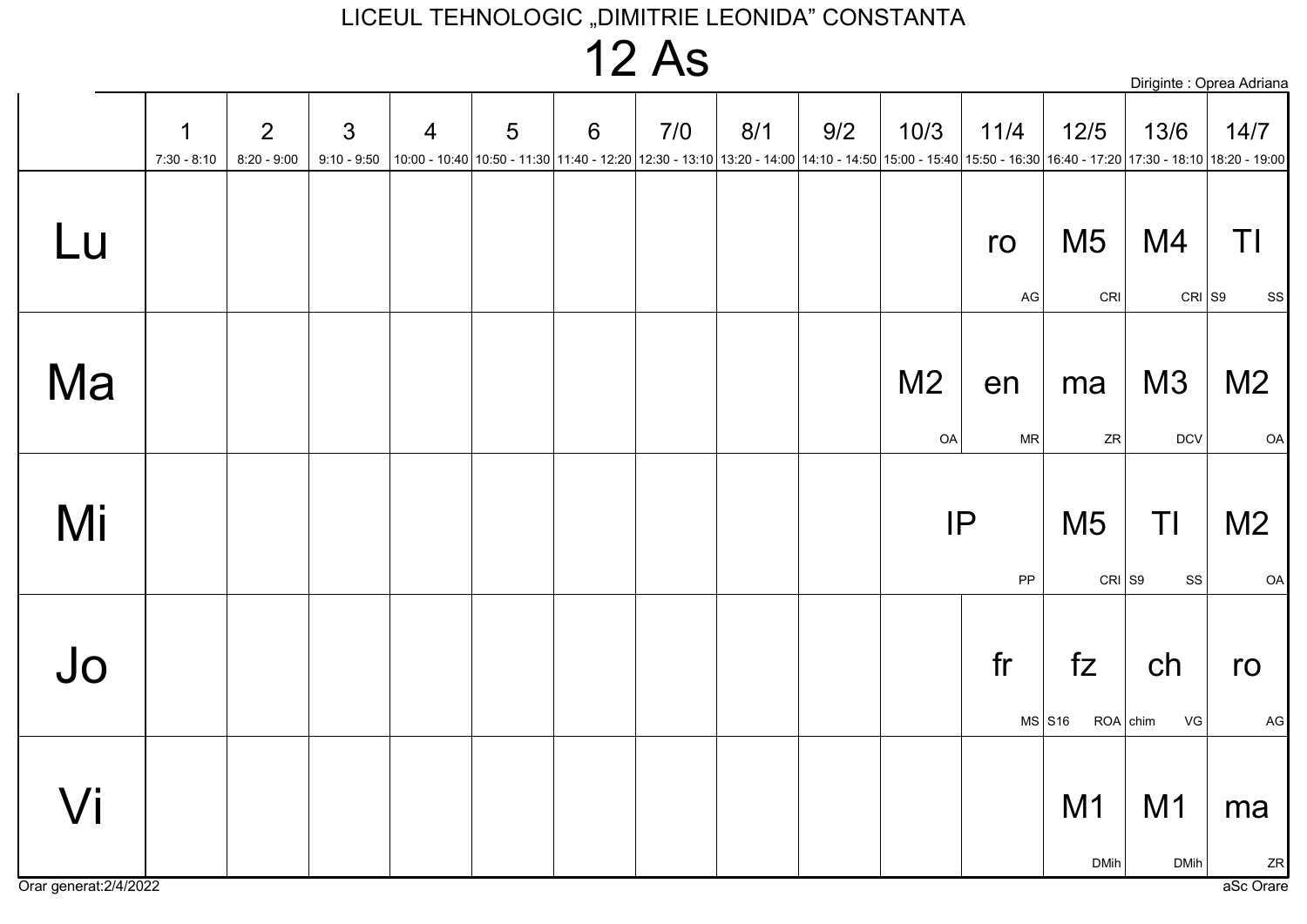## **12 As**

|    |                              |                                 |                                 |                |   |   |     |     |                                                                                                                                                                             |                      |                  |                            |                          | Diriginte : Oprea Adriana |
|----|------------------------------|---------------------------------|---------------------------------|----------------|---|---|-----|-----|-----------------------------------------------------------------------------------------------------------------------------------------------------------------------------|----------------------|------------------|----------------------------|--------------------------|---------------------------|
|    | $\mathbf 1$<br>$7:30 - 8:10$ | $\overline{2}$<br>$8:20 - 9:00$ | $\mathfrak{S}$<br>$9:10 - 9:50$ | $\overline{4}$ | 5 | 6 | 7/0 | 8/1 | 9/2<br> 10:00 - 10:40  10:50 - 11:30  11:40 - 12:20  12:30 - 13:10  13:20 - 14:00  14:10 - 14:50  15:00 - 15:40  15:50 - 16:30  16:40 - 17:20  17:30 - 18:10  18:20 - 19:00 | 10/3                 | 11/4             | 12/5                       | 13/6                     | 14/7                      |
| Lu |                              |                                 |                                 |                |   |   |     |     |                                                                                                                                                                             |                      | ro<br>AG         | M <sub>5</sub><br>CRI      | M4                       | TI<br>$CRI$ S9<br>SS      |
| Ma |                              |                                 |                                 |                |   |   |     |     |                                                                                                                                                                             | M <sub>2</sub><br>OA | en<br>$\sf MR$   | ma<br>${\sf ZR}$           | M3<br><b>DCV</b>         | M <sub>2</sub><br>OA      |
| Mi |                              |                                 |                                 |                |   |   |     |     |                                                                                                                                                                             |                      | IP<br>${\sf PP}$ | M <sub>5</sub><br>$CRI$ S9 | TI<br>$_{\rm SS}$        | M <sub>2</sub><br>OA      |
| Jo |                              |                                 |                                 |                |   |   |     |     |                                                                                                                                                                             |                      | fr               | fZ<br>$MS$ S <sub>16</sub> | ch<br>$ROA  $ chim<br>VG | ro<br>AG                  |
| Vi |                              |                                 |                                 |                |   |   |     |     |                                                                                                                                                                             |                      |                  | M1<br><b>DMih</b>          | M1<br><b>DMih</b>        | ma<br>ZR                  |

Orar generat: 2/4/2022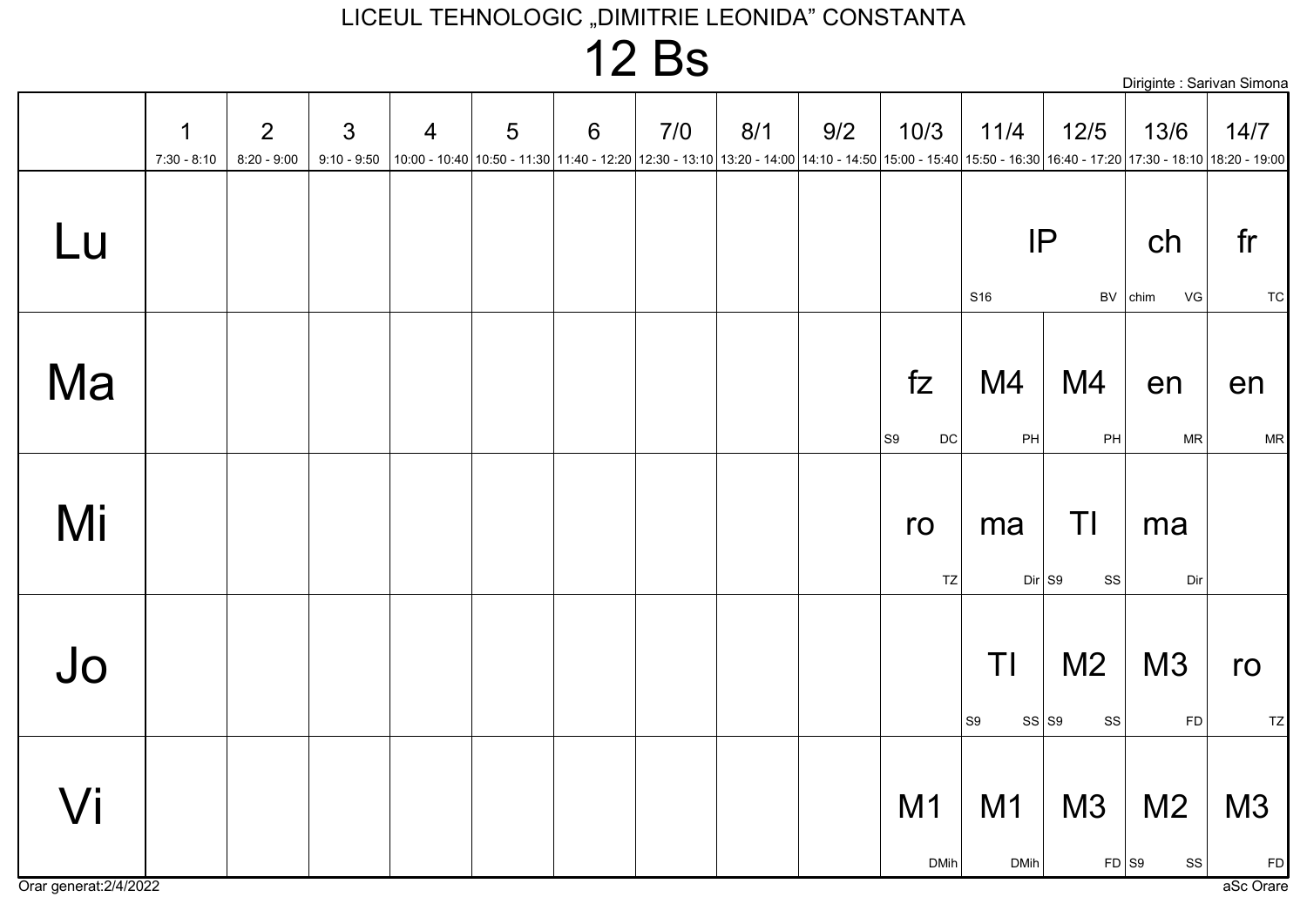### 12 Bs

|                              |                    |                                 |                |                |   |   |     |     |                                                                                                                                                                                         |                           |                       | Diriginte : Sarivan Simona       |                                   |                       |
|------------------------------|--------------------|---------------------------------|----------------|----------------|---|---|-----|-----|-----------------------------------------------------------------------------------------------------------------------------------------------------------------------------------------|---------------------------|-----------------------|----------------------------------|-----------------------------------|-----------------------|
|                              | 1<br>$7:30 - 8:10$ | $\overline{2}$<br>$8:20 - 9:00$ | $\mathfrak{S}$ | $\overline{4}$ | 5 | 6 | 7/0 | 8/1 | 9/2<br>9:10 - 9:50  10:00 - 10:40  10:50 - 11:30  11:40 - 12:20  12:30 - 13:10  13:20 - 14:00  14:10 - 14:50  15:00 - 15:40  15:50 - 16:30  16:40 - 17:20  17:30 - 18:10  18:20 - 19:00 | 10/3                      | 11/4                  | 12/5                             | 13/6                              | 14/7                  |
| Lu                           |                    |                                 |                |                |   |   |     |     |                                                                                                                                                                                         |                           | IP<br>S <sub>16</sub> |                                  | ch<br>BV chim<br>VG               | fr<br><b>TC</b>       |
| Ma                           |                    |                                 |                |                |   |   |     |     |                                                                                                                                                                                         | fZ<br>S9<br>$\mathsf{DC}$ | M4<br>PH              | M4<br>PH                         | en<br><b>MR</b>                   | en<br><b>MR</b>       |
| Mi                           |                    |                                 |                |                |   |   |     |     |                                                                                                                                                                                         | ro<br>TZ                  | ma<br>$Dir$ S9        | TI<br>SS                         | ma<br>Dir                         |                       |
| Jo                           |                    |                                 |                |                |   |   |     |     |                                                                                                                                                                                         |                           | TI<br> S9             | M <sub>2</sub><br>SS   S9<br> SS | M3<br>FD                          | ro<br>TZ              |
| Vi<br>Orar generat: 2/4/2022 |                    |                                 |                |                |   |   |     |     |                                                                                                                                                                                         | M1<br><b>DMih</b>         | M1<br><b>DMih</b>     | M3                               | M <sub>2</sub><br> ss <br>$FD$ S9 | M3<br>FD<br>aSc Orare |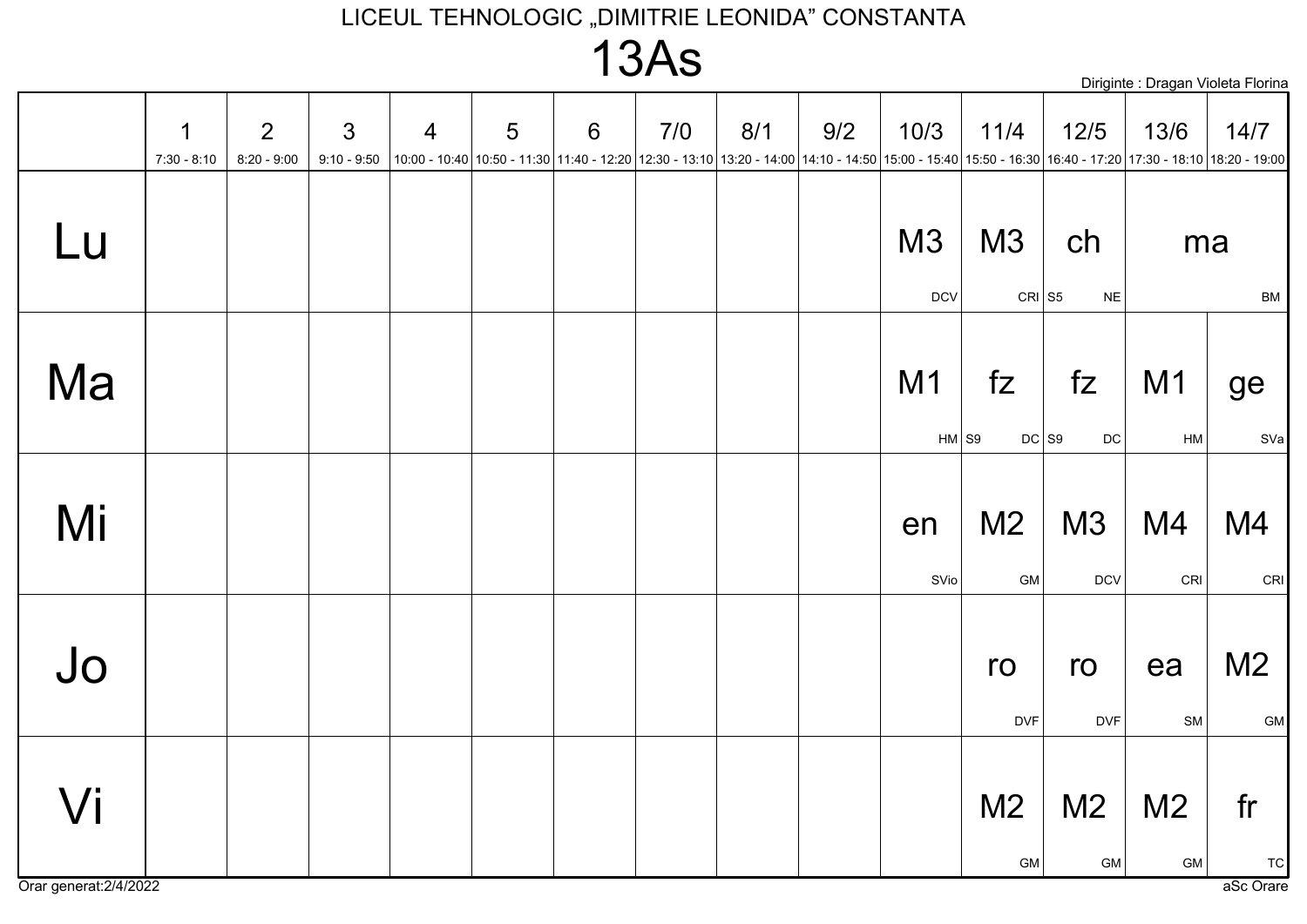### $13As$

|    | <u>. VI IV</u>     |                                 |                                 |                |   |                 |     |                                                                                                                                                                   |     |                  |                           | Diriginte : Dragan Violeta Florina |                      |                              |
|----|--------------------|---------------------------------|---------------------------------|----------------|---|-----------------|-----|-------------------------------------------------------------------------------------------------------------------------------------------------------------------|-----|------------------|---------------------------|------------------------------------|----------------------|------------------------------|
|    | 1<br>$7:30 - 8:10$ | $\overline{2}$<br>$8:20 - 9:00$ | $\mathfrak{S}$<br>$9:10 - 9:50$ | $\overline{4}$ | 5 | $6\phantom{1}6$ | 7/0 | 8/1<br> 10:00 - 10:40 10:50 - 11:30 11:40 - 12:20 12:30 - 13:10 13:20 - 14:00 14:10 - 14:50 15:00 - 15:40 15:50 - 16:30 16:40 - 17:20 17:30 - 18:10 18:20 - 19:00 | 9/2 | 10/3             | 11/4                      | $12/5$                             | 13/6                 | 14/7                         |
| Lu |                    |                                 |                                 |                |   |                 |     |                                                                                                                                                                   |     | M3<br><b>DCV</b> | M3<br>$CRI$ S5            | ch<br>$\sf NE$                     | ma                   | BM                           |
| Ma |                    |                                 |                                 |                |   |                 |     |                                                                                                                                                                   |     | M1<br>$HM$ S9    | fZ<br>$DC$ S <sub>9</sub> | fZ<br>$DC$                         | M <sub>1</sub><br>HM | ge<br>SVa                    |
| Mi |                    |                                 |                                 |                |   |                 |     |                                                                                                                                                                   |     | en<br>SVio       | M <sub>2</sub><br>GM      | M3<br><b>DCV</b>                   | M4<br>CRI            | M4<br>CRI                    |
| Jo |                    |                                 |                                 |                |   |                 |     |                                                                                                                                                                   |     |                  | ro<br><b>DVF</b>          | ro<br><b>DVF</b>                   | ea<br>SM             | M <sub>2</sub><br>${\sf GM}$ |
| Vi |                    |                                 |                                 |                |   |                 |     |                                                                                                                                                                   |     |                  | M <sub>2</sub><br>GM      | M <sub>2</sub><br>${\sf GM}$       | M <sub>2</sub><br>GM | fr<br><b>TC</b>              |

Orar generat: 2/4/2022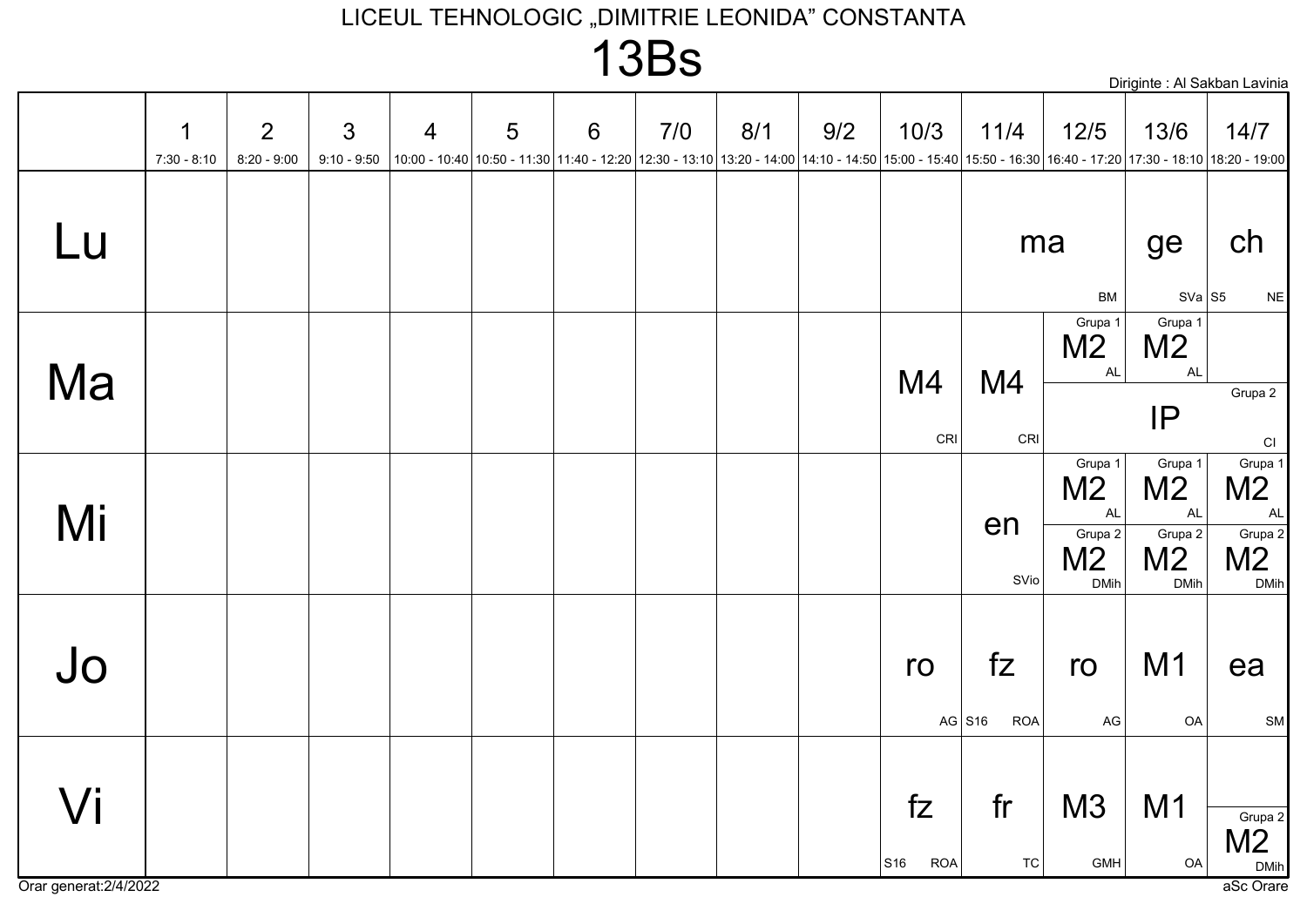### **13Bs**

|                     |                    |                                 |                                 |                |   |                 |     |     |                                                                                                                                                                                |                         |                              |                                                                                    |                                                                     | Diriginte : Al Sakban Lavinia                                      |
|---------------------|--------------------|---------------------------------|---------------------------------|----------------|---|-----------------|-----|-----|--------------------------------------------------------------------------------------------------------------------------------------------------------------------------------|-------------------------|------------------------------|------------------------------------------------------------------------------------|---------------------------------------------------------------------|--------------------------------------------------------------------|
|                     | 1<br>$7:30 - 8:10$ | $\overline{2}$<br>$8:20 - 9:00$ | $\mathfrak{S}$<br>$9:10 - 9:50$ | $\overline{4}$ | 5 | $6\phantom{1}6$ | 7/0 | 8/1 | 9/2<br>10:00 - 12:20 17:30 - 12:20 17:30 - 13:00 11:40 - 12:20 12:30 - 13:10 13:20 - 14:00 14:10 - 14:50 15:00 - 15:40 15:50 - 16:30 16:40 - 17:20 17:30 - 18:10 18:20 - 19:00 | 10/3                    | 11/4                         | $12/5$                                                                             | 13/6                                                                | 14/7                                                               |
| Lu                  |                    |                                 |                                 |                |   |                 |     |     |                                                                                                                                                                                |                         | ma                           | BM                                                                                 | ge<br>$SVA$ S5                                                      | ch<br>$N\mathsf{E}$                                                |
| Ma                  |                    |                                 |                                 |                |   |                 |     |     |                                                                                                                                                                                | M4                      | M4                           | Grupa 1<br>M <sub>2</sub><br><b>AL</b>                                             | Grupa 1<br>M <sub>2</sub><br><b>AL</b><br>IP                        | Grupa 2                                                            |
| Mi                  |                    |                                 |                                 |                |   |                 |     |     |                                                                                                                                                                                | CRI                     | CRI<br>en<br>SVio            | Grupa 1<br>M <sub>2</sub><br><b>AL</b><br>Grupa 2<br>M <sub>2</sub><br><b>DMih</b> | Grupa 1<br>M <sub>2</sub><br><b>AL</b><br>Grupa 2<br>M <sub>2</sub> | CI<br>Grupa 1<br>M <sub>2</sub><br>AL<br>Grupa 2<br>M <sub>2</sub> |
| Jo                  |                    |                                 |                                 |                |   |                 |     |     |                                                                                                                                                                                | ro                      | fZ<br>AG $S16$<br><b>ROA</b> | ro<br>$\mathsf{AG}$                                                                | <b>DMih</b><br>M1<br>OA                                             | <b>DMih</b><br>ea<br>SM                                            |
| $\sqrt{\mathsf{i}}$ |                    |                                 |                                 |                |   |                 |     |     |                                                                                                                                                                                | fZ<br>S16<br><b>ROA</b> | fr<br><b>TC</b>              | M3<br>GMH                                                                          | M1<br>OA                                                            | Grupa 2<br>M <sub>2</sub><br><b>DMih</b>                           |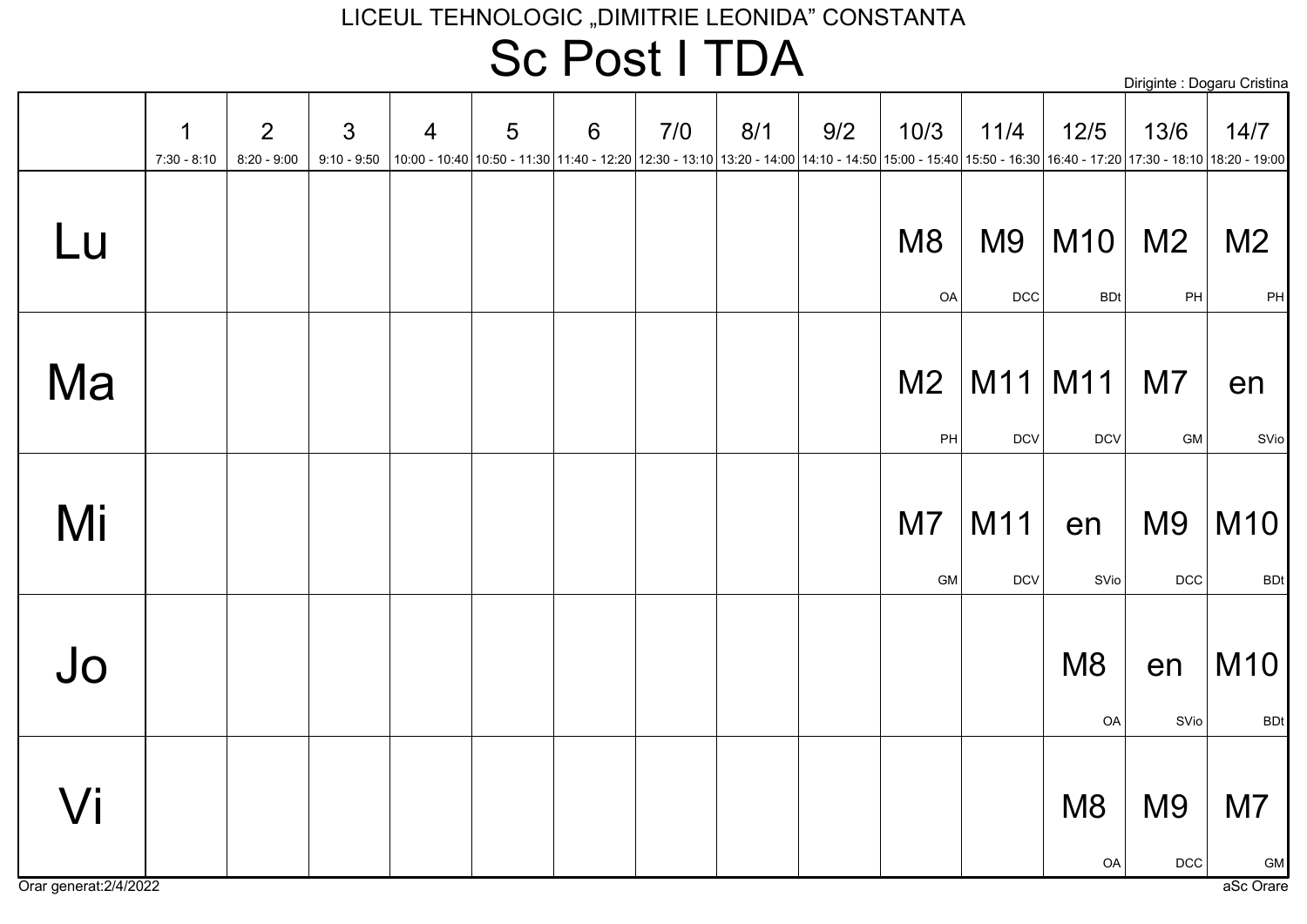### LICEUL TEHNOLOGIC "DIMITRIE LEONIDA" CONSTANTA Sc Post I TDA

|                              | 1<br>$7:30 - 8:10$ | 2<br>$8:20 - 9:00$ | $\mathfrak{S}$<br>$9:10 - 9:50$ | $\overline{4}$ | 5 | $6\phantom{1}6$ | 7/0 | 8/1 | 9/2<br> 10:00 - 10:40  10:50 - 11:30  11:40 - 12:20  12:30 - 13:10  13:20 - 14:00  14:10 - 14:50  15:00 - 15:40  15:50 - 16:30  16:40 - 17:20  17:30 - 18:10  18:20 - 19:00 | 10/3                 | 11/4                         | $12/5$               | 13/6                         | 14/7                  |
|------------------------------|--------------------|--------------------|---------------------------------|----------------|---|-----------------|-----|-----|-----------------------------------------------------------------------------------------------------------------------------------------------------------------------------|----------------------|------------------------------|----------------------|------------------------------|-----------------------|
| Lu                           |                    |                    |                                 |                |   |                 |     |     |                                                                                                                                                                             | M <sub>8</sub><br>OA | M <sub>9</sub><br><b>DCC</b> | M10<br><b>BDt</b>    | M <sub>2</sub><br>PH         | M <sub>2</sub><br>PH  |
| Ma                           |                    |                    |                                 |                |   |                 |     |     |                                                                                                                                                                             | M <sub>2</sub><br>PH | M11<br><b>DCV</b>            | M11<br>$DCV$         | M <sub>7</sub><br><b>GM</b>  | en<br>SVio            |
| Mi                           |                    |                    |                                 |                |   |                 |     |     |                                                                                                                                                                             | M7<br>${\sf GM}$     | M11<br><b>DCV</b>            | en<br>SVio           | M <sub>9</sub><br><b>DCC</b> | M10<br><b>BDt</b>     |
| $J_{0}$                      |                    |                    |                                 |                |   |                 |     |     |                                                                                                                                                                             |                      |                              | M <sub>8</sub><br>OA | en<br>SVio                   | M10<br><b>BDt</b>     |
| Vi<br>Orar generat: 2/4/2022 |                    |                    |                                 |                |   |                 |     |     |                                                                                                                                                                             |                      |                              | M <sub>8</sub><br>OA | M <sub>9</sub><br><b>DCC</b> | M7<br>GM<br>aSc Orare |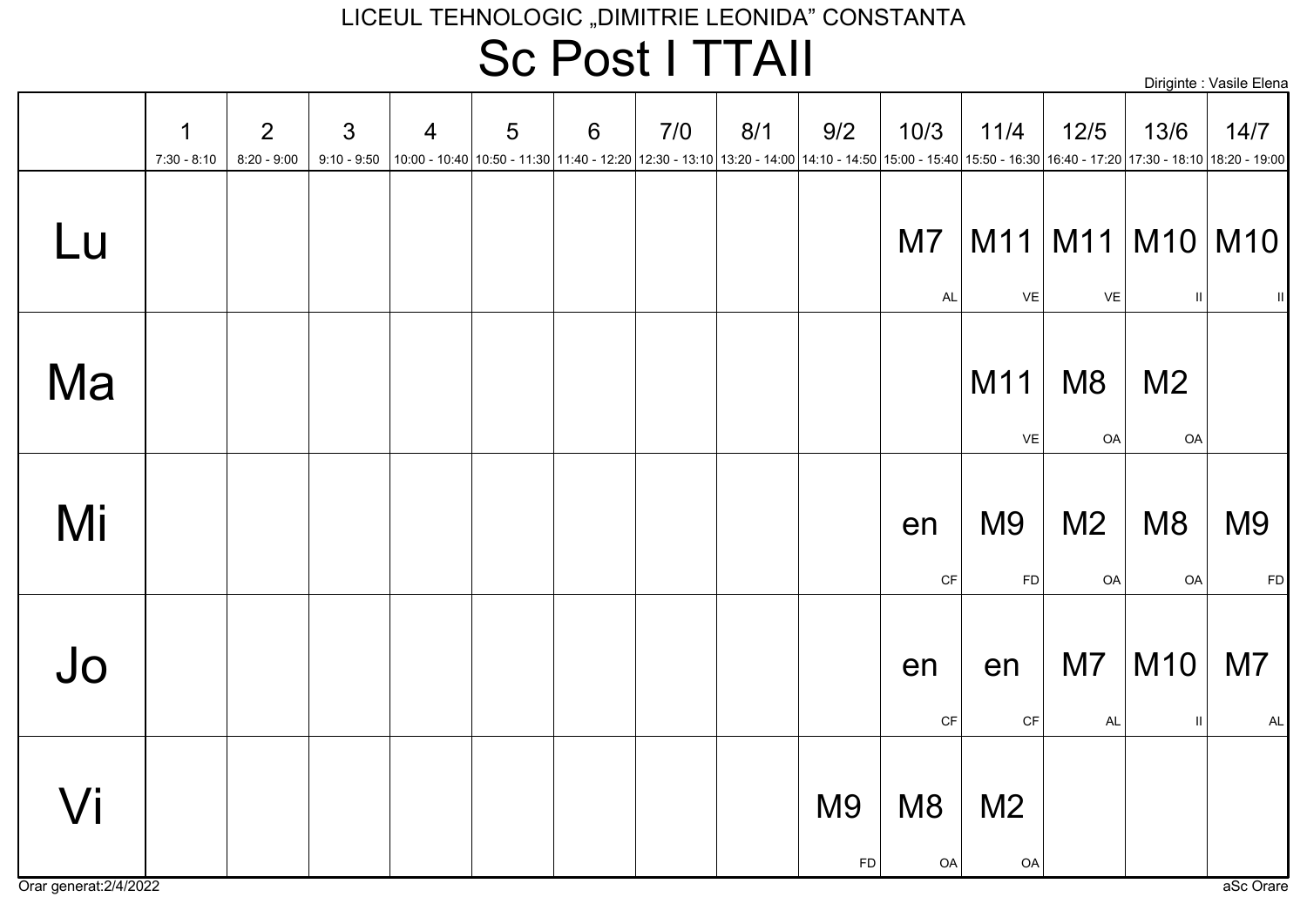### LICEUL TEHNOLOGIC "DIMITRIE LEONIDA" CONSTANTA Sc Post I TTAII

Diriginte : Vasile Elena

|    | 1<br>$7:30 - 8:10$ | 2<br>$8:20 - 9:00$ | $\mathfrak{S}$<br>$9:10 - 9:50$ | $\overline{4}$ | 5 | 6 | 7/0 | 8/1 | 9/2<br> 10:00 - 10:40  10:50 - 11:30  11:40 - 12:20  12:30 - 13:10  13:20 - 14:00  14:10 - 14:50  15:00 - 15:40  15:50 - 16:30  16:40 - 17:20  17:30 - 18:10  18:20 - 19:00   19:00 - 15:40   17:30 - 18:10   18:20 - 19:00   18:20 - | 10/3                 | 11/4                         | $12/5$               | 13/6                 | 14/7                                     |
|----|--------------------|--------------------|---------------------------------|----------------|---|---|-----|-----|---------------------------------------------------------------------------------------------------------------------------------------------------------------------------------------------------------------------------------------|----------------------|------------------------------|----------------------|----------------------|------------------------------------------|
| Lu |                    |                    |                                 |                |   |   |     |     |                                                                                                                                                                                                                                       | M7<br><b>AL</b>      | VE                           | VE                   | $\mathbf{H}$         | $M11$   M11   M10   M10  <br>$\parallel$ |
| Ma |                    |                    |                                 |                |   |   |     |     |                                                                                                                                                                                                                                       |                      | M11<br>VE                    | M <sub>8</sub><br>OA | M <sub>2</sub><br>OA |                                          |
| Mi |                    |                    |                                 |                |   |   |     |     |                                                                                                                                                                                                                                       | en<br>CF             | M <sub>9</sub><br><b>FD</b>  | M <sub>2</sub><br>OA | M <sub>8</sub><br>OA | M <sub>9</sub><br><b>FD</b>              |
| Jo |                    |                    |                                 |                |   |   |     |     |                                                                                                                                                                                                                                       | en<br><b>CF</b>      | en<br>$\mathsf{C}\mathsf{F}$ | M7<br>AL             | M10<br>$\mathbf{H}$  | M7<br>$\mathsf{AL}$                      |
| Vi |                    |                    |                                 |                |   |   |     |     | M <sub>9</sub><br>FD                                                                                                                                                                                                                  | M <sub>8</sub><br>OA | M <sub>2</sub><br>OA         |                      |                      |                                          |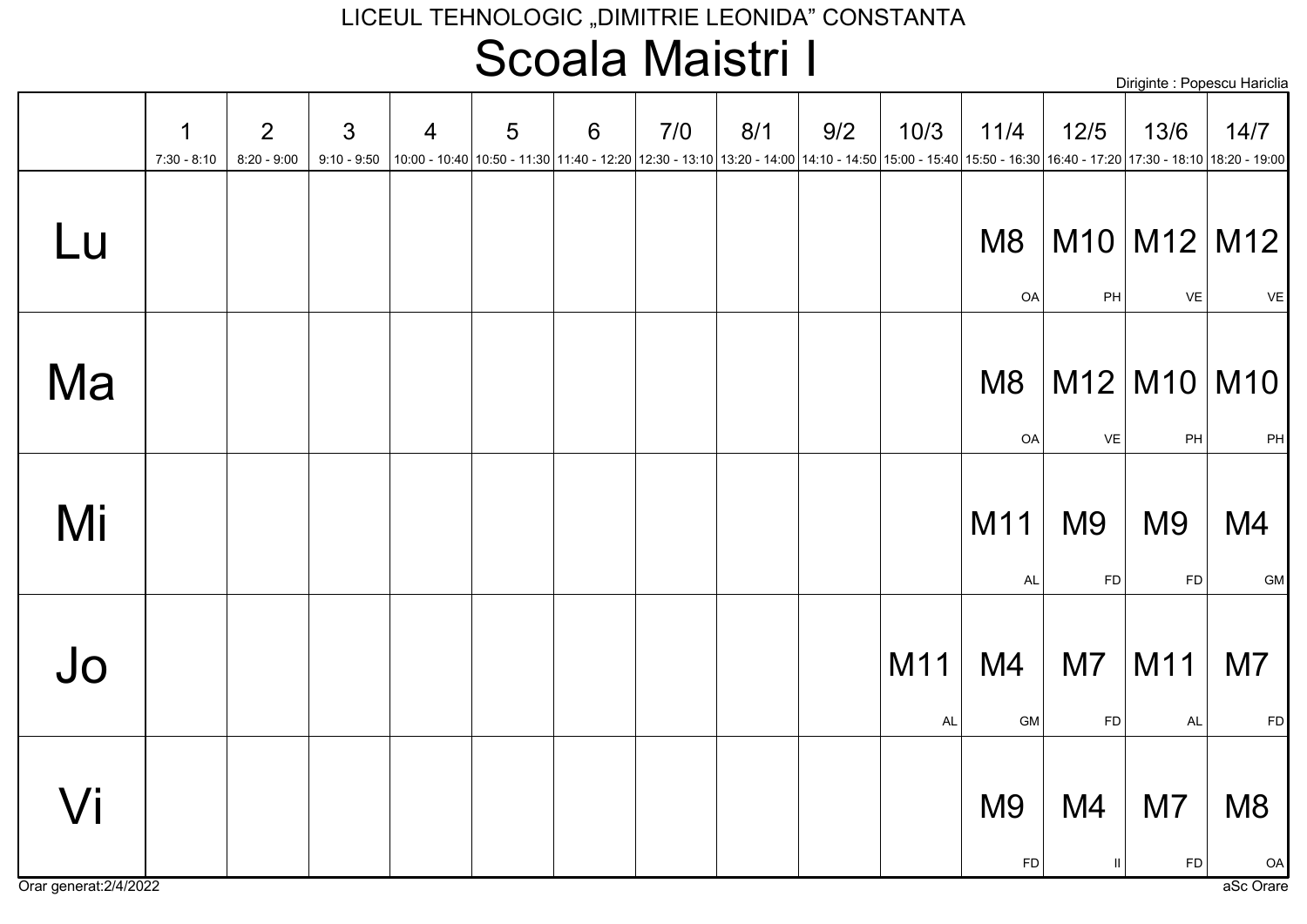### LICEUL TEHNOLOGIC "DIMITRIE LEONIDA" CONSTANTA Scoala Maistri I

| Diriginte : Popescu Hariclia |  |  |  |
|------------------------------|--|--|--|
|------------------------------|--|--|--|

|    | 1<br>$7:30 - 8:10$ | 2<br>$8:20 - 9:00$ | $\mathfrak{S}$ | $\overline{4}$ | 5 | $6\phantom{1}6$ | 7/0 | 8/1 | 9/2<br>9:10 - 9:50  10:00 - 10:40  10:50 - 11:30  11:40 - 12:20  12:30 - 13:10  13:20 - 14:00  14:10 - 14:50  15:00 - 15:40  15:50 - 16:30  16:40 - 17:20  17:30 - 18:10  18:20 - 19:00 | 10/3             | 11/4                        | $12/5$                      | 13/6                         | 14/7                    |
|----|--------------------|--------------------|----------------|----------------|---|-----------------|-----|-----|-----------------------------------------------------------------------------------------------------------------------------------------------------------------------------------------|------------------|-----------------------------|-----------------------------|------------------------------|-------------------------|
| Lu |                    |                    |                |                |   |                 |     |     |                                                                                                                                                                                         |                  | M <sub>8</sub><br>OA        | PH                          | VE                           | $M10$ M12 M12<br>VE     |
| Ma |                    |                    |                |                |   |                 |     |     |                                                                                                                                                                                         |                  | M <sub>8</sub><br>OA        | VE                          | PH                           | $M12$ $M10$ $M10$<br>PH |
| Mi |                    |                    |                |                |   |                 |     |     |                                                                                                                                                                                         |                  | M11<br><b>AL</b>            | M <sub>9</sub><br><b>FD</b> | M <sub>9</sub><br>${\sf FD}$ | M4<br>GM                |
| Jo |                    |                    |                |                |   |                 |     |     |                                                                                                                                                                                         | M11<br><b>AL</b> | M4<br>GM                    | M <sub>7</sub><br><b>FD</b> | M11<br>AL                    | M7<br><b>FD</b>         |
| Vi |                    |                    |                |                |   |                 |     |     |                                                                                                                                                                                         |                  | M <sub>9</sub><br><b>FD</b> | M4<br>Ш                     | M7<br>${\sf FD}$             | M <sub>8</sub><br>OA    |